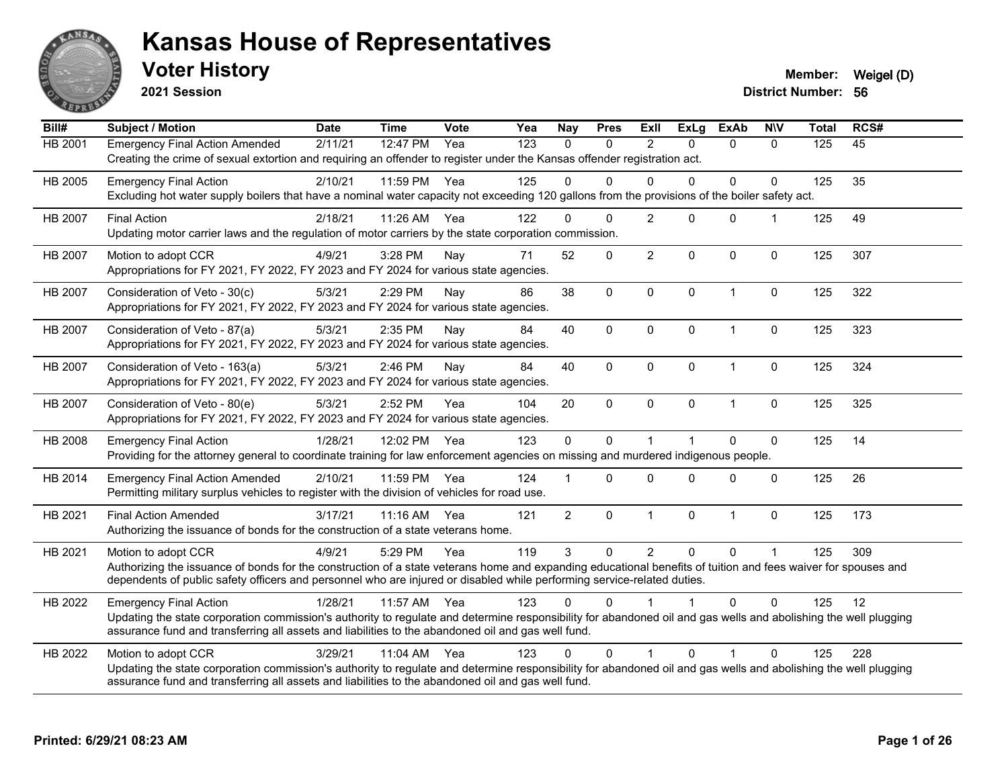

**2021 Session**

**Voter History Member:** Weigel (D)

| Bill#          | <b>Subject / Motion</b>                                                                                                                                                                                                                                                                                         | <b>Date</b> | <b>Time</b> | <b>Vote</b> | Yea | <b>Nay</b>     | <b>Pres</b> | Exll           | <b>ExLg</b>  | <b>ExAb</b>  | <b>NIV</b>           | <b>Total</b> | RCS# |
|----------------|-----------------------------------------------------------------------------------------------------------------------------------------------------------------------------------------------------------------------------------------------------------------------------------------------------------------|-------------|-------------|-------------|-----|----------------|-------------|----------------|--------------|--------------|----------------------|--------------|------|
| HB 2001        | <b>Emergency Final Action Amended</b><br>Creating the crime of sexual extortion and requiring an offender to register under the Kansas offender registration act.                                                                                                                                               | 2/11/21     | 12:47 PM    | Yea         | 123 | $\mathbf{0}$   | 0           | 2              | $\Omega$     | $\mathbf{0}$ | $\Omega$             | 125          | 45   |
| HB 2005        | <b>Emergency Final Action</b><br>Excluding hot water supply boilers that have a nominal water capacity not exceeding 120 gallons from the provisions of the boiler safety act.                                                                                                                                  | 2/10/21     | 11:59 PM    | Yea         | 125 | 0              | $\Omega$    | $\Omega$       | $\Omega$     | 0            | $\Omega$             | 125          | 35   |
| HB 2007        | <b>Final Action</b><br>Updating motor carrier laws and the regulation of motor carriers by the state corporation commission.                                                                                                                                                                                    | 2/18/21     | 11:26 AM    | Yea         | 122 | $\Omega$       | $\Omega$    | 2              | $\mathbf{0}$ | $\mathbf 0$  | $\blacktriangleleft$ | 125          | 49   |
| HB 2007        | Motion to adopt CCR<br>Appropriations for FY 2021, FY 2022, FY 2023 and FY 2024 for various state agencies.                                                                                                                                                                                                     | 4/9/21      | 3:28 PM     | Nay         | 71  | 52             | 0           | $\overline{2}$ | $\Omega$     | $\Omega$     | $\mathbf{0}$         | 125          | 307  |
| HB 2007        | Consideration of Veto - 30(c)<br>Appropriations for FY 2021, FY 2022, FY 2023 and FY 2024 for various state agencies.                                                                                                                                                                                           | 5/3/21      | 2:29 PM     | Nay         | 86  | 38             | $\mathbf 0$ | $\mathbf 0$    | $\mathbf{0}$ | $\mathbf{1}$ | $\mathbf 0$          | 125          | 322  |
| HB 2007        | Consideration of Veto - 87(a)<br>Appropriations for FY 2021, FY 2022, FY 2023 and FY 2024 for various state agencies.                                                                                                                                                                                           | 5/3/21      | 2:35 PM     | Nav         | 84  | 40             | $\Omega$    | $\mathbf{0}$   | $\mathbf{0}$ | 1            | 0                    | 125          | 323  |
| <b>HB 2007</b> | Consideration of Veto - 163(a)<br>Appropriations for FY 2021, FY 2022, FY 2023 and FY 2024 for various state agencies.                                                                                                                                                                                          | 5/3/21      | 2:46 PM     | Nay         | 84  | 40             | 0           | $\mathbf 0$    | $\mathbf{0}$ | 1            | 0                    | 125          | 324  |
| HB 2007        | Consideration of Veto - 80(e)<br>Appropriations for FY 2021, FY 2022, FY 2023 and FY 2024 for various state agencies.                                                                                                                                                                                           | 5/3/21      | 2:52 PM     | Yea         | 104 | 20             | $\mathbf 0$ | $\Omega$       | $\mathbf{0}$ | $\mathbf{1}$ | $\mathbf 0$          | 125          | 325  |
| HB 2008        | <b>Emergency Final Action</b><br>Providing for the attorney general to coordinate training for law enforcement agencies on missing and murdered indigenous people.                                                                                                                                              | 1/28/21     | 12:02 PM    | Yea         | 123 | $\mathbf 0$    | 0           |                |              | $\Omega$     | $\pmb{0}$            | 125          | 14   |
| HB 2014        | <b>Emergency Final Action Amended</b><br>Permitting military surplus vehicles to register with the division of vehicles for road use.                                                                                                                                                                           | 2/10/21     | 11:59 PM    | Yea         | 124 |                | $\Omega$    | $\Omega$       | $\Omega$     | $\Omega$     | $\mathbf 0$          | 125          | 26   |
| HB 2021        | <b>Final Action Amended</b><br>Authorizing the issuance of bonds for the construction of a state veterans home.                                                                                                                                                                                                 | 3/17/21     | $11:16$ AM  | Yea         | 121 | $\overline{2}$ | $\mathbf 0$ | $\mathbf 1$    | $\mathbf 0$  | $\mathbf{1}$ | $\mathbf 0$          | 125          | 173  |
| HB 2021        | Motion to adopt CCR<br>Authorizing the issuance of bonds for the construction of a state veterans home and expanding educational benefits of tuition and fees waiver for spouses and<br>dependents of public safety officers and personnel who are injured or disabled while performing service-related duties. | 4/9/21      | 5:29 PM     | Yea         | 119 | 3              | $\mathbf 0$ | $\overline{2}$ | $\mathbf{0}$ | $\Omega$     | $\overline{1}$       | 125          | 309  |
| HB 2022        | <b>Emergency Final Action</b><br>Updating the state corporation commission's authority to regulate and determine responsibility for abandoned oil and gas wells and abolishing the well plugging<br>assurance fund and transferring all assets and liabilities to the abandoned oil and gas well fund.          | 1/28/21     | 11:57 AM    | Yea         | 123 | 0              | 0           |                |              | $\Omega$     | $\Omega$             | 125          | 12   |
| HB 2022        | Motion to adopt CCR<br>Updating the state corporation commission's authority to regulate and determine responsibility for abandoned oil and gas wells and abolishing the well plugging<br>assurance fund and transferring all assets and liabilities to the abandoned oil and gas well fund.                    | 3/29/21     | 11:04 AM    | Yea         | 123 | $\Omega$       | $\Omega$    |                | $\Omega$     |              | $\Omega$             | 125          | 228  |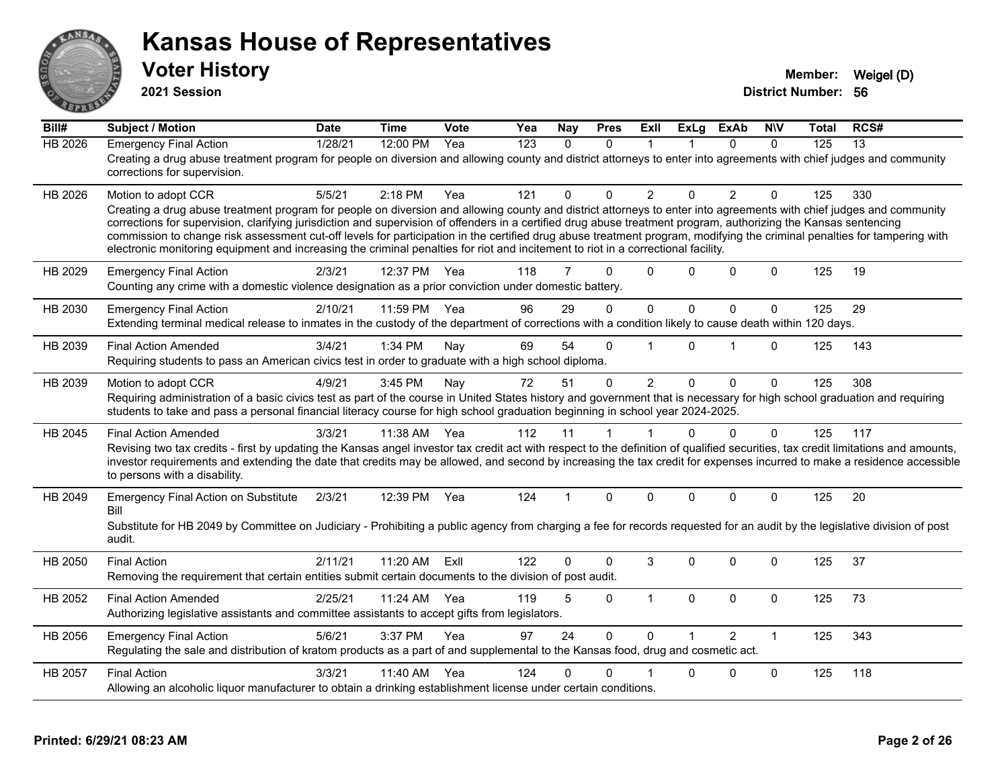

**2021 Session**

| Bill#          | <b>Subject / Motion</b>                                                                                                                                                                                                                                                                                                                                                                                                                                                                                                                                                                                                                                                         | <b>Date</b> | <b>Time</b> | Vote | Yea              | Nay          | <b>Pres</b>  | <b>ExII</b>    | <b>ExLg</b>  | <b>ExAb</b>    | <b>NIV</b>   | Total | RCS#            |
|----------------|---------------------------------------------------------------------------------------------------------------------------------------------------------------------------------------------------------------------------------------------------------------------------------------------------------------------------------------------------------------------------------------------------------------------------------------------------------------------------------------------------------------------------------------------------------------------------------------------------------------------------------------------------------------------------------|-------------|-------------|------|------------------|--------------|--------------|----------------|--------------|----------------|--------------|-------|-----------------|
| <b>HB 2026</b> | <b>Emergency Final Action</b><br>Creating a drug abuse treatment program for people on diversion and allowing county and district attorneys to enter into agreements with chief judges and community<br>corrections for supervision.                                                                                                                                                                                                                                                                                                                                                                                                                                            | 1/28/21     | 12:00 PM    | Yea  | $\overline{123}$ | $\mathbf{0}$ | $\Omega$     | 1              |              | $\Omega$       | $\Omega$     | 125   | $\overline{13}$ |
| HB 2026        | Motion to adopt CCR<br>Creating a drug abuse treatment program for people on diversion and allowing county and district attorneys to enter into agreements with chief judges and community<br>corrections for supervision, clarifying jurisdiction and supervision of offenders in a certified drug abuse treatment program, authorizing the Kansas sentencing<br>commission to change risk assessment cut-off levels for participation in the certified drug abuse treatment program, modifying the criminal penalties for tampering with<br>electronic monitoring equipment and increasing the criminal penalties for riot and incitement to riot in a correctional facility. | 5/5/21      | $2:18$ PM   | Yea  | 121              | 0            | $\Omega$     | $\overline{2}$ | $\Omega$     | $\overline{2}$ | $\Omega$     | 125   | 330             |
| HB 2029        | <b>Emergency Final Action</b><br>Counting any crime with a domestic violence designation as a prior conviction under domestic battery.                                                                                                                                                                                                                                                                                                                                                                                                                                                                                                                                          | 2/3/21      | 12:37 PM    | Yea  | 118              | 7            | $\Omega$     | $\Omega$       | 0            | $\Omega$       | $\Omega$     | 125   | 19              |
| HB 2030        | <b>Emergency Final Action</b><br>Extending terminal medical release to inmates in the custody of the department of corrections with a condition likely to cause death within 120 days.                                                                                                                                                                                                                                                                                                                                                                                                                                                                                          | 2/10/21     | 11:59 PM    | Yea  | 96               | 29           | $\Omega$     | $\mathbf{0}$   | $\mathbf{0}$ | $\Omega$       | $\mathbf 0$  | 125   | 29              |
| HB 2039        | <b>Final Action Amended</b><br>Requiring students to pass an American civics test in order to graduate with a high school diploma.                                                                                                                                                                                                                                                                                                                                                                                                                                                                                                                                              | 3/4/21      | 1:34 PM     | Nay  | 69               | 54           | $\Omega$     | $\overline{1}$ | $\Omega$     | 1              | $\Omega$     | 125   | 143             |
| HB 2039        | Motion to adopt CCR<br>Requiring administration of a basic civics test as part of the course in United States history and government that is necessary for high school graduation and requiring<br>students to take and pass a personal financial literacy course for high school graduation beginning in school year 2024-2025.                                                                                                                                                                                                                                                                                                                                                | 4/9/21      | 3:45 PM     | Nay  | 72               | 51           | $\mathbf{0}$ | $\overline{2}$ | $\Omega$     | $\Omega$       | $\mathbf{0}$ | 125   | 308             |
| HB 2045        | <b>Final Action Amended</b><br>Revising two tax credits - first by updating the Kansas angel investor tax credit act with respect to the definition of qualified securities, tax credit limitations and amounts,<br>investor requirements and extending the date that credits may be allowed, and second by increasing the tax credit for expenses incurred to make a residence accessible<br>to persons with a disability.                                                                                                                                                                                                                                                     | 3/3/21      | 11:38 AM    | Yea  | 112              | 11           | 1            | $\mathbf 1$    | $\Omega$     | $\Omega$       | $\mathbf{0}$ | 125   | 117             |
| HB 2049        | <b>Emergency Final Action on Substitute</b><br>Bill<br>Substitute for HB 2049 by Committee on Judiciary - Prohibiting a public agency from charging a fee for records requested for an audit by the legislative division of post<br>audit.                                                                                                                                                                                                                                                                                                                                                                                                                                      | 2/3/21      | 12:39 PM    | Yea  | 124              | 1            | $\mathbf{0}$ | $\Omega$       | $\Omega$     | $\Omega$       | $\mathbf{0}$ | 125   | 20              |
| HB 2050        | <b>Final Action</b><br>Removing the requirement that certain entities submit certain documents to the division of post audit.                                                                                                                                                                                                                                                                                                                                                                                                                                                                                                                                                   | 2/11/21     | 11:20 AM    | ExIl | 122              | 0            | $\Omega$     | 3              | $\Omega$     | $\Omega$       | $\Omega$     | 125   | 37              |
| HB 2052        | <b>Final Action Amended</b><br>Authorizing legislative assistants and committee assistants to accept gifts from legislators.                                                                                                                                                                                                                                                                                                                                                                                                                                                                                                                                                    | 2/25/21     | 11:24 AM    | Yea  | 119              | 5            | $\Omega$     | $\mathbf{1}$   | $\mathbf{0}$ | $\Omega$       | $\mathbf 0$  | 125   | 73              |
| HB 2056        | <b>Emergency Final Action</b><br>Regulating the sale and distribution of kratom products as a part of and supplemental to the Kansas food, drug and cosmetic act.                                                                                                                                                                                                                                                                                                                                                                                                                                                                                                               | 5/6/21      | 3:37 PM     | Yea  | 97               | 24           | $\Omega$     | $\Omega$       |              | $\mathcal{P}$  | $\mathbf{1}$ | 125   | 343             |
| HB 2057        | <b>Final Action</b><br>Allowing an alcoholic liquor manufacturer to obtain a drinking establishment license under certain conditions.                                                                                                                                                                                                                                                                                                                                                                                                                                                                                                                                           | 3/3/21      | 11:40 AM    | Yea  | 124              | 0            | 0            |                | 0            | 0              | $\mathbf 0$  | 125   | 118             |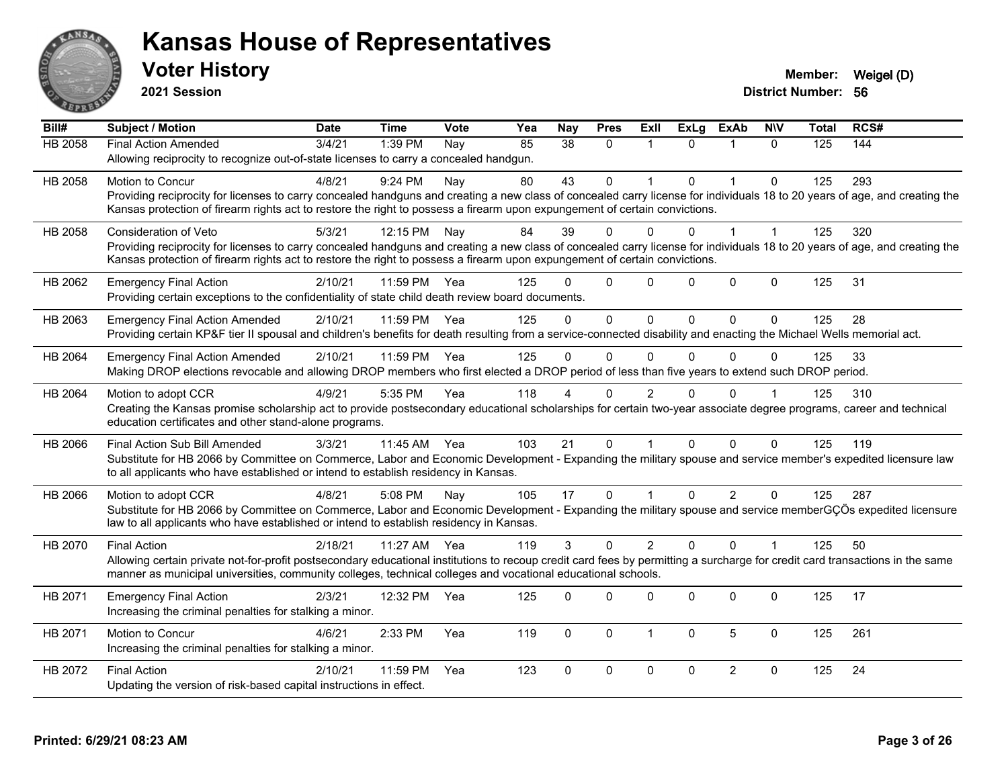

**2021 Session**

| Bill#          | <b>Subject / Motion</b>                                                                                                                                                      | <b>Date</b> | <b>Time</b>  | <b>Vote</b> | Yea | <b>Nay</b>      | <b>Pres</b>  | ExII           | ExLg         | <b>ExAb</b>    | <b>NIV</b>   | <b>Total</b> | RCS# |
|----------------|------------------------------------------------------------------------------------------------------------------------------------------------------------------------------|-------------|--------------|-------------|-----|-----------------|--------------|----------------|--------------|----------------|--------------|--------------|------|
| <b>HB 2058</b> | Final Action Amended                                                                                                                                                         | 3/4/21      | 1:39 PM      | Nay         | 85  | $\overline{38}$ | $\Omega$     | $\mathbf 1$    | $\Omega$     | $\mathbf{1}$   | $\Omega$     | 125          | 144  |
|                | Allowing reciprocity to recognize out-of-state licenses to carry a concealed handgun.                                                                                        |             |              |             |     |                 |              |                |              |                |              |              |      |
| HB 2058        | <b>Motion to Concur</b>                                                                                                                                                      | 4/8/21      | 9:24 PM      | Nay         | 80  | 43              | 0            |                | $\Omega$     | $\mathbf{1}$   | $\mathbf{0}$ | 125          | 293  |
|                | Providing reciprocity for licenses to carry concealed handguns and creating a new class of concealed carry license for individuals 18 to 20 years of age, and creating the   |             |              |             |     |                 |              |                |              |                |              |              |      |
|                | Kansas protection of firearm rights act to restore the right to possess a firearm upon expungement of certain convictions.                                                   |             |              |             |     |                 |              |                |              |                |              |              |      |
| HB 2058        | <b>Consideration of Veto</b>                                                                                                                                                 | 5/3/21      | 12:15 PM     | Nay         | 84  | 39              | $\Omega$     | 0              | $\Omega$     | $\mathbf{1}$   | 1            | 125          | 320  |
|                | Providing reciprocity for licenses to carry concealed handguns and creating a new class of concealed carry license for individuals 18 to 20 years of age, and creating the   |             |              |             |     |                 |              |                |              |                |              |              |      |
|                | Kansas protection of firearm rights act to restore the right to possess a firearm upon expungement of certain convictions.                                                   |             |              |             |     |                 |              |                |              |                |              |              |      |
| HB 2062        | <b>Emergency Final Action</b>                                                                                                                                                | 2/10/21     | 11:59 PM Yea |             | 125 |                 | $\mathbf{0}$ | $\mathbf 0$    | $\Omega$     | $\mathbf 0$    | $\mathbf 0$  | 125          | 31   |
|                | Providing certain exceptions to the confidentiality of state child death review board documents.                                                                             |             |              |             |     |                 |              |                |              |                |              |              |      |
| HB 2063        | <b>Emergency Final Action Amended</b>                                                                                                                                        | 2/10/21     | 11:59 PM Yea |             | 125 | $\Omega$        | $\Omega$     | $\Omega$       | $\Omega$     | $\Omega$       | $\Omega$     | 125          | 28   |
|                | Providing certain KP&F tier II spousal and children's benefits for death resulting from a service-connected disability and enacting the Michael Wells memorial act.          |             |              |             |     |                 |              |                |              |                |              |              |      |
| HB 2064        | <b>Emergency Final Action Amended</b>                                                                                                                                        | 2/10/21     | 11:59 PM     | Yea         | 125 | $\Omega$        | $\mathbf 0$  | 0              | $\mathbf{0}$ | $\mathbf{0}$   | $\Omega$     | 125          | 33   |
|                | Making DROP elections revocable and allowing DROP members who first elected a DROP period of less than five years to extend such DROP period.                                |             |              |             |     |                 |              |                |              |                |              |              |      |
| HB 2064        | Motion to adopt CCR                                                                                                                                                          | 4/9/21      | 5:35 PM      | Yea         | 118 |                 | $\Omega$     | 2              | 0            | $\Omega$       |              | 125          | 310  |
|                | Creating the Kansas promise scholarship act to provide postsecondary educational scholarships for certain two-year associate degree programs, career and technical           |             |              |             |     |                 |              |                |              |                |              |              |      |
|                | education certificates and other stand-alone programs.                                                                                                                       |             |              |             |     |                 |              |                |              |                |              |              |      |
| HB 2066        | Final Action Sub Bill Amended                                                                                                                                                | 3/3/21      | 11:45 AM     | Yea         | 103 | 21              | $\Omega$     |                | $\Omega$     | $\Omega$       | $\Omega$     | 125          | 119  |
|                | Substitute for HB 2066 by Committee on Commerce, Labor and Economic Development - Expanding the military spouse and service member's expedited licensure law                 |             |              |             |     |                 |              |                |              |                |              |              |      |
|                | to all applicants who have established or intend to establish residency in Kansas.                                                                                           |             |              |             |     |                 |              |                |              |                |              |              |      |
| HB 2066        | Motion to adopt CCR                                                                                                                                                          | 4/8/21      | 5:08 PM      | Nay         | 105 | 17              | 0            |                | $\mathbf{0}$ | $\overline{2}$ | $\mathbf 0$  | 125          | 287  |
|                | Substitute for HB 2066 by Committee on Commerce, Labor and Economic Development - Expanding the military spouse and service memberGÇÖs expedited licensure                   |             |              |             |     |                 |              |                |              |                |              |              |      |
|                | law to all applicants who have established or intend to establish residency in Kansas.                                                                                       |             |              |             |     |                 |              |                |              |                |              |              |      |
| HB 2070        | <b>Final Action</b>                                                                                                                                                          | 2/18/21     | 11:27 AM     | Yea         | 119 | 3               | $\mathbf 0$  | $\overline{2}$ | $\Omega$     | $\Omega$       | $\mathbf{1}$ | 125          | 50   |
|                | Allowing certain private not-for-profit postsecondary educational institutions to recoup credit card fees by permitting a surcharge for credit card transactions in the same |             |              |             |     |                 |              |                |              |                |              |              |      |
|                | manner as municipal universities, community colleges, technical colleges and vocational educational schools.                                                                 |             |              |             |     |                 |              |                |              |                |              |              |      |
| HB 2071        | <b>Emergency Final Action</b>                                                                                                                                                | 2/3/21      | 12:32 PM     | Yea         | 125 | 0               | $\mathbf{0}$ | 0              | $\Omega$     | 0              | $\mathbf 0$  | 125          | 17   |
|                | Increasing the criminal penalties for stalking a minor.                                                                                                                      |             |              |             |     |                 |              |                |              |                |              |              |      |
| HB 2071        | Motion to Concur                                                                                                                                                             | 4/6/21      | 2:33 PM      | Yea         | 119 | $\Omega$        | 0            | $\overline{1}$ | $\Omega$     | 5              | $\mathbf 0$  | 125          | 261  |
|                | Increasing the criminal penalties for stalking a minor.                                                                                                                      |             |              |             |     |                 |              |                |              |                |              |              |      |
| HB 2072        | <b>Final Action</b>                                                                                                                                                          | 2/10/21     | 11:59 PM     | Yea         | 123 | $\Omega$        | 0            | $\mathbf 0$    | 0            | $\overline{2}$ | 0            | 125          | 24   |
|                | Updating the version of risk-based capital instructions in effect.                                                                                                           |             |              |             |     |                 |              |                |              |                |              |              |      |
|                |                                                                                                                                                                              |             |              |             |     |                 |              |                |              |                |              |              |      |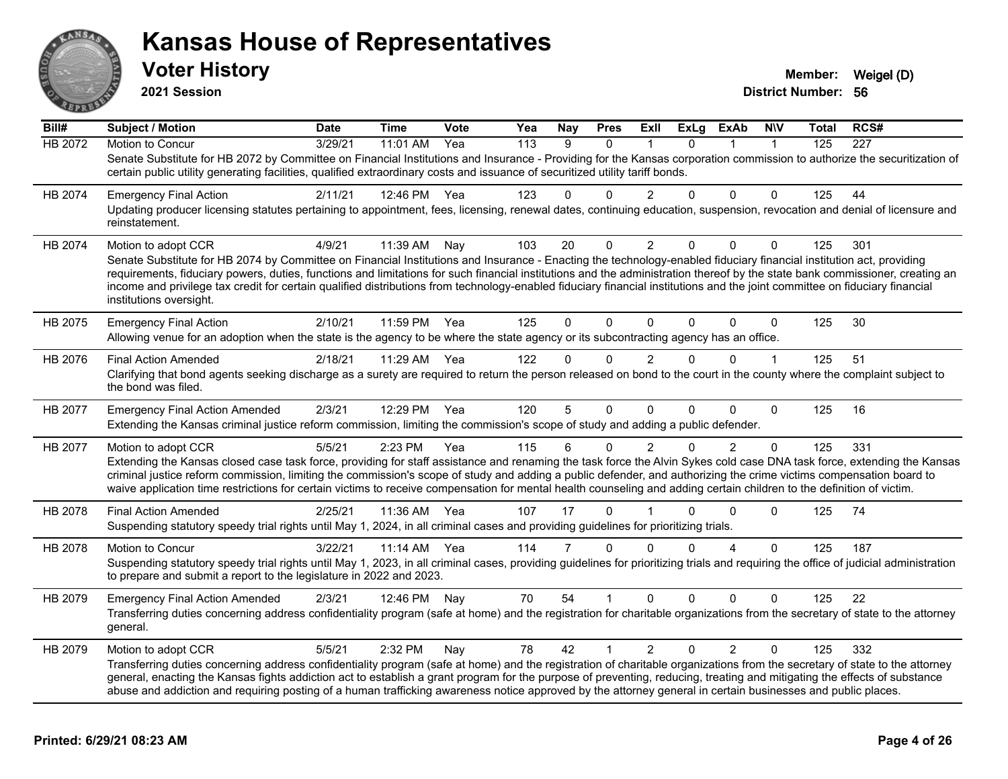

**2021 Session**

| Bill#          | Subject / Motion                                                                                                                                                                                                                                                                                                                                                                                                                                                                                                      | <b>Date</b> | Time       | Vote | Yea | <b>Nay</b>     | <b>Pres</b>  | ExII           | ExLg     | ExAb           | <b>NIV</b>   | Total | RCS#             |
|----------------|-----------------------------------------------------------------------------------------------------------------------------------------------------------------------------------------------------------------------------------------------------------------------------------------------------------------------------------------------------------------------------------------------------------------------------------------------------------------------------------------------------------------------|-------------|------------|------|-----|----------------|--------------|----------------|----------|----------------|--------------|-------|------------------|
| <b>HB 2072</b> | Motion to Concur                                                                                                                                                                                                                                                                                                                                                                                                                                                                                                      | 3/29/21     | 11:01 AM   | Yea  | 113 | 9              | $\Omega$     |                | $\Omega$ |                | $\mathbf 1$  | 125   | $\overline{227}$ |
|                | Senate Substitute for HB 2072 by Committee on Financial Institutions and Insurance - Providing for the Kansas corporation commission to authorize the securitization of<br>certain public utility generating facilities, qualified extraordinary costs and issuance of securitized utility tariff bonds.                                                                                                                                                                                                              |             |            |      |     |                |              |                |          |                |              |       |                  |
| HB 2074        | <b>Emergency Final Action</b>                                                                                                                                                                                                                                                                                                                                                                                                                                                                                         | 2/11/21     | 12:46 PM   | Yea  | 123 | 0              | $\Omega$     | 2              | 0        | $\Omega$       | $\Omega$     | 125   | 44               |
|                | Updating producer licensing statutes pertaining to appointment, fees, licensing, renewal dates, continuing education, suspension, revocation and denial of licensure and<br>reinstatement.                                                                                                                                                                                                                                                                                                                            |             |            |      |     |                |              |                |          |                |              |       |                  |
| HB 2074        | Motion to adopt CCR                                                                                                                                                                                                                                                                                                                                                                                                                                                                                                   | 4/9/21      | 11:39 AM   | Nay  | 103 | 20             | $\Omega$     | $\overline{2}$ | $\Omega$ | $\Omega$       | $\Omega$     | 125   | 301              |
|                | Senate Substitute for HB 2074 by Committee on Financial Institutions and Insurance - Enacting the technology-enabled fiduciary financial institution act, providing                                                                                                                                                                                                                                                                                                                                                   |             |            |      |     |                |              |                |          |                |              |       |                  |
|                | requirements, fiduciary powers, duties, functions and limitations for such financial institutions and the administration thereof by the state bank commissioner, creating an<br>income and privilege tax credit for certain qualified distributions from technology-enabled fiduciary financial institutions and the joint committee on fiduciary financial<br>institutions oversight.                                                                                                                                |             |            |      |     |                |              |                |          |                |              |       |                  |
| HB 2075        | <b>Emergency Final Action</b>                                                                                                                                                                                                                                                                                                                                                                                                                                                                                         | 2/10/21     | 11:59 PM   | Yea  | 125 | $\Omega$       | $\Omega$     | $\Omega$       | $\Omega$ | $\Omega$       | $\mathbf 0$  | 125   | 30               |
|                | Allowing venue for an adoption when the state is the agency to be where the state agency or its subcontracting agency has an office.                                                                                                                                                                                                                                                                                                                                                                                  |             |            |      |     |                |              |                |          |                |              |       |                  |
| HB 2076        | <b>Final Action Amended</b>                                                                                                                                                                                                                                                                                                                                                                                                                                                                                           | 2/18/21     | 11:29 AM   | Yea  | 122 | 0              | 0            | $\overline{2}$ | $\Omega$ | 0              | 1            | 125   | 51               |
|                | Clarifying that bond agents seeking discharge as a surety are required to return the person released on bond to the court in the county where the complaint subject to<br>the bond was filed.                                                                                                                                                                                                                                                                                                                         |             |            |      |     |                |              |                |          |                |              |       |                  |
| HB 2077        | <b>Emergency Final Action Amended</b>                                                                                                                                                                                                                                                                                                                                                                                                                                                                                 | 2/3/21      | 12:29 PM   | Yea  | 120 | 5              | $\Omega$     | $\Omega$       | $\Omega$ | $\Omega$       | $\mathbf{0}$ | 125   | 16               |
|                | Extending the Kansas criminal justice reform commission, limiting the commission's scope of study and adding a public defender.                                                                                                                                                                                                                                                                                                                                                                                       |             |            |      |     |                |              |                |          |                |              |       |                  |
| HB 2077        | Motion to adopt CCR                                                                                                                                                                                                                                                                                                                                                                                                                                                                                                   | 5/5/21      | 2:23 PM    | Yea  | 115 | 6              | 0            | $\overline{2}$ | 0        | $\overline{2}$ | $\mathbf 0$  | 125   | 331              |
|                | Extending the Kansas closed case task force, providing for staff assistance and renaming the task force the Alvin Sykes cold case DNA task force, extending the Kansas<br>criminal justice reform commission, limiting the commission's scope of study and adding a public defender, and authorizing the crime victims compensation board to<br>waive application time restrictions for certain victims to receive compensation for mental health counseling and adding certain children to the definition of victim. |             |            |      |     |                |              |                |          |                |              |       |                  |
| HB 2078        | <b>Final Action Amended</b>                                                                                                                                                                                                                                                                                                                                                                                                                                                                                           | 2/25/21     | 11:36 AM   | Yea  | 107 | 17             | $\mathbf{0}$ |                | $\Omega$ | $\mathbf{0}$   | $\Omega$     | 125   | 74               |
|                | Suspending statutory speedy trial rights until May 1, 2024, in all criminal cases and providing guidelines for prioritizing trials.                                                                                                                                                                                                                                                                                                                                                                                   |             |            |      |     |                |              |                |          |                |              |       |                  |
| HB 2078        | Motion to Concur                                                                                                                                                                                                                                                                                                                                                                                                                                                                                                      | 3/22/21     | $11:14$ AM | Yea  | 114 | $\overline{7}$ | $\Omega$     | $\Omega$       | $\Omega$ | 4              | $\Omega$     | 125   | 187              |
|                | Suspending statutory speedy trial rights until May 1, 2023, in all criminal cases, providing guidelines for prioritizing trials and requiring the office of judicial administration<br>to prepare and submit a report to the legislature in 2022 and 2023.                                                                                                                                                                                                                                                            |             |            |      |     |                |              |                |          |                |              |       |                  |
| HB 2079        | <b>Emergency Final Action Amended</b>                                                                                                                                                                                                                                                                                                                                                                                                                                                                                 | 2/3/21      | 12:46 PM   | Nay  | 70  | 54             | 1            | $\overline{0}$ | $\Omega$ | $\mathbf{0}$   | $\Omega$     | 125   | 22               |
|                | Transferring duties concerning address confidentiality program (safe at home) and the registration for charitable organizations from the secretary of state to the attorney<br>general.                                                                                                                                                                                                                                                                                                                               |             |            |      |     |                |              |                |          |                |              |       |                  |
| HB 2079        | Motion to adopt CCR                                                                                                                                                                                                                                                                                                                                                                                                                                                                                                   | 5/5/21      | 2:32 PM    | Nay  | 78  | 42             | $\mathbf 1$  | $\overline{2}$ | $\Omega$ | 2              | $\Omega$     | 125   | 332              |
|                | Transferring duties concerning address confidentiality program (safe at home) and the registration of charitable organizations from the secretary of state to the attorney                                                                                                                                                                                                                                                                                                                                            |             |            |      |     |                |              |                |          |                |              |       |                  |
|                | general, enacting the Kansas fights addiction act to establish a grant program for the purpose of preventing, reducing, treating and mitigating the effects of substance<br>abuse and addiction and requiring posting of a human trafficking awareness notice approved by the attorney general in certain businesses and public places.                                                                                                                                                                               |             |            |      |     |                |              |                |          |                |              |       |                  |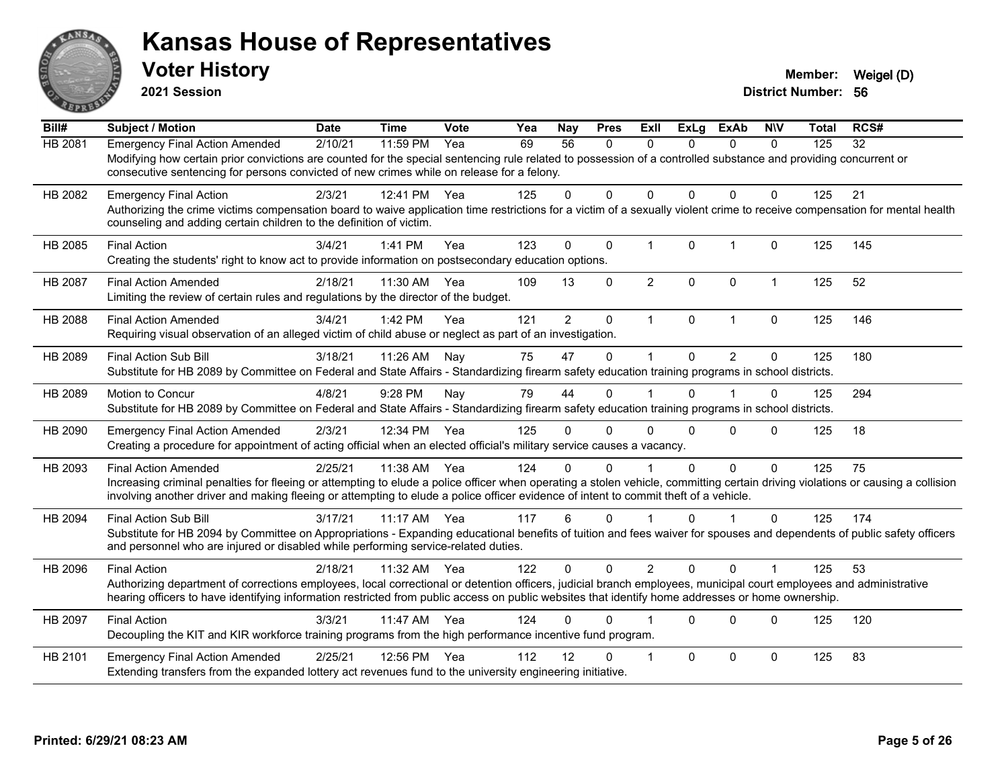

**2021 Session**

| Bill#          | <b>Subject / Motion</b>                                                                                                                                                                                                                                                                                                                                | <b>Date</b> | <b>Time</b> | Vote | Yea | Nay            | <b>Pres</b> | <b>ExII</b>    | <b>ExLg</b>  | <b>ExAb</b>    | <b>NIV</b>   | <b>Total</b> | RCS# |
|----------------|--------------------------------------------------------------------------------------------------------------------------------------------------------------------------------------------------------------------------------------------------------------------------------------------------------------------------------------------------------|-------------|-------------|------|-----|----------------|-------------|----------------|--------------|----------------|--------------|--------------|------|
| HB 2081        | <b>Emergency Final Action Amended</b><br>Modifying how certain prior convictions are counted for the special sentencing rule related to possession of a controlled substance and providing concurrent or<br>consecutive sentencing for persons convicted of new crimes while on release for a felony.                                                  | 2/10/21     | 11:59 PM    | Yea  | 69  | 56             | 0           | $\mathbf{0}$   | $\Omega$     | $\mathbf{0}$   | $\mathbf{0}$ | 125          | 32   |
| HB 2082        | <b>Emergency Final Action</b><br>Authorizing the crime victims compensation board to waive application time restrictions for a victim of a sexually violent crime to receive compensation for mental health<br>counseling and adding certain children to the definition of victim.                                                                     | 2/3/21      | 12:41 PM    | Yea  | 125 | 0              | 0           | $\Omega$       | $\Omega$     | $\Omega$       | $\mathbf 0$  | 125          | 21   |
| HB 2085        | <b>Final Action</b><br>Creating the students' right to know act to provide information on postsecondary education options.                                                                                                                                                                                                                             | 3/4/21      | 1:41 PM     | Yea  | 123 | $\Omega$       | $\Omega$    | $\mathbf{1}$   | $\Omega$     | $\mathbf{1}$   | $\Omega$     | 125          | 145  |
| HB 2087        | <b>Final Action Amended</b><br>Limiting the review of certain rules and regulations by the director of the budget.                                                                                                                                                                                                                                     | 2/18/21     | 11:30 AM    | Yea  | 109 | 13             | $\mathbf 0$ | $\overline{2}$ | $\mathbf{0}$ | $\mathbf 0$    | $\mathbf{1}$ | 125          | 52   |
| <b>HB 2088</b> | <b>Final Action Amended</b><br>Requiring visual observation of an alleged victim of child abuse or neglect as part of an investigation.                                                                                                                                                                                                                | 3/4/21      | 1:42 PM     | Yea  | 121 | $\overline{2}$ | $\mathbf 0$ | $\mathbf 1$    | $\mathbf{0}$ | $\mathbf{1}$   | $\mathbf 0$  | 125          | 146  |
| HB 2089        | <b>Final Action Sub Bill</b><br>Substitute for HB 2089 by Committee on Federal and State Affairs - Standardizing firearm safety education training programs in school districts.                                                                                                                                                                       | 3/18/21     | 11:26 AM    | Nay  | 75  | 47             | $\Omega$    | $\mathbf 1$    | $\Omega$     | $\overline{2}$ | $\Omega$     | 125          | 180  |
| HB 2089        | Motion to Concur<br>Substitute for HB 2089 by Committee on Federal and State Affairs - Standardizing firearm safety education training programs in school districts.                                                                                                                                                                                   | 4/8/21      | 9:28 PM     | Nay  | 79  | 44             | $\Omega$    |                | $\Omega$     |                | $\Omega$     | 125          | 294  |
| HB 2090        | <b>Emergency Final Action Amended</b><br>Creating a procedure for appointment of acting official when an elected official's military service causes a vacancy.                                                                                                                                                                                         | 2/3/21      | 12:34 PM    | Yea  | 125 | 0              | $\Omega$    | $\Omega$       | $\Omega$     | $\Omega$       | $\Omega$     | 125          | 18   |
| HB 2093        | <b>Final Action Amended</b><br>Increasing criminal penalties for fleeing or attempting to elude a police officer when operating a stolen vehicle, committing certain driving violations or causing a collision<br>involving another driver and making fleeing or attempting to elude a police officer evidence of intent to commit theft of a vehicle. | 2/25/21     | 11:38 AM    | Yea  | 124 | 0              | $\Omega$    |                | 0            | $\Omega$       | $\Omega$     | 125          | 75   |
| HB 2094        | <b>Final Action Sub Bill</b><br>Substitute for HB 2094 by Committee on Appropriations - Expanding educational benefits of tuition and fees waiver for spouses and dependents of public safety officers<br>and personnel who are injured or disabled while performing service-related duties.                                                           | 3/17/21     | $11:17$ AM  | Yea  | 117 | 6              | $\Omega$    |                | $\Omega$     | 1              | $\Omega$     | 125          | 174  |
| HB 2096        | <b>Final Action</b><br>Authorizing department of corrections employees, local correctional or detention officers, judicial branch employees, municipal court employees and administrative<br>hearing officers to have identifying information restricted from public access on public websites that identify home addresses or home ownership.         | 2/18/21     | 11:32 AM    | Yea  | 122 | 0              | $\Omega$    | $\overline{2}$ | $\Omega$     | $\Omega$       |              | 125          | 53   |
| HB 2097        | <b>Final Action</b><br>Decoupling the KIT and KIR workforce training programs from the high performance incentive fund program.                                                                                                                                                                                                                        | 3/3/21      | 11:47 AM    | Yea  | 124 | 0              | $\Omega$    |                | $\Omega$     | $\Omega$       | $\Omega$     | 125          | 120  |
| HB 2101        | <b>Emergency Final Action Amended</b><br>Extending transfers from the expanded lottery act revenues fund to the university engineering initiative.                                                                                                                                                                                                     | 2/25/21     | 12:56 PM    | Yea  | 112 | 12             | ŋ           | -1             | $\Omega$     | $\Omega$       | $\Omega$     | 125          | 83   |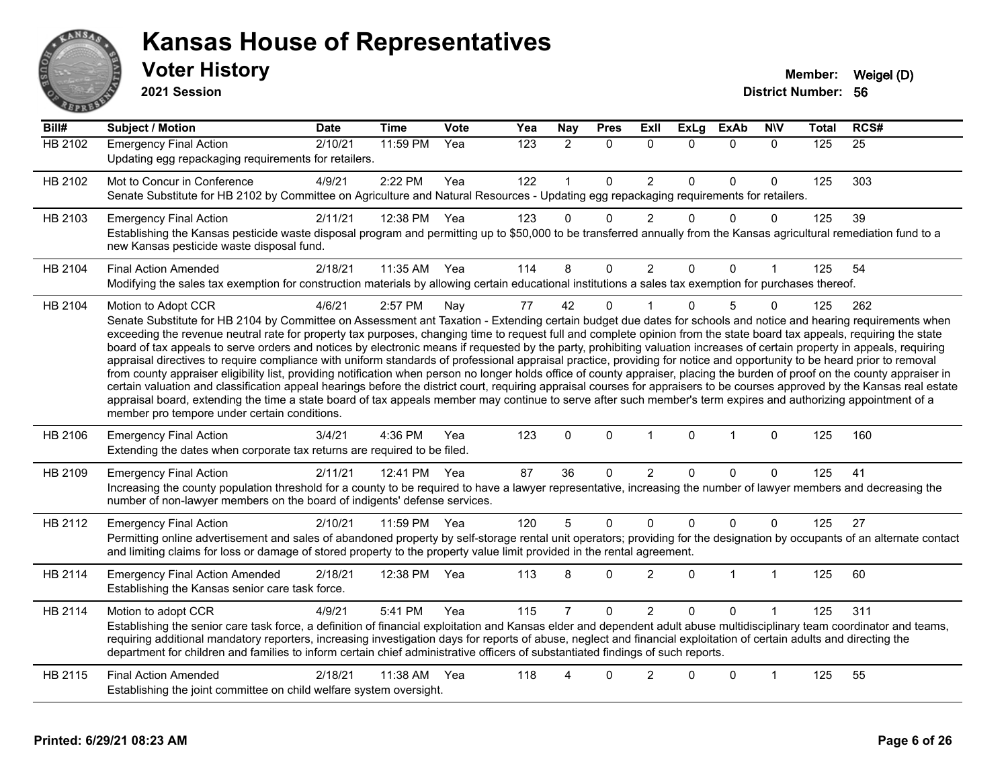

**2021 Session**

| Bill#          | <b>Subject / Motion</b>                                                                                                                                                                                                                                                                                                                                                                                                                                                                                                                                                                                                                                                                                                                                                                                                                                                                                                                                                                                                                                                                                                                                                                                                                                                                                     | <b>Date</b> | <b>Time</b>  | <b>Vote</b> | Yea | <b>Nay</b>     | <b>Pres</b> | <b>Exll</b>    | <b>ExLg</b>  | <b>ExAb</b>  | <b>NIV</b>   | <b>Total</b> | RCS#            |
|----------------|-------------------------------------------------------------------------------------------------------------------------------------------------------------------------------------------------------------------------------------------------------------------------------------------------------------------------------------------------------------------------------------------------------------------------------------------------------------------------------------------------------------------------------------------------------------------------------------------------------------------------------------------------------------------------------------------------------------------------------------------------------------------------------------------------------------------------------------------------------------------------------------------------------------------------------------------------------------------------------------------------------------------------------------------------------------------------------------------------------------------------------------------------------------------------------------------------------------------------------------------------------------------------------------------------------------|-------------|--------------|-------------|-----|----------------|-------------|----------------|--------------|--------------|--------------|--------------|-----------------|
| <b>HB 2102</b> | <b>Emergency Final Action</b><br>Updating egg repackaging requirements for retailers.                                                                                                                                                                                                                                                                                                                                                                                                                                                                                                                                                                                                                                                                                                                                                                                                                                                                                                                                                                                                                                                                                                                                                                                                                       | 2/10/21     | 11:59 PM     | Yea         | 123 | $\overline{2}$ | $\Omega$    | $\Omega$       | $\Omega$     | $\mathbf{0}$ | $\mathbf{0}$ | 125          | $\overline{25}$ |
| HB 2102        | Mot to Concur in Conference<br>Senate Substitute for HB 2102 by Committee on Agriculture and Natural Resources - Updating egg repackaging requirements for retailers.                                                                                                                                                                                                                                                                                                                                                                                                                                                                                                                                                                                                                                                                                                                                                                                                                                                                                                                                                                                                                                                                                                                                       | 4/9/21      | 2:22 PM      | Yea         | 122 | $\mathbf{1}$   | $\Omega$    | $\overline{c}$ | $\Omega$     | $\mathbf{0}$ | $\mathbf{0}$ | 125          | 303             |
| HB 2103        | <b>Emergency Final Action</b><br>Establishing the Kansas pesticide waste disposal program and permitting up to \$50,000 to be transferred annually from the Kansas agricultural remediation fund to a<br>new Kansas pesticide waste disposal fund.                                                                                                                                                                                                                                                                                                                                                                                                                                                                                                                                                                                                                                                                                                                                                                                                                                                                                                                                                                                                                                                          | 2/11/21     | 12:38 PM     | Yea         | 123 | $\Omega$       | 0           | $\overline{c}$ | $\Omega$     | $\mathbf 0$  | $\mathbf 0$  | 125          | 39              |
| HB 2104        | <b>Final Action Amended</b><br>Modifying the sales tax exemption for construction materials by allowing certain educational institutions a sales tax exemption for purchases thereof.                                                                                                                                                                                                                                                                                                                                                                                                                                                                                                                                                                                                                                                                                                                                                                                                                                                                                                                                                                                                                                                                                                                       | 2/18/21     | 11:35 AM Yea |             | 114 | 8              | 0           | $\overline{c}$ | $\Omega$     | $\mathbf 0$  |              | 125          | 54              |
| HB 2104        | Motion to Adopt CCR<br>Senate Substitute for HB 2104 by Committee on Assessment ant Taxation - Extending certain budget due dates for schools and notice and hearing requirements when<br>exceeding the revenue neutral rate for property tax purposes, changing time to request full and complete opinion from the state board tax appeals, requiring the state<br>board of tax appeals to serve orders and notices by electronic means if requested by the party, prohibiting valuation increases of certain property in appeals, requiring<br>appraisal directives to require compliance with uniform standards of professional appraisal practice, providing for notice and opportunity to be heard prior to removal<br>from county appraiser eligibility list, providing notification when person no longer holds office of county appraiser, placing the burden of proof on the county appraiser in<br>certain valuation and classification appeal hearings before the district court, requiring appraisal courses for appraisers to be courses approved by the Kansas real estate<br>appraisal board, extending the time a state board of tax appeals member may continue to serve after such member's term expires and authorizing appointment of a<br>member pro tempore under certain conditions. | 4/6/21      | 2:57 PM      | Nay         | 77  | 42             | $\Omega$    |                | $\Omega$     | 5            | $\Omega$     | 125          | 262             |
| HB 2106        | <b>Emergency Final Action</b><br>Extending the dates when corporate tax returns are required to be filed.                                                                                                                                                                                                                                                                                                                                                                                                                                                                                                                                                                                                                                                                                                                                                                                                                                                                                                                                                                                                                                                                                                                                                                                                   | 3/4/21      | 4:36 PM      | Yea         | 123 | $\Omega$       | $\mathbf 0$ | $\mathbf{1}$   | $\mathbf{0}$ | $\mathbf{1}$ | $\Omega$     | 125          | 160             |
| HB 2109        | <b>Emergency Final Action</b><br>Increasing the county population threshold for a county to be required to have a lawyer representative, increasing the number of lawyer members and decreasing the<br>number of non-lawyer members on the board of indigents' defense services.                                                                                                                                                                                                                                                                                                                                                                                                                                                                                                                                                                                                                                                                                                                                                                                                                                                                                                                                                                                                                            | 2/11/21     | 12:41 PM     | Yea         | 87  | 36             | 0           | $\overline{c}$ | 0            | 0            | $\Omega$     | 125          | 41              |
| HB 2112        | <b>Emergency Final Action</b><br>Permitting online advertisement and sales of abandoned property by self-storage rental unit operators; providing for the designation by occupants of an alternate contact<br>and limiting claims for loss or damage of stored property to the property value limit provided in the rental agreement.                                                                                                                                                                                                                                                                                                                                                                                                                                                                                                                                                                                                                                                                                                                                                                                                                                                                                                                                                                       | 2/10/21     | 11:59 PM     | Yea         | 120 | 5              | $\mathbf 0$ | 0              | $\Omega$     | $\pmb{0}$    | $\Omega$     | 125          | 27              |
| HB 2114        | <b>Emergency Final Action Amended</b><br>Establishing the Kansas senior care task force.                                                                                                                                                                                                                                                                                                                                                                                                                                                                                                                                                                                                                                                                                                                                                                                                                                                                                                                                                                                                                                                                                                                                                                                                                    | 2/18/21     | 12:38 PM     | Yea         | 113 | 8              | 0           | $\overline{c}$ | 0            | 1            | 1            | 125          | 60              |
| HB 2114        | Motion to adopt CCR<br>Establishing the senior care task force, a definition of financial exploitation and Kansas elder and dependent adult abuse multidisciplinary team coordinator and teams,<br>requiring additional mandatory reporters, increasing investigation days for reports of abuse, neglect and financial exploitation of certain adults and directing the<br>department for children and families to inform certain chief administrative officers of substantiated findings of such reports.                                                                                                                                                                                                                                                                                                                                                                                                                                                                                                                                                                                                                                                                                                                                                                                                  | 4/9/21      | 5:41 PM      | Yea         | 115 | $\overline{7}$ | $\Omega$    | $\overline{c}$ | 0            | $\Omega$     |              | 125          | 311             |
| HB 2115        | <b>Final Action Amended</b><br>Establishing the joint committee on child welfare system oversight.                                                                                                                                                                                                                                                                                                                                                                                                                                                                                                                                                                                                                                                                                                                                                                                                                                                                                                                                                                                                                                                                                                                                                                                                          | 2/18/21     | 11:38 AM     | Yea         | 118 | 4              | $\Omega$    | $\overline{2}$ | $\Omega$     | $\mathbf 0$  | 1            | 125          | 55              |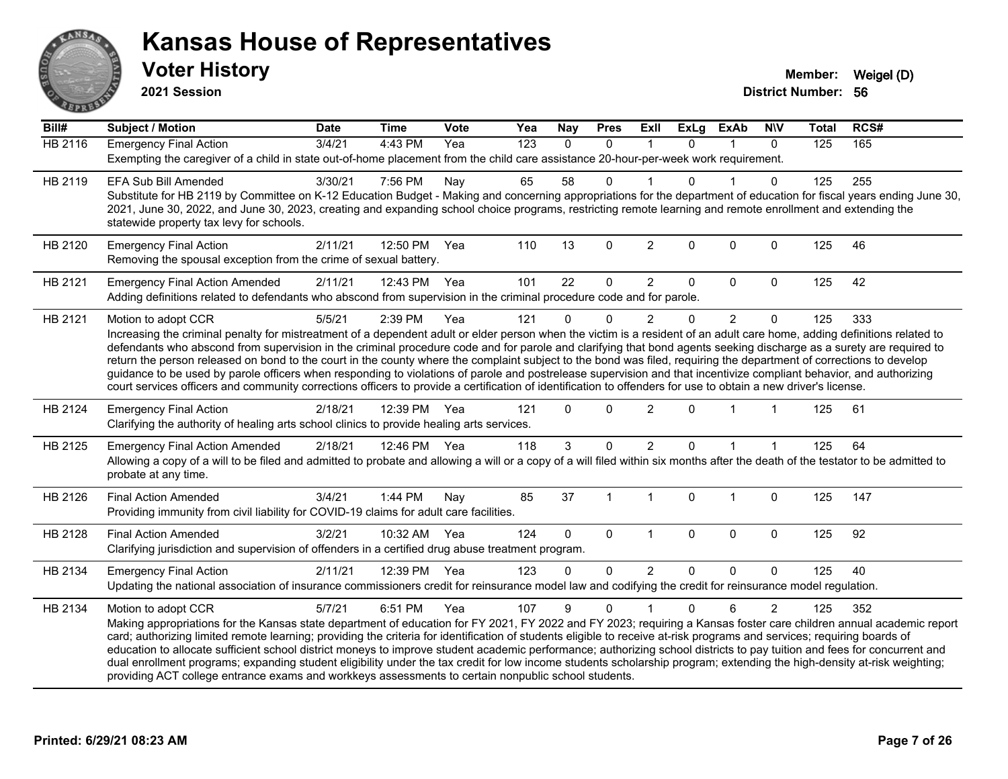

**2021 Session**

| Bill#          | Subject / Motion                                                                                                                                                                                                                                                                                                                      | <b>Date</b> | <b>Time</b>  | <b>Vote</b> | Yea              | <b>Nay</b>   | <b>Pres</b>  | Exll           | <b>ExLg</b> | <b>ExAb</b>    | <b>NIV</b>   | <b>Total</b> | RCS# |  |
|----------------|---------------------------------------------------------------------------------------------------------------------------------------------------------------------------------------------------------------------------------------------------------------------------------------------------------------------------------------|-------------|--------------|-------------|------------------|--------------|--------------|----------------|-------------|----------------|--------------|--------------|------|--|
| <b>HB 2116</b> | <b>Emergency Final Action</b>                                                                                                                                                                                                                                                                                                         | 3/4/21      | 4:43 PM      | Yea         | $\overline{123}$ | $\mathbf{0}$ | $\mathbf{0}$ | $\mathbf 1$    | $\Omega$    | 1              | $\mathbf{0}$ | 125          | 165  |  |
|                | Exempting the caregiver of a child in state out-of-home placement from the child care assistance 20-hour-per-week work requirement.                                                                                                                                                                                                   |             |              |             |                  |              |              |                |             |                |              |              |      |  |
| HB 2119        | EFA Sub Bill Amended                                                                                                                                                                                                                                                                                                                  | 3/30/21     | 7:56 PM      | Nay         | 65               | 58           | $\mathbf 0$  |                | $\Omega$    |                | $\Omega$     | 125          | 255  |  |
|                | Substitute for HB 2119 by Committee on K-12 Education Budget - Making and concerning appropriations for the department of education for fiscal years ending June 30,                                                                                                                                                                  |             |              |             |                  |              |              |                |             |                |              |              |      |  |
|                | 2021, June 30, 2022, and June 30, 2023, creating and expanding school choice programs, restricting remote learning and remote enrollment and extending the                                                                                                                                                                            |             |              |             |                  |              |              |                |             |                |              |              |      |  |
|                | statewide property tax levy for schools.                                                                                                                                                                                                                                                                                              |             |              |             |                  |              |              |                |             |                |              |              |      |  |
| HB 2120        | <b>Emergency Final Action</b>                                                                                                                                                                                                                                                                                                         | 2/11/21     | 12:50 PM     | Yea         | 110              | 13           | $\mathbf 0$  | $\overline{2}$ | $\mathbf 0$ | $\mathbf 0$    | $\mathbf 0$  | 125          | 46   |  |
|                | Removing the spousal exception from the crime of sexual battery.                                                                                                                                                                                                                                                                      |             |              |             |                  |              |              |                |             |                |              |              |      |  |
| HB 2121        | <b>Emergency Final Action Amended</b>                                                                                                                                                                                                                                                                                                 | 2/11/21     | 12:43 PM     | Yea         | 101              | 22           | 0            | $\overline{c}$ | $\mathbf 0$ | 0              | $\mathbf 0$  | 125          | 42   |  |
|                | Adding definitions related to defendants who abscond from supervision in the criminal procedure code and for parole.                                                                                                                                                                                                                  |             |              |             |                  |              |              |                |             |                |              |              |      |  |
| HB 2121        | Motion to adopt CCR                                                                                                                                                                                                                                                                                                                   | 5/5/21      | 2:39 PM      | Yea         | 121              | $\Omega$     | $\mathbf 0$  | 2              | $\Omega$    | $\overline{2}$ | $\mathbf 0$  | 125          | 333  |  |
|                | Increasing the criminal penalty for mistreatment of a dependent adult or elder person when the victim is a resident of an adult care home, adding definitions related to                                                                                                                                                              |             |              |             |                  |              |              |                |             |                |              |              |      |  |
|                | defendants who abscond from supervision in the criminal procedure code and for parole and clarifying that bond agents seeking discharge as a surety are required to                                                                                                                                                                   |             |              |             |                  |              |              |                |             |                |              |              |      |  |
|                | return the person released on bond to the court in the county where the complaint subject to the bond was filed, requiring the department of corrections to develop                                                                                                                                                                   |             |              |             |                  |              |              |                |             |                |              |              |      |  |
|                | guidance to be used by parole officers when responding to violations of parole and postrelease supervision and that incentivize compliant behavior, and authorizing<br>court services officers and community corrections officers to provide a certification of identification to offenders for use to obtain a new driver's license. |             |              |             |                  |              |              |                |             |                |              |              |      |  |
|                |                                                                                                                                                                                                                                                                                                                                       |             |              |             |                  |              |              |                |             |                |              |              |      |  |
| HB 2124        | <b>Emergency Final Action</b>                                                                                                                                                                                                                                                                                                         | 2/18/21     | 12:39 PM     | Yea         | 121              | $\Omega$     | $\mathbf{0}$ | 2              | $\Omega$    |                |              | 125          | 61   |  |
|                | Clarifying the authority of healing arts school clinics to provide healing arts services.                                                                                                                                                                                                                                             |             |              |             |                  |              |              |                |             |                |              |              |      |  |
| HB 2125        | <b>Emergency Final Action Amended</b>                                                                                                                                                                                                                                                                                                 | 2/18/21     | 12:46 PM Yea |             | 118              | 3            | $\mathbf 0$  | $\overline{2}$ | $\Omega$    |                |              | 125          | 64   |  |
|                | Allowing a copy of a will to be filed and admitted to probate and allowing a will or a copy of a will filed within six months after the death of the testator to be admitted to                                                                                                                                                       |             |              |             |                  |              |              |                |             |                |              |              |      |  |
|                | probate at any time.                                                                                                                                                                                                                                                                                                                  |             |              |             |                  |              |              |                |             |                |              |              |      |  |
| HB 2126        | <b>Final Action Amended</b>                                                                                                                                                                                                                                                                                                           | 3/4/21      | 1:44 PM      | Nay         | 85               | 37           | 1            | $\mathbf{1}$   | $\mathbf 0$ | $\mathbf 1$    | $\pmb{0}$    | 125          | 147  |  |
|                | Providing immunity from civil liability for COVID-19 claims for adult care facilities.                                                                                                                                                                                                                                                |             |              |             |                  |              |              |                |             |                |              |              |      |  |
| HB 2128        | <b>Final Action Amended</b>                                                                                                                                                                                                                                                                                                           | 3/2/21      | 10:32 AM     | Yea         | 124              | $\Omega$     | $\mathbf{0}$ | $\overline{1}$ | $\Omega$    | $\mathbf{0}$   | $\mathbf 0$  | 125          | 92   |  |
|                | Clarifying jurisdiction and supervision of offenders in a certified drug abuse treatment program.                                                                                                                                                                                                                                     |             |              |             |                  |              |              |                |             |                |              |              |      |  |
| HB 2134        | <b>Emergency Final Action</b>                                                                                                                                                                                                                                                                                                         | 2/11/21     | 12:39 PM     | Yea         | 123              | $\Omega$     | 0            | $\overline{2}$ | $\Omega$    | $\Omega$       | $\mathbf 0$  | 125          | 40   |  |
|                | Updating the national association of insurance commissioners credit for reinsurance model law and codifying the credit for reinsurance model regulation.                                                                                                                                                                              |             |              |             |                  |              |              |                |             |                |              |              |      |  |
|                |                                                                                                                                                                                                                                                                                                                                       |             |              |             |                  |              | $\Omega$     |                | $\Omega$    | 6              |              |              | 352  |  |
| HB 2134        | Motion to adopt CCR<br>Making appropriations for the Kansas state department of education for FY 2021, FY 2022 and FY 2023; requiring a Kansas foster care children annual academic report                                                                                                                                            | 5/7/21      | 6:51 PM      | Yea         | 107              | 9            |              |                |             |                | 2            | 125          |      |  |
|                | card; authorizing limited remote learning; providing the criteria for identification of students eligible to receive at-risk programs and services; requiring boards of                                                                                                                                                               |             |              |             |                  |              |              |                |             |                |              |              |      |  |
|                | education to allocate sufficient school district moneys to improve student academic performance; authorizing school districts to pay tuition and fees for concurrent and                                                                                                                                                              |             |              |             |                  |              |              |                |             |                |              |              |      |  |
|                | dual enrollment programs; expanding student eligibility under the tax credit for low income students scholarship program; extending the high-density at-risk weighting;                                                                                                                                                               |             |              |             |                  |              |              |                |             |                |              |              |      |  |
|                | providing ACT college entrance exams and workkeys assessments to certain nonpublic school students.                                                                                                                                                                                                                                   |             |              |             |                  |              |              |                |             |                |              |              |      |  |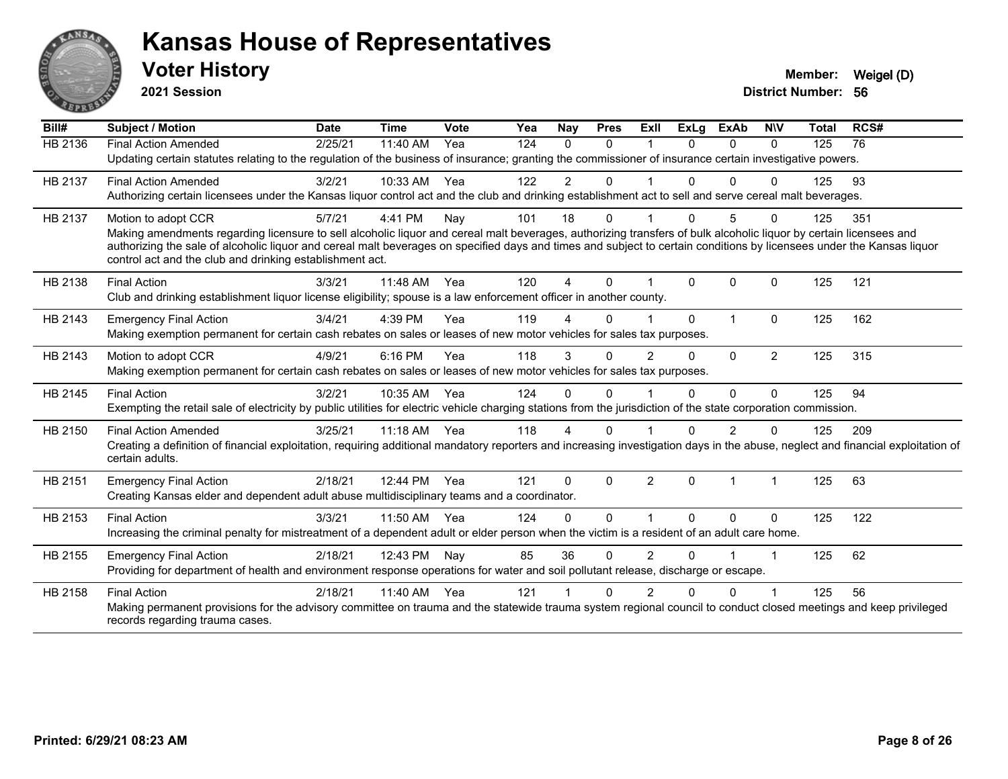

**2021 Session**

| Bill#          | Subject / Motion                                                                                                                                                                                                                                                                                                                           | <b>Date</b> | <b>Time</b> | <b>Vote</b> | Yea | Nay            | <b>Pres</b> | ExII                 | <b>ExLg</b>  | <b>ExAb</b>    | <b>NIV</b>     | <b>Total</b> | RCS# |
|----------------|--------------------------------------------------------------------------------------------------------------------------------------------------------------------------------------------------------------------------------------------------------------------------------------------------------------------------------------------|-------------|-------------|-------------|-----|----------------|-------------|----------------------|--------------|----------------|----------------|--------------|------|
| <b>HB 2136</b> | <b>Final Action Amended</b>                                                                                                                                                                                                                                                                                                                | 2/25/21     | 11:40 AM    | Yea         | 124 | $\Omega$       | $\Omega$    |                      | <sup>n</sup> | 0              | $\Omega$       | 125          | 76   |
|                | Updating certain statutes relating to the regulation of the business of insurance; granting the commissioner of insurance certain investigative powers.                                                                                                                                                                                    |             |             |             |     |                |             |                      |              |                |                |              |      |
| HB 2137        | <b>Final Action Amended</b>                                                                                                                                                                                                                                                                                                                | 3/2/21      | 10:33 AM    | Yea         | 122 | $\overline{2}$ | $\Omega$    |                      | $\Omega$     | $\Omega$       | $\Omega$       | 125          | 93   |
|                | Authorizing certain licensees under the Kansas liquor control act and the club and drinking establishment act to sell and serve cereal malt beverages.                                                                                                                                                                                     |             |             |             |     |                |             |                      |              |                |                |              |      |
| HB 2137        | Motion to adopt CCR                                                                                                                                                                                                                                                                                                                        | 5/7/21      | 4:41 PM     | Nay         | 101 | 18             | 0           |                      | 0            | 5              | $\Omega$       | 125          | 351  |
|                | Making amendments regarding licensure to sell alcoholic liquor and cereal malt beverages, authorizing transfers of bulk alcoholic liquor by certain licensees and<br>authorizing the sale of alcoholic liquor and cereal malt beverages on specified days and times and subject to certain conditions by licensees under the Kansas liquor |             |             |             |     |                |             |                      |              |                |                |              |      |
|                | control act and the club and drinking establishment act.                                                                                                                                                                                                                                                                                   |             |             |             |     |                |             |                      |              |                |                |              |      |
| HB 2138        | <b>Final Action</b>                                                                                                                                                                                                                                                                                                                        | 3/3/21      | 11:48 AM    | Yea         | 120 | 4              | $\Omega$    |                      | $\Omega$     | $\Omega$       | $\Omega$       | 125          | 121  |
|                | Club and drinking establishment liquor license eligibility; spouse is a law enforcement officer in another county.                                                                                                                                                                                                                         |             |             |             |     |                |             |                      |              |                |                |              |      |
| HB 2143        | <b>Emergency Final Action</b>                                                                                                                                                                                                                                                                                                              | 3/4/21      | 4:39 PM     | Yea         | 119 | 4              | $\Omega$    |                      | $\Omega$     | $\overline{1}$ | $\Omega$       | 125          | 162  |
|                | Making exemption permanent for certain cash rebates on sales or leases of new motor vehicles for sales tax purposes.                                                                                                                                                                                                                       |             |             |             |     |                |             |                      |              |                |                |              |      |
| HB 2143        | Motion to adopt CCR                                                                                                                                                                                                                                                                                                                        | 4/9/21      | 6:16 PM     | Yea         | 118 | 3              | 0           | $\overline{2}$       | $\Omega$     | $\Omega$       | $\overline{2}$ | 125          | 315  |
|                | Making exemption permanent for certain cash rebates on sales or leases of new motor vehicles for sales tax purposes.                                                                                                                                                                                                                       |             |             |             |     |                |             |                      |              |                |                |              |      |
| HB 2145        | <b>Final Action</b>                                                                                                                                                                                                                                                                                                                        | 3/2/21      | 10:35 AM    | Yea         | 124 | $\Omega$       | $\Omega$    |                      | $\Omega$     | $\Omega$       | $\mathbf{0}$   | 125          | 94   |
|                | Exempting the retail sale of electricity by public utilities for electric vehicle charging stations from the jurisdiction of the state corporation commission.                                                                                                                                                                             |             |             |             |     |                |             |                      |              |                |                |              |      |
| HB 2150        | <b>Final Action Amended</b>                                                                                                                                                                                                                                                                                                                | 3/25/21     | $11:18$ AM  | Yea         | 118 | Δ              | 0           |                      |              | 2              | 0              | 125          | 209  |
|                | Creating a definition of financial exploitation, requiring additional mandatory reporters and increasing investigation days in the abuse, neglect and financial exploitation of                                                                                                                                                            |             |             |             |     |                |             |                      |              |                |                |              |      |
|                | certain adults.                                                                                                                                                                                                                                                                                                                            |             |             |             |     |                |             |                      |              |                |                |              |      |
| HB 2151        | <b>Emergency Final Action</b>                                                                                                                                                                                                                                                                                                              | 2/18/21     | 12:44 PM    | Yea         | 121 | $\Omega$       | $\Omega$    | $\overline{2}$       | $\Omega$     | $\overline{1}$ | 1              | 125          | 63   |
|                | Creating Kansas elder and dependent adult abuse multidisciplinary teams and a coordinator.                                                                                                                                                                                                                                                 |             |             |             |     |                |             |                      |              |                |                |              |      |
| HB 2153        | <b>Final Action</b>                                                                                                                                                                                                                                                                                                                        | 3/3/21      | 11:50 AM    | Yea         | 124 | $\Omega$       | $\Omega$    | $\blacktriangleleft$ | $\Omega$     | $\Omega$       | $\mathbf{0}$   | 125          | 122  |
|                | Increasing the criminal penalty for mistreatment of a dependent adult or elder person when the victim is a resident of an adult care home.                                                                                                                                                                                                 |             |             |             |     |                |             |                      |              |                |                |              |      |
| HB 2155        | <b>Emergency Final Action</b>                                                                                                                                                                                                                                                                                                              | 2/18/21     | 12:43 PM    | Nay         | 85  | 36             | 0           | $\overline{2}$       | 0            |                |                | 125          | 62   |
|                | Providing for department of health and environment response operations for water and soil pollutant release, discharge or escape.                                                                                                                                                                                                          |             |             |             |     |                |             |                      |              |                |                |              |      |
| HB 2158        | <b>Final Action</b>                                                                                                                                                                                                                                                                                                                        | 2/18/21     | 11:40 AM    | Yea         | 121 |                | 0           | 2                    | 0            | $\Omega$       |                | 125          | 56   |
|                | Making permanent provisions for the advisory committee on trauma and the statewide trauma system regional council to conduct closed meetings and keep privileged<br>records regarding trauma cases.                                                                                                                                        |             |             |             |     |                |             |                      |              |                |                |              |      |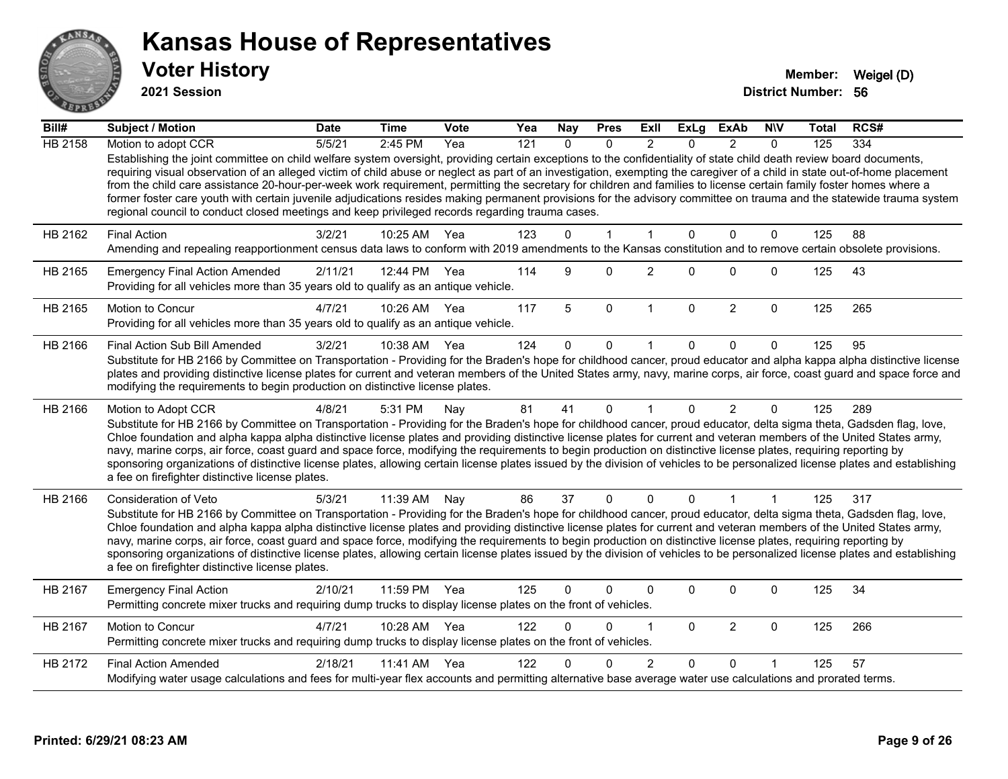

**2021 Session**

| Bill#          | Subject / Motion                                                                                                                                                                                                                                                                                                                                                                                                                                                                                                                                                                                                                                                                                                                                                                                      | <b>Date</b> | <b>Time</b>  | <b>Vote</b> | Yea | <b>Nay</b>   | <b>Pres</b>  | ExII           | <b>ExLg</b>  | <b>ExAb</b>    | <b>NIV</b>   | Total | RCS# |
|----------------|-------------------------------------------------------------------------------------------------------------------------------------------------------------------------------------------------------------------------------------------------------------------------------------------------------------------------------------------------------------------------------------------------------------------------------------------------------------------------------------------------------------------------------------------------------------------------------------------------------------------------------------------------------------------------------------------------------------------------------------------------------------------------------------------------------|-------------|--------------|-------------|-----|--------------|--------------|----------------|--------------|----------------|--------------|-------|------|
| <b>HB 2158</b> | Motion to adopt CCR                                                                                                                                                                                                                                                                                                                                                                                                                                                                                                                                                                                                                                                                                                                                                                                   | 5/5/21      | 2:45 PM      | Yea         | 121 | $\Omega$     | $\Omega$     | $\mathcal{P}$  | $\Omega$     | $\mathcal{P}$  | $\Omega$     | 125   | 334  |
|                | Establishing the joint committee on child welfare system oversight, providing certain exceptions to the confidentiality of state child death review board documents,<br>requiring visual observation of an alleged victim of child abuse or neglect as part of an investigation, exempting the caregiver of a child in state out-of-home placement<br>from the child care assistance 20-hour-per-week work requirement, permitting the secretary for children and families to license certain family foster homes where a<br>former foster care youth with certain juvenile adjudications resides making permanent provisions for the advisory committee on trauma and the statewide trauma system<br>regional council to conduct closed meetings and keep privileged records regarding trauma cases. |             |              |             |     |              |              |                |              |                |              |       |      |
| HB 2162        | <b>Final Action</b>                                                                                                                                                                                                                                                                                                                                                                                                                                                                                                                                                                                                                                                                                                                                                                                   | 3/2/21      | 10:25 AM     | Yea         | 123 | $\Omega$     | $\mathbf 1$  | $\overline{1}$ | $\Omega$     | $\mathbf 0$    | $\mathbf 0$  | 125   | 88   |
|                | Amending and repealing reapportionment census data laws to conform with 2019 amendments to the Kansas constitution and to remove certain obsolete provisions.                                                                                                                                                                                                                                                                                                                                                                                                                                                                                                                                                                                                                                         |             |              |             |     |              |              |                |              |                |              |       |      |
| HB 2165        | <b>Emergency Final Action Amended</b><br>Providing for all vehicles more than 35 years old to qualify as an antique vehicle.                                                                                                                                                                                                                                                                                                                                                                                                                                                                                                                                                                                                                                                                          | 2/11/21     | 12:44 PM Yea |             | 114 | 9            | $\mathbf 0$  | $\overline{2}$ | $\Omega$     | $\Omega$       | $\mathbf{0}$ | 125   | 43   |
| HB 2165        | Motion to Concur<br>Providing for all vehicles more than 35 years old to qualify as an antique vehicle.                                                                                                                                                                                                                                                                                                                                                                                                                                                                                                                                                                                                                                                                                               | 4/7/21      | 10:26 AM     | Yea         | 117 | 5            | $\mathbf 0$  | $\mathbf{1}$   | $\mathbf 0$  | $\overline{2}$ | $\mathbf 0$  | 125   | 265  |
| HB 2166        | Final Action Sub Bill Amended                                                                                                                                                                                                                                                                                                                                                                                                                                                                                                                                                                                                                                                                                                                                                                         | 3/2/21      | 10:38 AM     | Yea         | 124 | $\Omega$     | $\mathbf 0$  |                | 0            | $\Omega$       | $\Omega$     | 125   | 95   |
|                | Substitute for HB 2166 by Committee on Transportation - Providing for the Braden's hope for childhood cancer, proud educator and alpha kappa alpha distinctive license<br>plates and providing distinctive license plates for current and veteran members of the United States army, navy, marine corps, air force, coast guard and space force and<br>modifying the requirements to begin production on distinctive license plates.                                                                                                                                                                                                                                                                                                                                                                  |             |              |             |     |              |              |                |              |                |              |       |      |
| HB 2166        | Motion to Adopt CCR                                                                                                                                                                                                                                                                                                                                                                                                                                                                                                                                                                                                                                                                                                                                                                                   | 4/8/21      | 5:31 PM      | Nay         | 81  | 41           | $\mathbf{0}$ |                | $\Omega$     | $\overline{2}$ | $\mathbf{0}$ | 125   | 289  |
|                | Substitute for HB 2166 by Committee on Transportation - Providing for the Braden's hope for childhood cancer, proud educator, delta sigma theta, Gadsden flag, love,<br>Chloe foundation and alpha kappa alpha distinctive license plates and providing distinctive license plates for current and veteran members of the United States army,<br>navy, marine corps, air force, coast guard and space force, modifying the requirements to begin production on distinctive license plates, requiring reporting by<br>sponsoring organizations of distinctive license plates, allowing certain license plates issued by the division of vehicles to be personalized license plates and establishing<br>a fee on firefighter distinctive license plates.                                                |             |              |             |     |              |              |                |              |                |              |       |      |
| HB 2166        | Consideration of Veto                                                                                                                                                                                                                                                                                                                                                                                                                                                                                                                                                                                                                                                                                                                                                                                 | 5/3/21      | 11:39 AM     | Nay         | 86  | 37           | $\mathbf 0$  | $\mathbf{0}$   | $\mathbf{0}$ | 1              | 1            | 125   | 317  |
|                | Substitute for HB 2166 by Committee on Transportation - Providing for the Braden's hope for childhood cancer, proud educator, delta sigma theta, Gadsden flag, love,<br>Chloe foundation and alpha kappa alpha distinctive license plates and providing distinctive license plates for current and veteran members of the United States army,<br>navy, marine corps, air force, coast guard and space force, modifying the requirements to begin production on distinctive license plates, requiring reporting by<br>sponsoring organizations of distinctive license plates, allowing certain license plates issued by the division of vehicles to be personalized license plates and establishing<br>a fee on firefighter distinctive license plates.                                                |             |              |             |     |              |              |                |              |                |              |       |      |
| HB 2167        | <b>Emergency Final Action</b><br>Permitting concrete mixer trucks and requiring dump trucks to display license plates on the front of vehicles.                                                                                                                                                                                                                                                                                                                                                                                                                                                                                                                                                                                                                                                       | 2/10/21     | 11:59 PM     | Yea         | 125 | $\mathbf{0}$ | 0            | $\Omega$       | 0            | $\Omega$       | $\mathbf 0$  | 125   | 34   |
| HB 2167        | Motion to Concur<br>Permitting concrete mixer trucks and requiring dump trucks to display license plates on the front of vehicles.                                                                                                                                                                                                                                                                                                                                                                                                                                                                                                                                                                                                                                                                    | 4/7/21      | 10:28 AM     | Yea         | 122 | $\Omega$     | 0            |                | $\Omega$     | $\overline{2}$ | $\mathbf 0$  | 125   | 266  |
| HB 2172        | <b>Final Action Amended</b>                                                                                                                                                                                                                                                                                                                                                                                                                                                                                                                                                                                                                                                                                                                                                                           | 2/18/21     | 11:41 AM     | Yea         | 122 | <sup>n</sup> | $\Omega$     | 2              | $\Omega$     | $\Omega$       |              | 125   | 57   |
|                | Modifying water usage calculations and fees for multi-year flex accounts and permitting alternative base average water use calculations and prorated terms.                                                                                                                                                                                                                                                                                                                                                                                                                                                                                                                                                                                                                                           |             |              |             |     |              |              |                |              |                |              |       |      |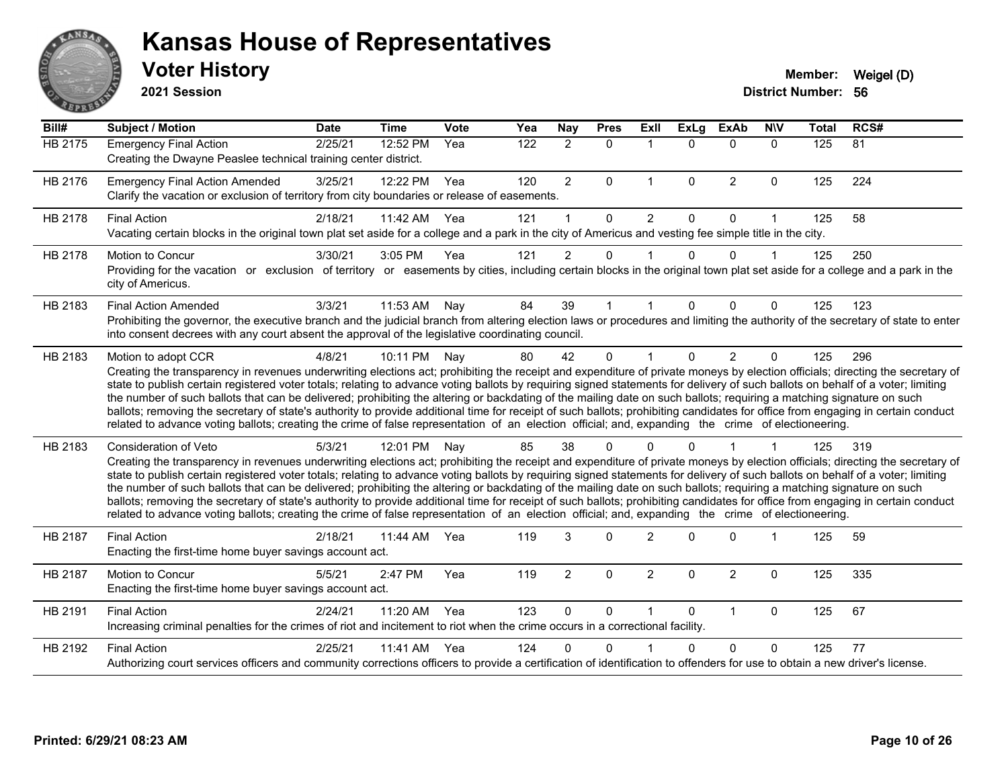

**2021 Session**

| Bill#          | <b>Subject / Motion</b>                                                                                                                                                                                                                                                                                                                                                                                                                                                                                                                                                                                                                                                                                                                                                                                                                                                                                           | <b>Date</b> | <b>Time</b> | Vote | Yea | <b>Nay</b>     | <b>Pres</b> | Exll           | <b>ExLg</b>  | <b>ExAb</b>    | <b>NIV</b>   | <b>Total</b> | RCS#            |
|----------------|-------------------------------------------------------------------------------------------------------------------------------------------------------------------------------------------------------------------------------------------------------------------------------------------------------------------------------------------------------------------------------------------------------------------------------------------------------------------------------------------------------------------------------------------------------------------------------------------------------------------------------------------------------------------------------------------------------------------------------------------------------------------------------------------------------------------------------------------------------------------------------------------------------------------|-------------|-------------|------|-----|----------------|-------------|----------------|--------------|----------------|--------------|--------------|-----------------|
| <b>HB 2175</b> | <b>Emergency Final Action</b><br>Creating the Dwayne Peaslee technical training center district.                                                                                                                                                                                                                                                                                                                                                                                                                                                                                                                                                                                                                                                                                                                                                                                                                  | 2/25/21     | 12:52 PM    | Yea  | 122 | $\overline{2}$ | $\mathbf 0$ | $\mathbf{1}$   | $\Omega$     | $\mathbf 0$    | $\mathbf{0}$ | 125          | $\overline{81}$ |
| HB 2176        | <b>Emergency Final Action Amended</b><br>Clarify the vacation or exclusion of territory from city boundaries or release of easements.                                                                                                                                                                                                                                                                                                                                                                                                                                                                                                                                                                                                                                                                                                                                                                             | 3/25/21     | 12:22 PM    | Yea  | 120 | $\overline{c}$ | $\Omega$    | $\mathbf{1}$   | $\mathbf{0}$ | 2              | $\mathbf 0$  | 125          | 224             |
| HB 2178        | <b>Final Action</b><br>Vacating certain blocks in the original town plat set aside for a college and a park in the city of Americus and vesting fee simple title in the city.                                                                                                                                                                                                                                                                                                                                                                                                                                                                                                                                                                                                                                                                                                                                     | 2/18/21     | 11:42 AM    | Yea  | 121 |                | $\Omega$    | 2              | $\Omega$     | $\Omega$       | 1            | 125          | 58              |
| HB 2178        | <b>Motion to Concur</b><br>Providing for the vacation or exclusion of territory or easements by cities, including certain blocks in the original town plat set aside for a college and a park in the<br>city of Americus.                                                                                                                                                                                                                                                                                                                                                                                                                                                                                                                                                                                                                                                                                         | 3/30/21     | 3:05 PM     | Yea  | 121 | $\overline{2}$ | 0           |                | $\Omega$     | $\Omega$       | 1            | 125          | 250             |
| HB 2183        | <b>Final Action Amended</b><br>Prohibiting the governor, the executive branch and the judicial branch from altering election laws or procedures and limiting the authority of the secretary of state to enter<br>into consent decrees with any court absent the approval of the legislative coordinating council.                                                                                                                                                                                                                                                                                                                                                                                                                                                                                                                                                                                                 | 3/3/21      | 11:53 AM    | Nay  | 84  | 39             |             |                | $\Omega$     | $\Omega$       | 0            | 125          | 123             |
| HB 2183        | Motion to adopt CCR<br>Creating the transparency in revenues underwriting elections act; prohibiting the receipt and expenditure of private moneys by election officials; directing the secretary of<br>state to publish certain registered voter totals; relating to advance voting ballots by requiring signed statements for delivery of such ballots on behalf of a voter; limiting<br>the number of such ballots that can be delivered; prohibiting the altering or backdating of the mailing date on such ballots; requiring a matching signature on such<br>ballots; removing the secretary of state's authority to provide additional time for receipt of such ballots; prohibiting candidates for office from engaging in certain conduct<br>related to advance voting ballots; creating the crime of false representation of an election official; and, expanding the crime of electioneering.          | 4/8/21      | 10:11 PM    | Nay  | 80  | 42             | $\Omega$    |                | $\Omega$     | $\overline{2}$ | 0            | 125          | 296             |
| HB 2183        | <b>Consideration of Veto</b><br>Creating the transparency in revenues underwriting elections act; prohibiting the receipt and expenditure of private moneys by election officials; directing the secretary of<br>state to publish certain registered voter totals; relating to advance voting ballots by requiring signed statements for delivery of such ballots on behalf of a voter; limiting<br>the number of such ballots that can be delivered; prohibiting the altering or backdating of the mailing date on such ballots; requiring a matching signature on such<br>ballots; removing the secretary of state's authority to provide additional time for receipt of such ballots; prohibiting candidates for office from engaging in certain conduct<br>related to advance voting ballots; creating the crime of false representation of an election official; and, expanding the crime of electioneering. | 5/3/21      | 12:01 PM    | Nay  | 85  | 38             | 0           |                |              |                |              | 125          | 319             |
| <b>HB 2187</b> | <b>Final Action</b><br>Enacting the first-time home buyer savings account act.                                                                                                                                                                                                                                                                                                                                                                                                                                                                                                                                                                                                                                                                                                                                                                                                                                    | 2/18/21     | 11:44 AM    | Yea  | 119 | 3              | $\Omega$    | $\overline{2}$ | ∩            | $\Omega$       | 1            | 125          | 59              |
| <b>HB 2187</b> | Motion to Concur<br>Enacting the first-time home buyer savings account act.                                                                                                                                                                                                                                                                                                                                                                                                                                                                                                                                                                                                                                                                                                                                                                                                                                       | 5/5/21      | 2:47 PM     | Yea  | 119 | $\overline{2}$ | $\Omega$    | $\overline{2}$ | $\Omega$     | $\overline{2}$ | 0            | 125          | 335             |
| HB 2191        | <b>Final Action</b><br>Increasing criminal penalties for the crimes of riot and incitement to riot when the crime occurs in a correctional facility.                                                                                                                                                                                                                                                                                                                                                                                                                                                                                                                                                                                                                                                                                                                                                              | 2/24/21     | 11:20 AM    | Yea  | 123 | $\mathbf{0}$   | $\Omega$    |                | $\Omega$     | $\mathbf{1}$   | $\mathbf{0}$ | 125          | 67              |
| HB 2192        | <b>Final Action</b><br>Authorizing court services officers and community corrections officers to provide a certification of identification to offenders for use to obtain a new driver's license.                                                                                                                                                                                                                                                                                                                                                                                                                                                                                                                                                                                                                                                                                                                 | 2/25/21     | 11:41 AM    | Yea  | 124 | 0              | 0           |                | U            | $\Omega$       | 0            | 125          | 77              |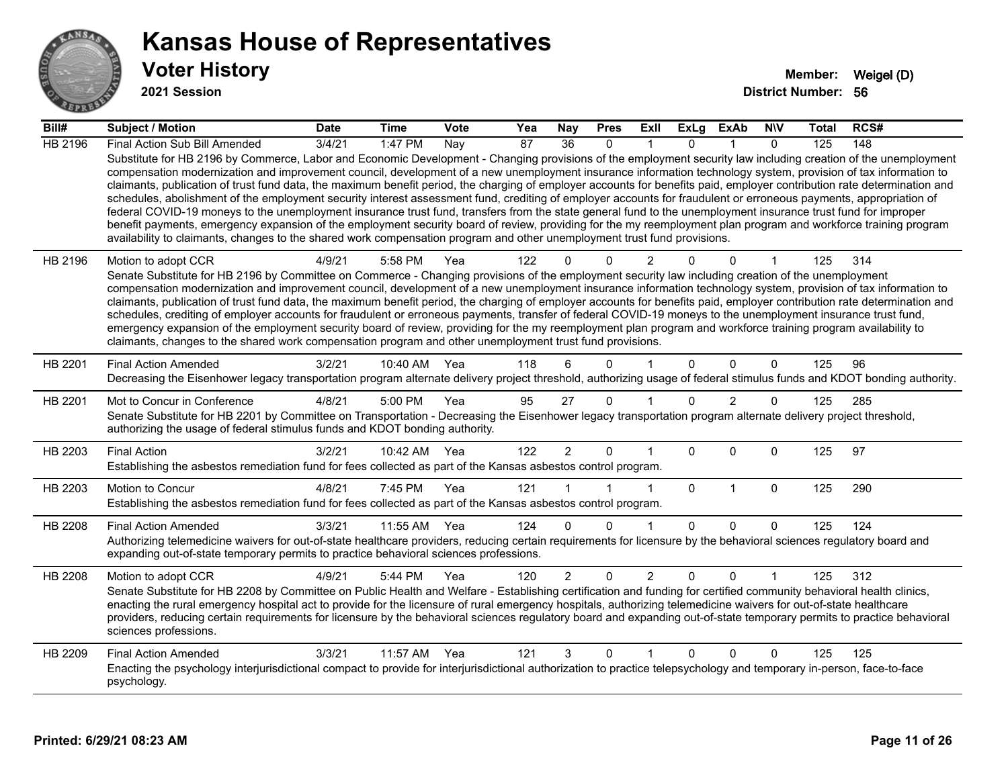

**2021 Session**

| Bill#          | <b>Subject / Motion</b>                                                                                                                                                                                                                                                                                                                                                                                                                                                                                                                                                                                                                                                                                                                                                                                                                                                                                                                                                                                                                                                                                                                           | <b>Date</b> | <b>Time</b> | <b>Vote</b> | Yea | <b>Nay</b>     | <b>Pres</b>  | ExII           | ExLg        | ExAb           | <b>NIV</b>   | <b>Total</b> | RCS# |
|----------------|---------------------------------------------------------------------------------------------------------------------------------------------------------------------------------------------------------------------------------------------------------------------------------------------------------------------------------------------------------------------------------------------------------------------------------------------------------------------------------------------------------------------------------------------------------------------------------------------------------------------------------------------------------------------------------------------------------------------------------------------------------------------------------------------------------------------------------------------------------------------------------------------------------------------------------------------------------------------------------------------------------------------------------------------------------------------------------------------------------------------------------------------------|-------------|-------------|-------------|-----|----------------|--------------|----------------|-------------|----------------|--------------|--------------|------|
| <b>HB 2196</b> | Final Action Sub Bill Amended                                                                                                                                                                                                                                                                                                                                                                                                                                                                                                                                                                                                                                                                                                                                                                                                                                                                                                                                                                                                                                                                                                                     | 3/4/21      | 1:47 PM     | Nay         | 87  | 36             | $\Omega$     |                | $\Omega$    |                | $\Omega$     | 125          | 148  |
|                | Substitute for HB 2196 by Commerce, Labor and Economic Development - Changing provisions of the employment security law including creation of the unemployment<br>compensation modernization and improvement council, development of a new unemployment insurance information technology system, provision of tax information to<br>claimants, publication of trust fund data, the maximum benefit period, the charging of employer accounts for benefits paid, employer contribution rate determination and<br>schedules, abolishment of the employment security interest assessment fund, crediting of employer accounts for fraudulent or erroneous payments, appropriation of<br>federal COVID-19 moneys to the unemployment insurance trust fund, transfers from the state general fund to the unemployment insurance trust fund for improper<br>benefit payments, emergency expansion of the employment security board of review, providing for the my reemployment plan program and workforce training program<br>availability to claimants, changes to the shared work compensation program and other unemployment trust fund provisions. |             |             |             |     |                |              |                |             |                |              |              |      |
| HB 2196        | Motion to adopt CCR<br>Senate Substitute for HB 2196 by Committee on Commerce - Changing provisions of the employment security law including creation of the unemployment<br>compensation modernization and improvement council, development of a new unemployment insurance information technology system, provision of tax information to<br>claimants, publication of trust fund data, the maximum benefit period, the charging of employer accounts for benefits paid, employer contribution rate determination and<br>schedules, crediting of employer accounts for fraudulent or erroneous payments, transfer of federal COVID-19 moneys to the unemployment insurance trust fund,<br>emergency expansion of the employment security board of review, providing for the my reemployment plan program and workforce training program availability to<br>claimants, changes to the shared work compensation program and other unemployment trust fund provisions.                                                                                                                                                                             | 4/9/21      | 5:58 PM     | Yea         | 122 | $\Omega$       | $\Omega$     | 2              |             | $\Omega$       |              | 125          | 314  |
| HB 2201        | <b>Final Action Amended</b><br>Decreasing the Eisenhower legacy transportation program alternate delivery project threshold, authorizing usage of federal stimulus funds and KDOT bonding authority.                                                                                                                                                                                                                                                                                                                                                                                                                                                                                                                                                                                                                                                                                                                                                                                                                                                                                                                                              | 3/2/21      | 10:40 AM    | Yea         | 118 | 6              | $\Omega$     |                | $\Omega$    | $\Omega$       | $\mathbf{0}$ | 125          | 96   |
| HB 2201        | Mot to Concur in Conference<br>Senate Substitute for HB 2201 by Committee on Transportation - Decreasing the Eisenhower legacy transportation program alternate delivery project threshold,<br>authorizing the usage of federal stimulus funds and KDOT bonding authority.                                                                                                                                                                                                                                                                                                                                                                                                                                                                                                                                                                                                                                                                                                                                                                                                                                                                        | 4/8/21      | 5:00 PM     | Yea         | 95  | 27             | $\mathbf{0}$ |                | $\Omega$    | $\overline{2}$ | $\Omega$     | 125          | 285  |
| HB 2203        | <b>Final Action</b><br>Establishing the asbestos remediation fund for fees collected as part of the Kansas asbestos control program.                                                                                                                                                                                                                                                                                                                                                                                                                                                                                                                                                                                                                                                                                                                                                                                                                                                                                                                                                                                                              | 3/2/21      | 10:42 AM    | Yea         | 122 | $\overline{2}$ | $\Omega$     | 1              | $\Omega$    | $\Omega$       | $\mathbf 0$  | 125          | 97   |
| HB 2203        | Motion to Concur<br>Establishing the asbestos remediation fund for fees collected as part of the Kansas asbestos control program.                                                                                                                                                                                                                                                                                                                                                                                                                                                                                                                                                                                                                                                                                                                                                                                                                                                                                                                                                                                                                 | 4/8/21      | 7:45 PM     | Yea         | 121 |                |              | 1              | $\mathbf 0$ | $\mathbf{1}$   | $\mathbf 0$  | 125          | 290  |
| HB 2208        | <b>Final Action Amended</b><br>Authorizing telemedicine waivers for out-of-state healthcare providers, reducing certain requirements for licensure by the behavioral sciences regulatory board and<br>expanding out-of-state temporary permits to practice behavioral sciences professions.                                                                                                                                                                                                                                                                                                                                                                                                                                                                                                                                                                                                                                                                                                                                                                                                                                                       | 3/3/21      | 11:55 AM    | Yea         | 124 | $\Omega$       | $\Omega$     | 1              | $\Omega$    | $\Omega$       | $\Omega$     | 125          | 124  |
| <b>HB 2208</b> | Motion to adopt CCR<br>Senate Substitute for HB 2208 by Committee on Public Health and Welfare - Establishing certification and funding for certified community behavioral health clinics,<br>enacting the rural emergency hospital act to provide for the licensure of rural emergency hospitals, authorizing telemedicine waivers for out-of-state healthcare<br>providers, reducing certain requirements for licensure by the behavioral sciences regulatory board and expanding out-of-state temporary permits to practice behavioral<br>sciences professions.                                                                                                                                                                                                                                                                                                                                                                                                                                                                                                                                                                                | 4/9/21      | 5:44 PM     | Yea         | 120 | $\overline{2}$ | $\Omega$     | $\overline{2}$ | $\Omega$    | $\Omega$       |              | 125          | 312  |
| HB 2209        | <b>Final Action Amended</b><br>Enacting the psychology interjurisdictional compact to provide for interjurisdictional authorization to practice telepsychology and temporary in-person, face-to-face<br>psychology.                                                                                                                                                                                                                                                                                                                                                                                                                                                                                                                                                                                                                                                                                                                                                                                                                                                                                                                               | 3/3/21      | 11:57 AM    | Yea         | 121 | 3              | 0            | 1              | 0           | 0              | 0            | 125          | 125  |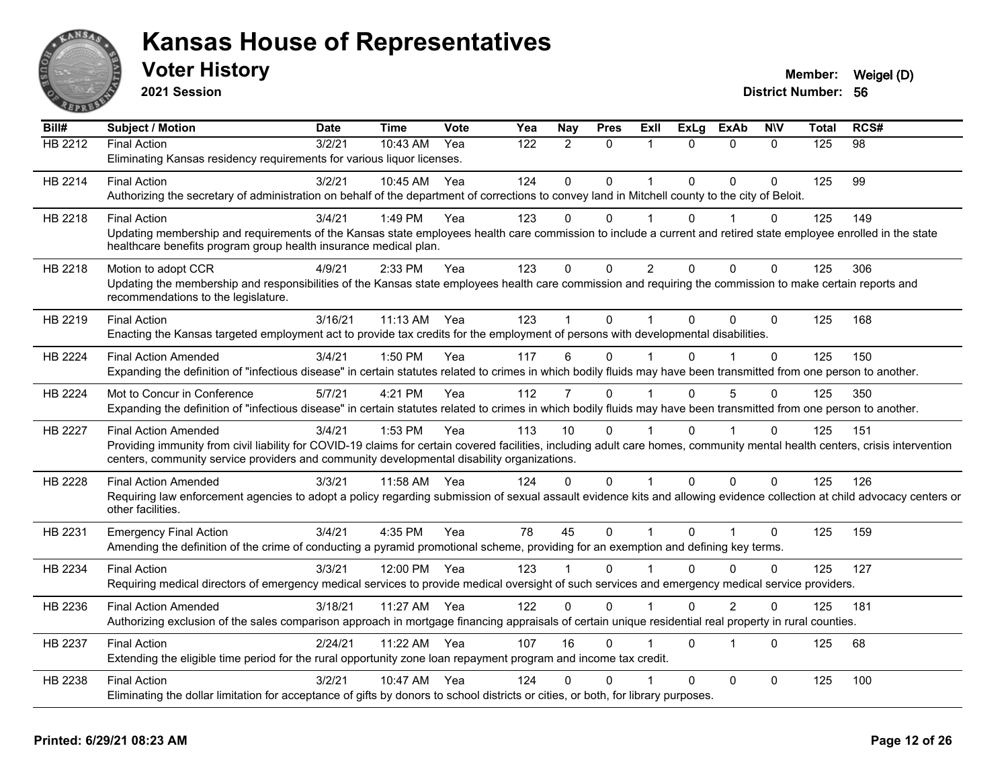

**2021 Session**

| Bill#          | <b>Subject / Motion</b>                                                                                                                                                                                                                                                    | <b>Date</b> | <b>Time</b> | Vote | Yea | Nay         | <b>Pres</b>  | ExII           | <b>ExLg</b>  | <b>ExAb</b>    | <b>NIV</b>   | Total | RCS# |
|----------------|----------------------------------------------------------------------------------------------------------------------------------------------------------------------------------------------------------------------------------------------------------------------------|-------------|-------------|------|-----|-------------|--------------|----------------|--------------|----------------|--------------|-------|------|
| HB 2212        | <b>Final Action</b>                                                                                                                                                                                                                                                        | 3/2/21      | 10:43 AM    | Yea  | 122 | 2           | $\mathbf{0}$ | 1              | $\Omega$     | $\mathbf{0}$   | $\Omega$     | 125   | 98   |
|                | Eliminating Kansas residency requirements for various liquor licenses.                                                                                                                                                                                                     |             |             |      |     |             |              |                |              |                |              |       |      |
| HB 2214        | <b>Final Action</b>                                                                                                                                                                                                                                                        | 3/2/21      | 10:45 AM    | Yea  | 124 | $\mathbf 0$ | 0            | 1              | $\Omega$     | $\Omega$       | $\Omega$     | 125   | 99   |
|                | Authorizing the secretary of administration on behalf of the department of corrections to convey land in Mitchell county to the city of Beloit.                                                                                                                            |             |             |      |     |             |              |                |              |                |              |       |      |
| HB 2218        | <b>Final Action</b>                                                                                                                                                                                                                                                        | 3/4/21      | 1:49 PM     | Yea  | 123 | 0           | $\mathbf{0}$ | 1              | 0            |                | 0            | 125   | 149  |
|                | Updating membership and requirements of the Kansas state employees health care commission to include a current and retired state employee enrolled in the state                                                                                                            |             |             |      |     |             |              |                |              |                |              |       |      |
|                | healthcare benefits program group health insurance medical plan.                                                                                                                                                                                                           |             |             |      |     |             |              |                |              |                |              |       |      |
| HB 2218        | Motion to adopt CCR                                                                                                                                                                                                                                                        | 4/9/21      | 2:33 PM     | Yea  | 123 | $\mathbf 0$ | 0            | $\overline{2}$ | $\mathbf{0}$ | $\mathbf{0}$   | 0            | 125   | 306  |
|                | Updating the membership and responsibilities of the Kansas state employees health care commission and requiring the commission to make certain reports and                                                                                                                 |             |             |      |     |             |              |                |              |                |              |       |      |
|                | recommendations to the legislature.                                                                                                                                                                                                                                        |             |             |      |     |             |              |                |              |                |              |       |      |
| HB 2219        | <b>Final Action</b>                                                                                                                                                                                                                                                        | 3/16/21     | $11:13$ AM  | Yea  | 123 |             | $\Omega$     | 1              | $\Omega$     | $\Omega$       | $\Omega$     | 125   | 168  |
|                | Enacting the Kansas targeted employment act to provide tax credits for the employment of persons with developmental disabilities.                                                                                                                                          |             |             |      |     |             |              |                |              |                |              |       |      |
| HB 2224        | <b>Final Action Amended</b>                                                                                                                                                                                                                                                | 3/4/21      | 1:50 PM     | Yea  | 117 | 6           | $\Omega$     |                | $\Omega$     |                | $\Omega$     | 125   | 150  |
|                | Expanding the definition of "infectious disease" in certain statutes related to crimes in which bodily fluids may have been transmitted from one person to another.                                                                                                        |             |             |      |     |             |              |                |              |                |              |       |      |
| HB 2224        | Mot to Concur in Conference                                                                                                                                                                                                                                                | 5/7/21      | 4:21 PM     | Yea  | 112 | 7           | $\Omega$     |                | $\Omega$     | $\overline{5}$ | $\Omega$     | 125   | 350  |
|                | Expanding the definition of "infectious disease" in certain statutes related to crimes in which bodily fluids may have been transmitted from one person to another.                                                                                                        |             |             |      |     |             |              |                |              |                |              |       |      |
|                |                                                                                                                                                                                                                                                                            |             |             |      |     |             |              |                |              |                |              |       |      |
| <b>HB 2227</b> | <b>Final Action Amended</b>                                                                                                                                                                                                                                                | 3/4/21      | 1:53 PM     | Yea  | 113 | 10          | $\Omega$     |                | $\Omega$     |                | $\mathbf{0}$ | 125   | 151  |
|                | Providing immunity from civil liability for COVID-19 claims for certain covered facilities, including adult care homes, community mental health centers, crisis intervention<br>centers, community service providers and community developmental disability organizations. |             |             |      |     |             |              |                |              |                |              |       |      |
| HB 2228        | <b>Final Action Amended</b>                                                                                                                                                                                                                                                | 3/3/21      | 11:58 AM    | Yea  | 124 | 0           | 0            | 1              | 0            | $\mathbf 0$    | 0            | 125   | 126  |
|                | Requiring law enforcement agencies to adopt a policy regarding submission of sexual assault evidence kits and allowing evidence collection at child advocacy centers or                                                                                                    |             |             |      |     |             |              |                |              |                |              |       |      |
|                | other facilities.                                                                                                                                                                                                                                                          |             |             |      |     |             |              |                |              |                |              |       |      |
| HB 2231        | <b>Emergency Final Action</b>                                                                                                                                                                                                                                              | 3/4/21      | 4:35 PM     | Yea  | 78  | 45          | $\mathbf 0$  | $\mathbf{1}$   | $\Omega$     | $\overline{1}$ | $\mathbf 0$  | 125   | 159  |
|                | Amending the definition of the crime of conducting a pyramid promotional scheme, providing for an exemption and defining key terms.                                                                                                                                        |             |             |      |     |             |              |                |              |                |              |       |      |
| HB 2234        | <b>Final Action</b>                                                                                                                                                                                                                                                        | 3/3/21      | 12:00 PM    | Yea  | 123 |             | $\Omega$     |                | <sup>0</sup> | 0              | $\Omega$     | 125   | 127  |
|                | Requiring medical directors of emergency medical services to provide medical oversight of such services and emergency medical service providers.                                                                                                                           |             |             |      |     |             |              |                |              |                |              |       |      |
| HB 2236        | <b>Final Action Amended</b>                                                                                                                                                                                                                                                | 3/18/21     | 11:27 AM    | Yea  | 122 | $\Omega$    | $\mathbf{0}$ |                | $\Omega$     | 2              | $\Omega$     | 125   | 181  |
|                | Authorizing exclusion of the sales comparison approach in mortgage financing appraisals of certain unique residential real property in rural counties.                                                                                                                     |             |             |      |     |             |              |                |              |                |              |       |      |
|                |                                                                                                                                                                                                                                                                            |             |             |      |     |             |              |                |              |                |              |       |      |
| HB 2237        | <b>Final Action</b><br>Extending the eligible time period for the rural opportunity zone loan repayment program and income tax credit.                                                                                                                                     | 2/24/21     | 11:22 AM    | Yea  | 107 | 16          | $\Omega$     |                | $\Omega$     | 1              | $\Omega$     | 125   | 68   |
|                |                                                                                                                                                                                                                                                                            |             |             |      |     |             |              |                |              |                |              |       |      |
| HB 2238        | <b>Final Action</b>                                                                                                                                                                                                                                                        | 3/2/21      | 10:47 AM    | Yea  | 124 | 0           | 0            |                | $\Omega$     | $\mathbf{0}$   | $\Omega$     | 125   | 100  |
|                | Eliminating the dollar limitation for acceptance of gifts by donors to school districts or cities, or both, for library purposes.                                                                                                                                          |             |             |      |     |             |              |                |              |                |              |       |      |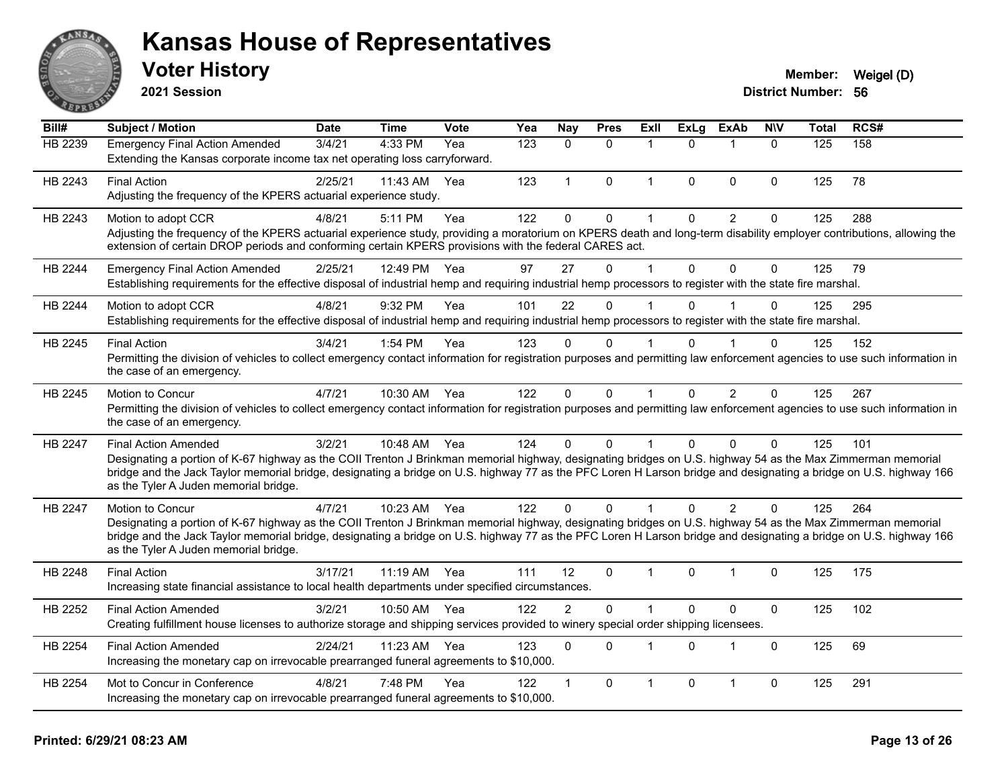

**2021 Session**

| Bill#          | Subject / Motion                                                                                                                                                                                                                                                                                                                                                                                         | <b>Date</b> | <b>Time</b>  | Vote | $\overline{Y}$ ea | Nay            | <b>Pres</b>  | Exll         | <b>ExLg</b>    | <b>ExAb</b>    | <b>NIV</b>   | <b>Total</b> | RCS# |
|----------------|----------------------------------------------------------------------------------------------------------------------------------------------------------------------------------------------------------------------------------------------------------------------------------------------------------------------------------------------------------------------------------------------------------|-------------|--------------|------|-------------------|----------------|--------------|--------------|----------------|----------------|--------------|--------------|------|
| HB 2239        | <b>Emergency Final Action Amended</b><br>Extending the Kansas corporate income tax net operating loss carryforward.                                                                                                                                                                                                                                                                                      | 3/4/21      | 4:33 PM      | Yea  | 123               | $\Omega$       | $\Omega$     | 1            | $\Omega$       |                | $\mathbf{0}$ | 125          | 158  |
| HB 2243        | <b>Final Action</b><br>Adjusting the frequency of the KPERS actuarial experience study.                                                                                                                                                                                                                                                                                                                  | 2/25/21     | 11:43 AM     | Yea  | 123               | $\mathbf{1}$   | $\mathbf{0}$ | $\mathbf 1$  | $\Omega$       | $\mathbf{0}$   | $\Omega$     | 125          | 78   |
| HB 2243        | Motion to adopt CCR<br>Adjusting the frequency of the KPERS actuarial experience study, providing a moratorium on KPERS death and long-term disability employer contributions, allowing the<br>extension of certain DROP periods and conforming certain KPERS provisions with the federal CARES act.                                                                                                     | 4/8/21      | 5:11 PM      | Yea  | 122               | 0              | 0            | 1            | $\mathbf 0$    | $\overline{2}$ | $\mathbf 0$  | 125          | 288  |
| HB 2244        | <b>Emergency Final Action Amended</b><br>Establishing requirements for the effective disposal of industrial hemp and requiring industrial hemp processors to register with the state fire marshal.                                                                                                                                                                                                       | 2/25/21     | 12:49 PM     | Yea  | 97                | 27             | $\mathbf{0}$ | $\mathbf{1}$ | $\Omega$       | $\mathbf 0$    | $\mathbf 0$  | 125          | 79   |
| HB 2244        | Motion to adopt CCR<br>Establishing requirements for the effective disposal of industrial hemp and requiring industrial hemp processors to register with the state fire marshal.                                                                                                                                                                                                                         | 4/8/21      | 9:32 PM      | Yea  | 101               | 22             | $\Omega$     |              | 0              |                | $\Omega$     | 125          | 295  |
| HB 2245        | <b>Final Action</b><br>Permitting the division of vehicles to collect emergency contact information for registration purposes and permitting law enforcement agencies to use such information in<br>the case of an emergency.                                                                                                                                                                            | 3/4/21      | 1:54 PM      | Yea  | 123               | $\Omega$       | $\Omega$     |              | <sup>0</sup>   |                | $\Omega$     | 125          | 152  |
| HB 2245        | Motion to Concur<br>Permitting the division of vehicles to collect emergency contact information for registration purposes and permitting law enforcement agencies to use such information in<br>the case of an emergency.                                                                                                                                                                               | 4/7/21      | 10:30 AM     | Yea  | 122               | $\mathbf{0}$   | $\mathbf 0$  | $\mathbf{1}$ | $\overline{0}$ | $\overline{2}$ | 0            | 125          | 267  |
| HB 2247        | <b>Final Action Amended</b><br>Designating a portion of K-67 highway as the COII Trenton J Brinkman memorial highway, designating bridges on U.S. highway 54 as the Max Zimmerman memorial<br>bridge and the Jack Taylor memorial bridge, designating a bridge on U.S. highway 77 as the PFC Loren H Larson bridge and designating a bridge on U.S. highway 166<br>as the Tyler A Juden memorial bridge. | 3/2/21      | 10:48 AM Yea |      | 124               | $\Omega$       | $\Omega$     | $\mathbf{1}$ | $\Omega$       | $\Omega$       | $\Omega$     | 125          | 101  |
| <b>HB 2247</b> | Motion to Concur<br>Designating a portion of K-67 highway as the COII Trenton J Brinkman memorial highway, designating bridges on U.S. highway 54 as the Max Zimmerman memorial<br>bridge and the Jack Taylor memorial bridge, designating a bridge on U.S. highway 77 as the PFC Loren H Larson bridge and designating a bridge on U.S. highway 166<br>as the Tyler A Juden memorial bridge.            | 4/7/21      | 10:23 AM Yea |      | 122               | $\Omega$       | $\Omega$     | $\mathbf{1}$ | $\Omega$       | 2              | $\Omega$     | 125          | 264  |
| HB 2248        | <b>Final Action</b><br>Increasing state financial assistance to local health departments under specified circumstances.                                                                                                                                                                                                                                                                                  | 3/17/21     | 11:19 AM Yea |      | 111               | 12             | $\Omega$     | $\mathbf 1$  | $\Omega$       | 1              | $\mathbf 0$  | 125          | 175  |
| HB 2252        | <b>Final Action Amended</b><br>Creating fulfillment house licenses to authorize storage and shipping services provided to winery special order shipping licensees.                                                                                                                                                                                                                                       | 3/2/21      | 10:50 AM     | Yea  | 122               | $\overline{2}$ | $\Omega$     | $\mathbf{1}$ | $\Omega$       | $\mathbf{0}$   | $\mathbf 0$  | 125          | 102  |
| HB 2254        | <b>Final Action Amended</b><br>Increasing the monetary cap on irrevocable prearranged funeral agreements to \$10,000.                                                                                                                                                                                                                                                                                    | 2/24/21     | 11:23 AM     | Yea  | 123               | $\Omega$       | 0            | $\mathbf 1$  | $\mathbf{0}$   | 1              | $\Omega$     | 125          | 69   |
| HB 2254        | Mot to Concur in Conference<br>Increasing the monetary cap on irrevocable prearranged funeral agreements to \$10,000.                                                                                                                                                                                                                                                                                    | 4/8/21      | 7:48 PM      | Yea  | 122               | $\mathbf 1$    | $\Omega$     | 1            | $\Omega$       | $\overline{1}$ | $\mathbf 0$  | 125          | 291  |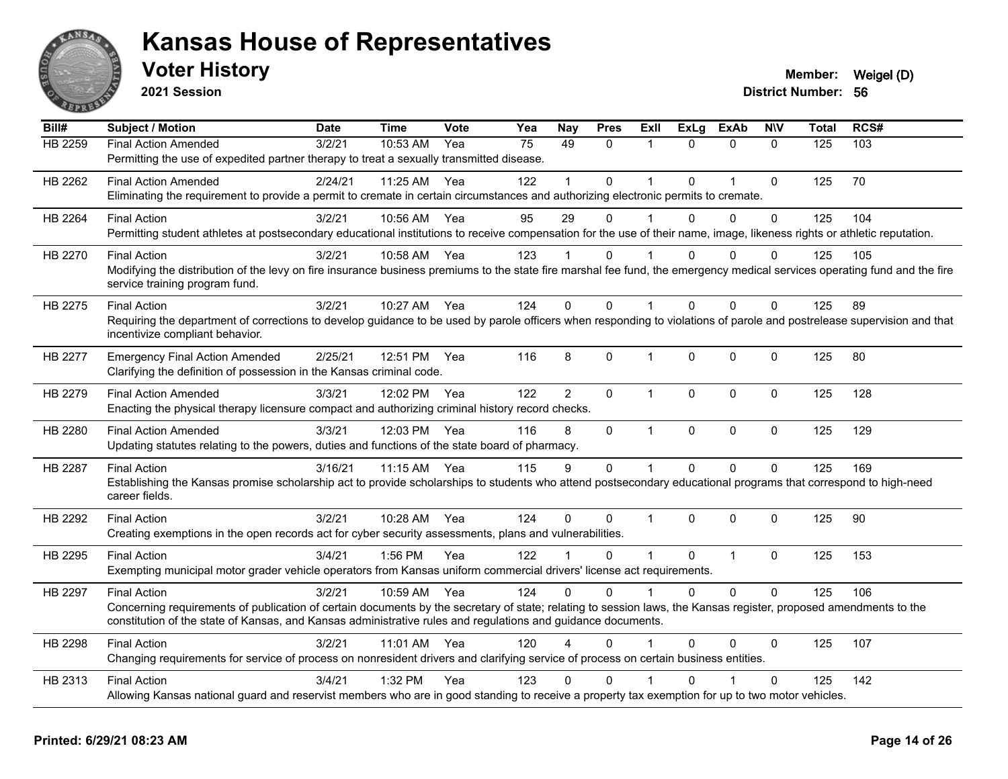

**2021 Session**

| Bill#          | <b>Subject / Motion</b>                                                                                                                                                   | <b>Date</b> | <b>Time</b> | Vote | Yea | <b>Nay</b>     | <b>Pres</b>  | ExII           | <b>ExLg</b>  | <b>ExAb</b>    | <b>NIV</b>   | <b>Total</b> | RCS# |
|----------------|---------------------------------------------------------------------------------------------------------------------------------------------------------------------------|-------------|-------------|------|-----|----------------|--------------|----------------|--------------|----------------|--------------|--------------|------|
| <b>HB 2259</b> | <b>Final Action Amended</b>                                                                                                                                               | 3/2/21      | 10:53 AM    | Yea  | 75  | 49             | $\Omega$     | $\mathbf{1}$   | $\Omega$     | $\mathbf{0}$   | $\Omega$     | 125          | 103  |
|                | Permitting the use of expedited partner therapy to treat a sexually transmitted disease.                                                                                  |             |             |      |     |                |              |                |              |                |              |              |      |
| HB 2262        | <b>Final Action Amended</b>                                                                                                                                               | 2/24/21     | 11:25 AM    | Yea  | 122 |                | $\Omega$     |                | $\Omega$     | 1              | $\mathbf{0}$ | 125          | 70   |
|                | Eliminating the requirement to provide a permit to cremate in certain circumstances and authorizing electronic permits to cremate.                                        |             |             |      |     |                |              |                |              |                |              |              |      |
| HB 2264        | <b>Final Action</b>                                                                                                                                                       | 3/2/21      | 10:56 AM    | Yea  | 95  | 29             | $\Omega$     |                | $\Omega$     | $\Omega$       | $\mathbf{0}$ | 125          | 104  |
|                | Permitting student athletes at postsecondary educational institutions to receive compensation for the use of their name, image, likeness rights or athletic reputation.   |             |             |      |     |                |              |                |              |                |              |              |      |
| HB 2270        | <b>Final Action</b>                                                                                                                                                       | 3/2/21      | 10:58 AM    | Yea  | 123 |                | 0            |                | $\Omega$     | $\Omega$       | $\Omega$     | 125          | 105  |
|                | Modifying the distribution of the levy on fire insurance business premiums to the state fire marshal fee fund, the emergency medical services operating fund and the fire |             |             |      |     |                |              |                |              |                |              |              |      |
|                | service training program fund.                                                                                                                                            |             |             |      |     |                |              |                |              |                |              |              |      |
| HB 2275        | <b>Final Action</b>                                                                                                                                                       | 3/2/21      | 10:27 AM    | Yea  | 124 | $\Omega$       | $\Omega$     | $\mathbf{1}$   | $\Omega$     | $\Omega$       | $\mathbf{0}$ | 125          | 89   |
|                | Requiring the department of corrections to develop guidance to be used by parole officers when responding to violations of parole and postrelease supervision and that    |             |             |      |     |                |              |                |              |                |              |              |      |
|                | incentivize compliant behavior.                                                                                                                                           |             |             |      |     |                |              |                |              |                |              |              |      |
| HB 2277        | <b>Emergency Final Action Amended</b>                                                                                                                                     | 2/25/21     | 12:51 PM    | Yea  | 116 | 8              | $\Omega$     | $\mathbf 1$    | $\mathbf{0}$ | $\mathbf 0$    | $\Omega$     | 125          | 80   |
|                | Clarifying the definition of possession in the Kansas criminal code.                                                                                                      |             |             |      |     |                |              |                |              |                |              |              |      |
| HB 2279        | <b>Final Action Amended</b>                                                                                                                                               | 3/3/21      | 12:02 PM    | Yea  | 122 | $\overline{2}$ | 0            | $\mathbf{1}$   | $\Omega$     | $\mathbf{0}$   | $\Omega$     | 125          | 128  |
|                | Enacting the physical therapy licensure compact and authorizing criminal history record checks.                                                                           |             |             |      |     |                |              |                |              |                |              |              |      |
| HB 2280        | <b>Final Action Amended</b>                                                                                                                                               | 3/3/21      | 12:03 PM    | Yea  | 116 | 8              | 0            | $\mathbf{1}$   | $\pmb{0}$    | $\mathbf 0$    | $\pmb{0}$    | 125          | 129  |
|                | Updating statutes relating to the powers, duties and functions of the state board of pharmacy.                                                                            |             |             |      |     |                |              |                |              |                |              |              |      |
| HB 2287        | <b>Final Action</b>                                                                                                                                                       | 3/16/21     | 11:15 AM    | Yea  | 115 | 9              | 0            | $\mathbf{1}$   | $\Omega$     | $\Omega$       | $\Omega$     | 125          | 169  |
|                | Establishing the Kansas promise scholarship act to provide scholarships to students who attend postsecondary educational programs that correspond to high-need            |             |             |      |     |                |              |                |              |                |              |              |      |
|                | career fields.                                                                                                                                                            |             |             |      |     |                |              |                |              |                |              |              |      |
| HB 2292        | <b>Final Action</b>                                                                                                                                                       | 3/2/21      | 10:28 AM    | Yea  | 124 | $\Omega$       | $\mathbf{0}$ | $\mathbf{1}$   | $\Omega$     | $\Omega$       | $\mathbf{0}$ | 125          | 90   |
|                | Creating exemptions in the open records act for cyber security assessments, plans and vulnerabilities.                                                                    |             |             |      |     |                |              |                |              |                |              |              |      |
| HB 2295        | <b>Final Action</b>                                                                                                                                                       | 3/4/21      | 1:56 PM     | Yea  | 122 |                | $\Omega$     | $\overline{1}$ | $\mathbf{0}$ | $\overline{1}$ | $\mathbf 0$  | 125          | 153  |
|                | Exempting municipal motor grader vehicle operators from Kansas uniform commercial drivers' license act requirements.                                                      |             |             |      |     |                |              |                |              |                |              |              |      |
| HB 2297        | <b>Final Action</b>                                                                                                                                                       | 3/2/21      | 10:59 AM    | Yea  | 124 | $\Omega$       | $\Omega$     | $\mathbf{1}$   | $\Omega$     | $\Omega$       | $\Omega$     | 125          | 106  |
|                | Concerning requirements of publication of certain documents by the secretary of state; relating to session laws, the Kansas register, proposed amendments to the          |             |             |      |     |                |              |                |              |                |              |              |      |
|                | constitution of the state of Kansas, and Kansas administrative rules and regulations and guidance documents.                                                              |             |             |      |     |                |              |                |              |                |              |              |      |
| HB 2298        | <b>Final Action</b>                                                                                                                                                       | 3/2/21      | 11:01 AM    | Yea  | 120 |                | $\Omega$     |                | $\Omega$     | $\Omega$       | $\mathbf{0}$ | 125          | 107  |
|                | Changing requirements for service of process on nonresident drivers and clarifying service of process on certain business entities.                                       |             |             |      |     |                |              |                |              |                |              |              |      |
| HB 2313        | <b>Final Action</b>                                                                                                                                                       | 3/4/21      | 1:32 PM     | Yea  | 123 | 0              | $\mathbf{0}$ |                | U            |                | $\mathbf{0}$ | 125          | 142  |
|                | Allowing Kansas national guard and reservist members who are in good standing to receive a property tax exemption for up to two motor vehicles.                           |             |             |      |     |                |              |                |              |                |              |              |      |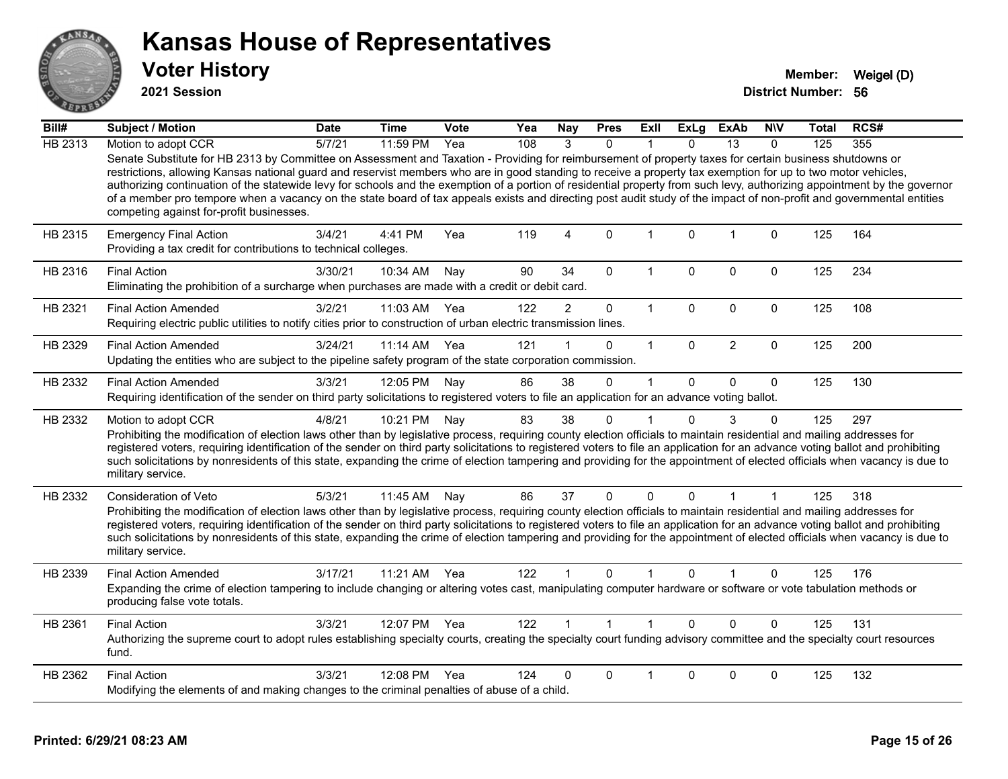

**2021 Session**

| Bill#   | Subject / Motion                                                                                                                                                                                                                                                                                                                                                                                                                                                                                                                                                                                                                                                                                                          | <b>Date</b> | Time       | Vote | Yea | <b>Nay</b>     | <b>Pres</b>          | ExII         | ExLg         | <b>ExAb</b>  | <b>NIV</b>  | Total | RCS# |
|---------|---------------------------------------------------------------------------------------------------------------------------------------------------------------------------------------------------------------------------------------------------------------------------------------------------------------------------------------------------------------------------------------------------------------------------------------------------------------------------------------------------------------------------------------------------------------------------------------------------------------------------------------------------------------------------------------------------------------------------|-------------|------------|------|-----|----------------|----------------------|--------------|--------------|--------------|-------------|-------|------|
| HB 2313 | Motion to adopt CCR                                                                                                                                                                                                                                                                                                                                                                                                                                                                                                                                                                                                                                                                                                       | 5/7/21      | 11:59 PM   | Yea  | 108 | 3              | $\Omega$             |              | <sup>n</sup> | 13           | $\Omega$    | 125   | 355  |
|         | Senate Substitute for HB 2313 by Committee on Assessment and Taxation - Providing for reimbursement of property taxes for certain business shutdowns or<br>restrictions, allowing Kansas national guard and reservist members who are in good standing to receive a property tax exemption for up to two motor vehicles,<br>authorizing continuation of the statewide levy for schools and the exemption of a portion of residential property from such levy, authorizing appointment by the governor<br>of a member pro tempore when a vacancy on the state board of tax appeals exists and directing post audit study of the impact of non-profit and governmental entities<br>competing against for-profit businesses. |             |            |      |     |                |                      |              |              |              |             |       |      |
| HB 2315 | <b>Emergency Final Action</b><br>Providing a tax credit for contributions to technical colleges.                                                                                                                                                                                                                                                                                                                                                                                                                                                                                                                                                                                                                          | 3/4/21      | 4:41 PM    | Yea  | 119 | 4              | $\Omega$             | $\mathbf{1}$ | $\Omega$     | $\mathbf{1}$ | $\mathbf 0$ | 125   | 164  |
| HB 2316 | <b>Final Action</b><br>Eliminating the prohibition of a surcharge when purchases are made with a credit or debit card.                                                                                                                                                                                                                                                                                                                                                                                                                                                                                                                                                                                                    | 3/30/21     | 10:34 AM   | Nay  | 90  | 34             | 0                    | $\mathbf{1}$ | $\Omega$     | 0            | 0           | 125   | 234  |
| HB 2321 | <b>Final Action Amended</b><br>Requiring electric public utilities to notify cities prior to construction of urban electric transmission lines.                                                                                                                                                                                                                                                                                                                                                                                                                                                                                                                                                                           | 3/2/21      | 11:03 AM   | Yea  | 122 | $\overline{2}$ | 0                    | $\mathbf{1}$ | $\mathbf 0$  | 0            | $\mathbf 0$ | 125   | 108  |
| HB 2329 | <b>Final Action Amended</b><br>Updating the entities who are subject to the pipeline safety program of the state corporation commission.                                                                                                                                                                                                                                                                                                                                                                                                                                                                                                                                                                                  | 3/24/21     | $11:14$ AM | Yea  | 121 |                | 0                    | $\mathbf{1}$ | $\Omega$     | 2            | $\mathbf 0$ | 125   | 200  |
| HB 2332 | <b>Final Action Amended</b><br>Requiring identification of the sender on third party solicitations to registered voters to file an application for an advance voting ballot.                                                                                                                                                                                                                                                                                                                                                                                                                                                                                                                                              | 3/3/21      | 12:05 PM   | Nay  | 86  | 38             | $\Omega$             | $\mathbf{1}$ | $\mathbf{0}$ | $\Omega$     | $\Omega$    | 125   | 130  |
| HB 2332 | Motion to adopt CCR<br>Prohibiting the modification of election laws other than by legislative process, requiring county election officials to maintain residential and mailing addresses for<br>registered voters, requiring identification of the sender on third party solicitations to registered voters to file an application for an advance voting ballot and prohibiting<br>such solicitations by nonresidents of this state, expanding the crime of election tampering and providing for the appointment of elected officials when vacancy is due to<br>military service.                                                                                                                                        | 4/8/21      | 10:21 PM   | Nay  | 83  | 38             | 0                    | $\mathbf 1$  | $\Omega$     | 3            | $\Omega$    | 125   | 297  |
| HB 2332 | Consideration of Veto<br>Prohibiting the modification of election laws other than by legislative process, requiring county election officials to maintain residential and mailing addresses for<br>registered voters, requiring identification of the sender on third party solicitations to registered voters to file an application for an advance voting ballot and prohibiting<br>such solicitations by nonresidents of this state, expanding the crime of election tampering and providing for the appointment of elected officials when vacancy is due to<br>military service.                                                                                                                                      | 5/3/21      | 11:45 AM   | Nay  | 86  | 37             | 0                    | $\Omega$     | 0            |              | 1           | 125   | 318  |
| HB 2339 | <b>Final Action Amended</b><br>Expanding the crime of election tampering to include changing or altering votes cast, manipulating computer hardware or software or vote tabulation methods or<br>producing false vote totals.                                                                                                                                                                                                                                                                                                                                                                                                                                                                                             | 3/17/21     | 11:21 AM   | Yea  | 122 | $\mathbf 1$    | $\Omega$             | 1            | $\Omega$     |              | $\Omega$    | 125   | 176  |
| HB 2361 | <b>Final Action</b><br>Authorizing the supreme court to adopt rules establishing specialty courts, creating the specialty court funding advisory committee and the specialty court resources<br>fund.                                                                                                                                                                                                                                                                                                                                                                                                                                                                                                                     | 3/3/21      | 12:07 PM   | Yea  | 122 |                | $\blacktriangleleft$ | $\mathbf{1}$ | $\Omega$     | $\Omega$     | $\Omega$    | 125   | 131  |
| HB 2362 | <b>Final Action</b><br>Modifying the elements of and making changes to the criminal penalties of abuse of a child.                                                                                                                                                                                                                                                                                                                                                                                                                                                                                                                                                                                                        | 3/3/21      | 12:08 PM   | Yea  | 124 | 0              | 0                    | 1            | $\Omega$     | 0            | 0           | 125   | 132  |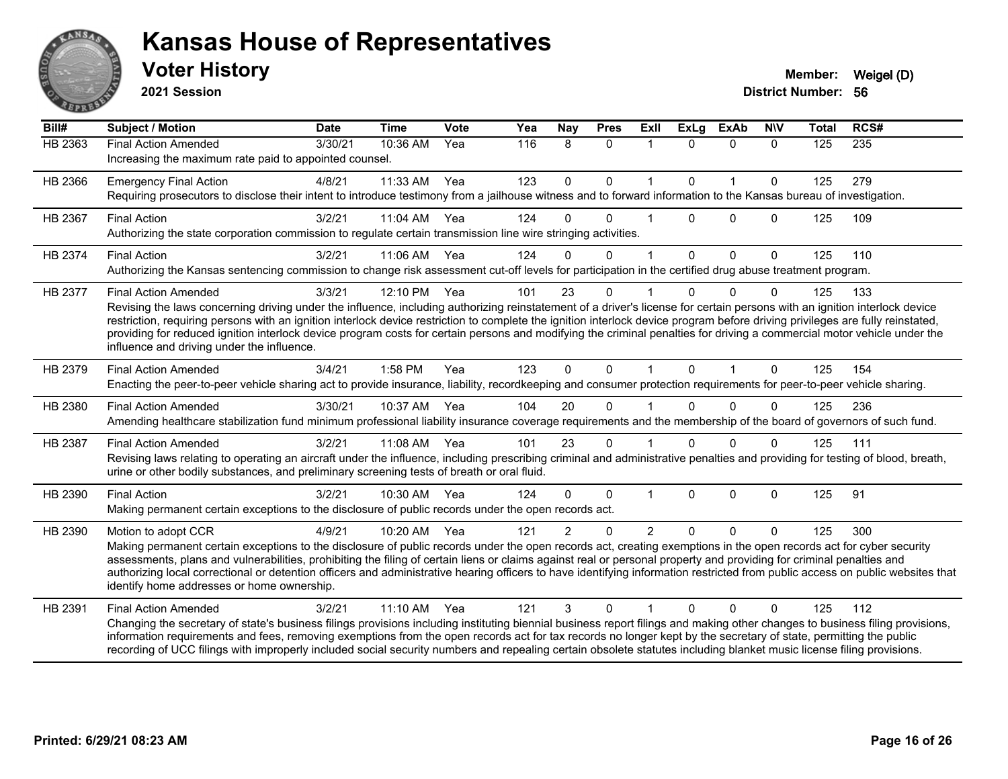

**2021 Session**

| Bill#   | <b>Subject / Motion</b>                                                                                                                                                                                                                                                                                                                                                                                                                                                                                                                                                                                             | <b>Date</b> | <b>Time</b>  | <b>Vote</b> | Yea | Nay           | <b>Pres</b>  | ExIl           | <b>ExLg</b>  | <b>ExAb</b>  | <b>NIV</b>  | <b>Total</b> | RCS# |
|---------|---------------------------------------------------------------------------------------------------------------------------------------------------------------------------------------------------------------------------------------------------------------------------------------------------------------------------------------------------------------------------------------------------------------------------------------------------------------------------------------------------------------------------------------------------------------------------------------------------------------------|-------------|--------------|-------------|-----|---------------|--------------|----------------|--------------|--------------|-------------|--------------|------|
| HB 2363 | <b>Final Action Amended</b><br>Increasing the maximum rate paid to appointed counsel.                                                                                                                                                                                                                                                                                                                                                                                                                                                                                                                               | 3/30/21     | 10:36 AM     | Yea         | 116 | 8             | $\mathbf{0}$ | $\mathbf{1}$   | $\Omega$     | $\mathbf{0}$ | $\Omega$    | 125          | 235  |
| HB 2366 | <b>Emergency Final Action</b><br>Requiring prosecutors to disclose their intent to introduce testimony from a jailhouse witness and to forward information to the Kansas bureau of investigation.                                                                                                                                                                                                                                                                                                                                                                                                                   | 4/8/21      | 11:33 AM     | Yea         | 123 | $\mathbf 0$   | $\mathbf 0$  | $\mathbf{1}$   | $\mathbf{0}$ | $\mathbf{1}$ | $\Omega$    | 125          | 279  |
| HB 2367 | <b>Final Action</b><br>Authorizing the state corporation commission to regulate certain transmission line wire stringing activities.                                                                                                                                                                                                                                                                                                                                                                                                                                                                                | 3/2/21      | 11:04 AM Yea |             | 124 | 0             | $\Omega$     |                | $\Omega$     | $\Omega$     | $\Omega$    | 125          | 109  |
| HB 2374 | <b>Final Action</b><br>Authorizing the Kansas sentencing commission to change risk assessment cut-off levels for participation in the certified drug abuse treatment program.                                                                                                                                                                                                                                                                                                                                                                                                                                       | 3/2/21      | 11:06 AM     | Yea         | 124 | 0             | $\mathbf{0}$ |                | $\mathbf{0}$ | $\mathbf 0$  | $\mathbf 0$ | 125          | 110  |
| HB 2377 | <b>Final Action Amended</b><br>Revising the laws concerning driving under the influence, including authorizing reinstatement of a driver's license for certain persons with an ignition interlock device<br>restriction, requiring persons with an ignition interlock device restriction to complete the ignition interlock device program before driving privileges are fully reinstated,<br>providing for reduced ignition interlock device program costs for certain persons and modifying the criminal penalties for driving a commercial motor vehicle under the<br>influence and driving under the influence. | 3/3/21      | 12:10 PM     | Yea         | 101 | 23            | $\Omega$     |                | $\Omega$     | $\Omega$     | $\Omega$    | 125          | 133  |
| HB 2379 | <b>Final Action Amended</b><br>Enacting the peer-to-peer vehicle sharing act to provide insurance, liability, recordkeeping and consumer protection requirements for peer-to-peer vehicle sharing.                                                                                                                                                                                                                                                                                                                                                                                                                  | 3/4/21      | $1:58$ PM    | Yea         | 123 | $\mathbf 0$   | $\Omega$     | 1              | $\Omega$     |              | $\Omega$    | 125          | 154  |
| HB 2380 | <b>Final Action Amended</b><br>Amending healthcare stabilization fund minimum professional liability insurance coverage requirements and the membership of the board of governors of such fund.                                                                                                                                                                                                                                                                                                                                                                                                                     | 3/30/21     | 10:37 AM     | Yea         | 104 | 20            | $\Omega$     |                | $\Omega$     | $\Omega$     | 0           | 125          | 236  |
| HB 2387 | <b>Final Action Amended</b><br>Revising laws relating to operating an aircraft under the influence, including prescribing criminal and administrative penalties and providing for testing of blood, breath,<br>urine or other bodily substances, and preliminary screening tests of breath or oral fluid.                                                                                                                                                                                                                                                                                                           | 3/2/21      | 11:08 AM     | Yea         | 101 | 23            | $\Omega$     |                | $\Omega$     | $\Omega$     | $\Omega$    | 125          | 111  |
| HB 2390 | <b>Final Action</b><br>Making permanent certain exceptions to the disclosure of public records under the open records act.                                                                                                                                                                                                                                                                                                                                                                                                                                                                                          | 3/2/21      | 10:30 AM     | Yea         | 124 | $\Omega$      | $\mathbf 0$  | 1              | $\mathbf{0}$ | $\mathbf 0$  | $\mathbf 0$ | 125          | 91   |
| HB 2390 | Motion to adopt CCR<br>Making permanent certain exceptions to the disclosure of public records under the open records act, creating exemptions in the open records act for cyber security<br>assessments, plans and vulnerabilities, prohibiting the filing of certain liens or claims against real or personal property and providing for criminal penalties and<br>authorizing local correctional or detention officers and administrative hearing officers to have identifying information restricted from public access on public websites that<br>identify home addresses or home ownership.                   | 4/9/21      | $10:20$ AM   | Yea         | 121 | $\mathcal{P}$ | $\Omega$     | $\mathfrak{p}$ | $\Omega$     | $\Omega$     | $\Omega$    | 125          | 300  |
| HB 2391 | <b>Final Action Amended</b><br>Changing the secretary of state's business filings provisions including instituting biennial business report filings and making other changes to business filing provisions,<br>information requirements and fees, removing exemptions from the open records act for tax records no longer kept by the secretary of state, permitting the public<br>recording of UCC filings with improperly included social security numbers and repealing certain obsolete statutes including blanket music license filing provisions.                                                             | 3/2/21      | 11:10 AM     | Yea         | 121 | 3             | $\Omega$     |                | $\Omega$     | $\Omega$     | 0           | 125          | 112  |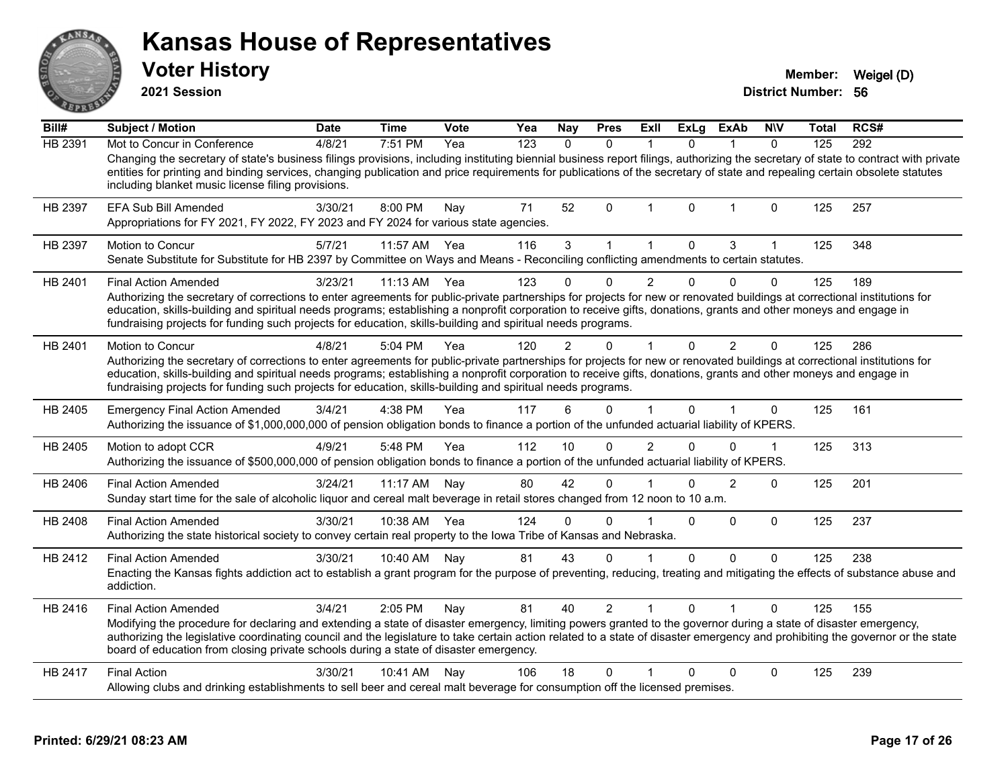|         | <b>Voter History</b><br>2021 Session                                                                                                                                                                                                                                                                                                                                                                                                                                                        |             |                |             |     |              |              |                |              |             |              | Member:<br><b>District Number: 56</b> | Weigel (D) |
|---------|---------------------------------------------------------------------------------------------------------------------------------------------------------------------------------------------------------------------------------------------------------------------------------------------------------------------------------------------------------------------------------------------------------------------------------------------------------------------------------------------|-------------|----------------|-------------|-----|--------------|--------------|----------------|--------------|-------------|--------------|---------------------------------------|------------|
| Bill#   | <b>Subject / Motion</b>                                                                                                                                                                                                                                                                                                                                                                                                                                                                     | <b>Date</b> | <b>Time</b>    | <b>Vote</b> | Yea | <b>Nay</b>   | <b>Pres</b>  | Exll           | <b>ExLg</b>  | <b>ExAb</b> | <b>NIV</b>   | Total                                 | RCS#       |
| HB 2391 | Mot to Concur in Conference<br>Changing the secretary of state's business filings provisions, including instituting biennial business report filings, authorizing the secretary of state to contract with private<br>entities for printing and binding services, changing publication and price requirements for publications of the secretary of state and repealing certain obsolete statutes<br>including blanket music license filing provisions.                                       | 4/8/21      | 7:51 PM        | Yea         | 123 | $\mathbf{0}$ | $\mathbf{0}$ | $\mathbf{1}$   | $\mathbf{0}$ | 1           | $\mathbf{0}$ | 125                                   | 292        |
| HB 2397 | EFA Sub Bill Amended<br>Appropriations for FY 2021, FY 2022, FY 2023 and FY 2024 for various state agencies.                                                                                                                                                                                                                                                                                                                                                                                | 3/30/21     | 8:00 PM        | Nay         | 71  | 52           | $\Omega$     | 1              | $\mathbf{0}$ | 1           | $\Omega$     | 125                                   | 257        |
| HB 2397 | <b>Motion to Concur</b><br>Senate Substitute for Substitute for HB 2397 by Committee on Ways and Means - Reconciling conflicting amendments to certain statutes.                                                                                                                                                                                                                                                                                                                            | 5/7/21      | 11:57 AM       | Yea         | 116 | 3            | $\mathbf{1}$ | $\mathbf{1}$   | $\Omega$     | 3           | 1            | 125                                   | 348        |
| HB 2401 | <b>Final Action Amended</b><br>Authorizing the secretary of corrections to enter agreements for public-private partnerships for projects for new or renovated buildings at correctional institutions for<br>education, skills-building and spiritual needs programs; establishing a nonprofit corporation to receive gifts, donations, grants and other moneys and engage in<br>fundraising projects for funding such projects for education, skills-building and spiritual needs programs. | 3/23/21     | $11:13$ AM Yea |             | 123 | 0            |              | 2              | 0            |             | 0            | 125                                   | 189        |
| HB 2401 | <b>Motion to Concur</b><br>Authorizing the secretary of corrections to enter agreements for public-private partnerships for projects for new or renovated buildings at correctional institutions for<br>education, skills-building and spiritual needs programs; establishing a nonprofit corporation to receive gifts, donations, grants and other moneys and engage in<br>fundraising projects for funding such projects for education, skills-building and spiritual needs programs.     | 4/8/21      | 5:04 PM        | Yea         | 120 | 2            | U            |                | $\Omega$     | 2           | $\Omega$     | 125                                   | 286        |
| HB 2405 | <b>Emergency Final Action Amended</b><br>Authorizing the issuance of \$1,000,000,000 of pension obligation bonds to finance a portion of the unfunded actuarial liability of KPERS.                                                                                                                                                                                                                                                                                                         | 3/4/21      | 4:38 PM        | Yea         | 117 | 6            | $\Omega$     |                | 0            |             | 0            | 125                                   | 161        |
| HB 2405 | Motion to adopt CCR<br>Authorizing the issuance of \$500,000,000 of pension obligation bonds to finance a portion of the unfunded actuarial liability of KPERS.                                                                                                                                                                                                                                                                                                                             | 4/9/21      | 5:48 PM        | Yea         | 112 | 10           | 0            | $\overline{2}$ | 0            | 0           | 1            | 125                                   | 313        |
| HB 2406 | <b>Final Action Amended</b><br>Sunday start time for the sale of alcoholic liquor and cereal malt beverage in retail stores changed from 12 noon to 10 a.m.                                                                                                                                                                                                                                                                                                                                 | 3/24/21     | 11:17 AM       | Nay         | 80  | 42           | $\Omega$     | 1              | $\Omega$     | 2           | 0            | 125                                   | 201        |
| HB 2408 | <b>Final Action Amended</b><br>Authorizing the state historical society to convey certain real property to the lowa Tribe of Kansas and Nebraska.                                                                                                                                                                                                                                                                                                                                           | 3/30/21     | 10:38 AM Yea   |             | 124 | $\Omega$     | 0            |                | $\mathbf{0}$ | $\Omega$    | $\Omega$     | 125                                   | 237        |
| HB 2412 | <b>Final Action Amended</b><br>Enacting the Kansas fights addiction act to establish a grant program for the purpose of preventing, reducing, treating and mitigating the effects of substance abuse and<br>addiction.                                                                                                                                                                                                                                                                      | 3/30/21     | 10:40 AM       | Nay         | 81  | 43           | 0            |                | $\Omega$     | $\Omega$    | 0            | 125                                   | 238        |
| HB 2416 | <b>Final Action Amended</b><br>Modifying the procedure for declaring and extending a state of disaster emergency, limiting powers granted to the governor during a state of disaster emergency,<br>authorizing the legislative coordinating council and the legislature to take certain action related to a state of disaster emergency and prohibiting the governor or the state<br>board of education from closing private schools during a state of disaster emergency.                  | 3/4/21      | 2:05 PM        | Nay         | 81  | 40           | 2            |                | 0            |             | 0            | 125                                   | 155        |
| HB 2417 | <b>Final Action</b><br>Allowing clubs and drinking establishments to sell beer and cereal malt beverage for consumption off the licensed premises.                                                                                                                                                                                                                                                                                                                                          | 3/30/21     | 10:41 AM       | Nay         | 106 | 18           | 0            | $\mathbf{1}$   | 0            | 0           | 0            | 125                                   | 239        |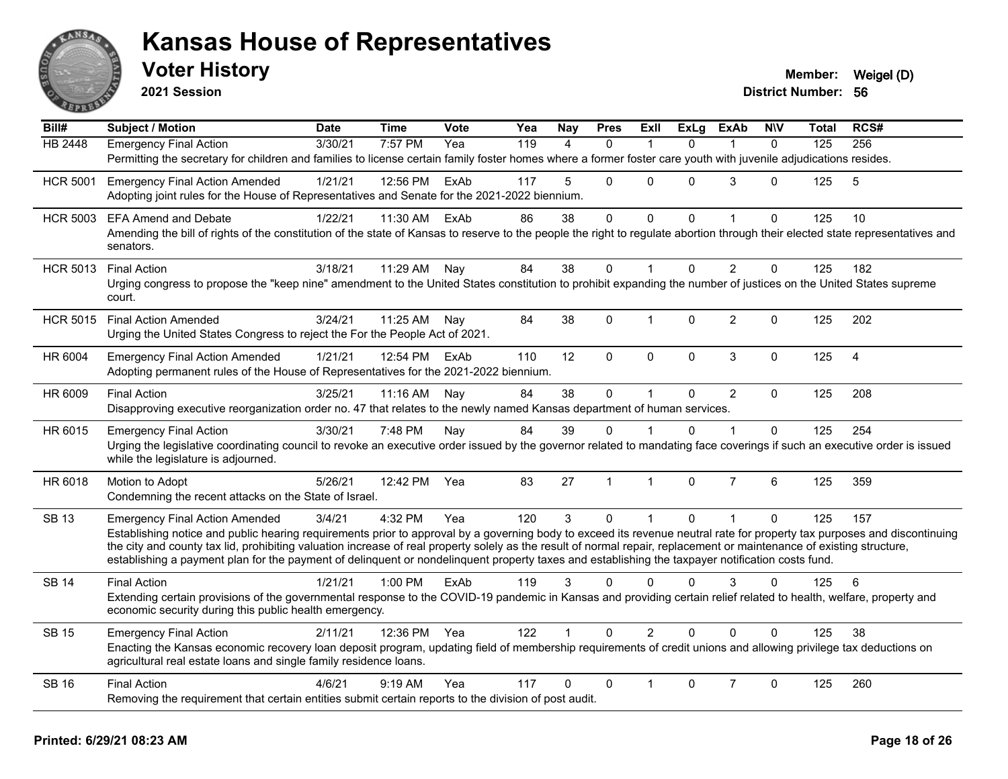

**2021 Session**

| Bill#           | Subject / Motion                                                                                                                                                                                                                                                                                                          | <b>Date</b> | Time      | <b>Vote</b> | Yea | <b>Nay</b> | <b>Pres</b>    | ExII           | ExLg         | ExAb           | <b>NIV</b>   | Total | RCS#           |
|-----------------|---------------------------------------------------------------------------------------------------------------------------------------------------------------------------------------------------------------------------------------------------------------------------------------------------------------------------|-------------|-----------|-------------|-----|------------|----------------|----------------|--------------|----------------|--------------|-------|----------------|
| HB 2448         | <b>Emergency Final Action</b>                                                                                                                                                                                                                                                                                             | 3/30/21     | 7:57 PM   | Yea         | 119 | 4          | $\Omega$       | $\overline{1}$ | $\Omega$     |                | $\Omega$     | 125   | 256            |
|                 | Permitting the secretary for children and families to license certain family foster homes where a former foster care youth with juvenile adjudications resides.                                                                                                                                                           |             |           |             |     |            |                |                |              |                |              |       |                |
| <b>HCR 5001</b> | <b>Emergency Final Action Amended</b>                                                                                                                                                                                                                                                                                     | 1/21/21     | 12:56 PM  | ExAb        | 117 | 5          | 0              | 0              | $\Omega$     | 3              | $\Omega$     | 125   | $\sqrt{5}$     |
|                 | Adopting joint rules for the House of Representatives and Senate for the 2021-2022 biennium.                                                                                                                                                                                                                              |             |           |             |     |            |                |                |              |                |              |       |                |
| <b>HCR 5003</b> | <b>EFA Amend and Debate</b>                                                                                                                                                                                                                                                                                               | 1/22/21     | 11:30 AM  | ExAb        | 86  | 38         | 0              | 0              | $\Omega$     |                | $\mathbf{0}$ | 125   | 10             |
|                 | Amending the bill of rights of the constitution of the state of Kansas to reserve to the people the right to regulate abortion through their elected state representatives and<br>senators.                                                                                                                               |             |           |             |     |            |                |                |              |                |              |       |                |
| <b>HCR 5013</b> | <b>Final Action</b>                                                                                                                                                                                                                                                                                                       | 3/18/21     | 11:29 AM  | Nay         | 84  | 38         | $\mathbf 0$    | $\mathbf{1}$   | $\mathbf{0}$ | $\overline{2}$ | $\mathbf 0$  | 125   | 182            |
|                 | Urging congress to propose the "keep nine" amendment to the United States constitution to prohibit expanding the number of justices on the United States supreme<br>court.                                                                                                                                                |             |           |             |     |            |                |                |              |                |              |       |                |
| <b>HCR 5015</b> | <b>Final Action Amended</b>                                                                                                                                                                                                                                                                                               | 3/24/21     | 11:25 AM  | Nay         | 84  | 38         | 0              | $\mathbf{1}$   | 0            | $\overline{2}$ | $\Omega$     | 125   | 202            |
|                 | Urging the United States Congress to reject the For the People Act of 2021.                                                                                                                                                                                                                                               |             |           |             |     |            |                |                |              |                |              |       |                |
| HR 6004         | <b>Emergency Final Action Amended</b>                                                                                                                                                                                                                                                                                     | 1/21/21     | 12:54 PM  | ExAb        | 110 | 12         | $\mathbf{0}$   | $\Omega$       | $\mathbf{0}$ | 3              | $\Omega$     | 125   | $\overline{4}$ |
|                 | Adopting permanent rules of the House of Representatives for the 2021-2022 biennium.                                                                                                                                                                                                                                      |             |           |             |     |            |                |                |              |                |              |       |                |
| HR 6009         | <b>Final Action</b>                                                                                                                                                                                                                                                                                                       | 3/25/21     | 11:16 AM  | Nay         | 84  | 38         | $\mathbf 0$    | $\mathbf{1}$   | 0            | $\overline{2}$ | $\mathbf{0}$ | 125   | 208            |
|                 | Disapproving executive reorganization order no. 47 that relates to the newly named Kansas department of human services.                                                                                                                                                                                                   |             |           |             |     |            |                |                |              |                |              |       |                |
| HR 6015         | <b>Emergency Final Action</b>                                                                                                                                                                                                                                                                                             | 3/30/21     | 7:48 PM   | Nav         | 84  | 39         | $\Omega$       |                | 0            |                | $\Omega$     | 125   | 254            |
|                 | Urging the legislative coordinating council to revoke an executive order issued by the governor related to mandating face coverings if such an executive order is issued<br>while the legislature is adjourned.                                                                                                           |             |           |             |     |            |                |                |              |                |              |       |                |
| HR 6018         | Motion to Adopt                                                                                                                                                                                                                                                                                                           | 5/26/21     | 12:42 PM  | Yea         | 83  | 27         | $\overline{1}$ | $\mathbf{1}$   | $\mathbf 0$  | $\overline{7}$ | 6            | 125   | 359            |
|                 | Condemning the recent attacks on the State of Israel.                                                                                                                                                                                                                                                                     |             |           |             |     |            |                |                |              |                |              |       |                |
| <b>SB 13</b>    | <b>Emergency Final Action Amended</b>                                                                                                                                                                                                                                                                                     | 3/4/21      | 4:32 PM   | Yea         | 120 | 3          | $\Omega$       | $\mathbf{1}$   | $\mathbf{0}$ | $\mathbf{1}$   | $\Omega$     | 125   | 157            |
|                 | Establishing notice and public hearing requirements prior to approval by a governing body to exceed its revenue neutral rate for property tax purposes and discontinuing                                                                                                                                                  |             |           |             |     |            |                |                |              |                |              |       |                |
|                 | the city and county tax lid, prohibiting valuation increase of real property solely as the result of normal repair, replacement or maintenance of existing structure,<br>establishing a payment plan for the payment of delinquent or nondelinquent property taxes and establishing the taxpayer notification costs fund. |             |           |             |     |            |                |                |              |                |              |       |                |
| <b>SB 14</b>    | <b>Final Action</b>                                                                                                                                                                                                                                                                                                       | 1/21/21     | $1:00$ PM | ExAb        | 119 | 3          | $\Omega$       | $\Omega$       | 0            | 3              | $\Omega$     | 125   | 6              |
|                 | Extending certain provisions of the governmental response to the COVID-19 pandemic in Kansas and providing certain relief related to health, welfare, property and                                                                                                                                                        |             |           |             |     |            |                |                |              |                |              |       |                |
|                 | economic security during this public health emergency.                                                                                                                                                                                                                                                                    |             |           |             |     |            |                |                |              |                |              |       |                |
| <b>SB 15</b>    | <b>Emergency Final Action</b>                                                                                                                                                                                                                                                                                             | 2/11/21     | 12:36 PM  | Yea         | 122 |            | $\Omega$       | $\overline{2}$ | $\Omega$     | $\Omega$       | $\Omega$     | 125   | 38             |
|                 | Enacting the Kansas economic recovery loan deposit program, updating field of membership requirements of credit unions and allowing privilege tax deductions on<br>agricultural real estate loans and single family residence loans.                                                                                      |             |           |             |     |            |                |                |              |                |              |       |                |
| <b>SB 16</b>    | <b>Final Action</b>                                                                                                                                                                                                                                                                                                       | 4/6/21      | 9:19 AM   | Yea         | 117 | 0          | $\Omega$       | 1              | 0            | $\overline{7}$ | $\Omega$     | 125   | 260            |
|                 | Removing the requirement that certain entities submit certain reports to the division of post audit.                                                                                                                                                                                                                      |             |           |             |     |            |                |                |              |                |              |       |                |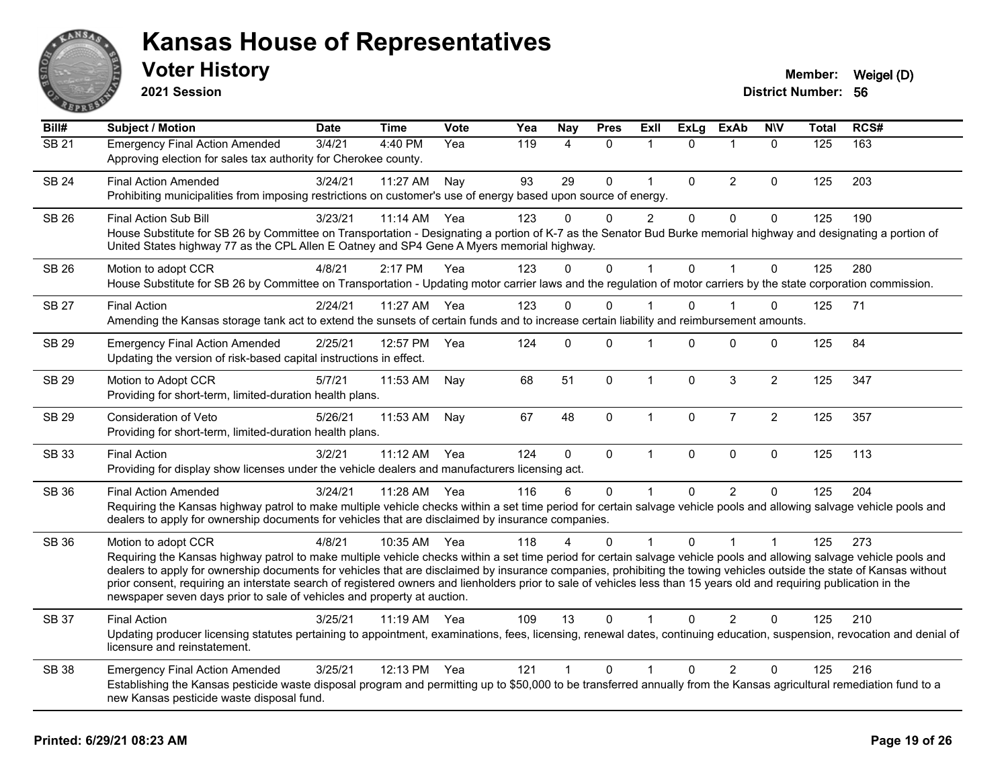

**2021 Session**

| Bill#             | <b>Subject / Motion</b>                                                                                                                                                                                                                                                                                                                                                                                                                                                                                                                                                                                                  | <b>Date</b> | <b>Time</b>  | <b>Vote</b> | Yea | Nay            | <b>Pres</b>  | Exll           | <b>ExLg</b> | <b>ExAb</b>    | <b>N\V</b>           | <b>Total</b> | RCS# |
|-------------------|--------------------------------------------------------------------------------------------------------------------------------------------------------------------------------------------------------------------------------------------------------------------------------------------------------------------------------------------------------------------------------------------------------------------------------------------------------------------------------------------------------------------------------------------------------------------------------------------------------------------------|-------------|--------------|-------------|-----|----------------|--------------|----------------|-------------|----------------|----------------------|--------------|------|
| $\overline{SB21}$ | <b>Emergency Final Action Amended</b><br>Approving election for sales tax authority for Cherokee county.                                                                                                                                                                                                                                                                                                                                                                                                                                                                                                                 | 3/4/21      | 4:40 PM      | Yea         | 119 | $\overline{4}$ | $\Omega$     | 1              | $\Omega$    | $\mathbf 1$    | $\Omega$             | 125          | 163  |
| <b>SB 24</b>      | <b>Final Action Amended</b><br>Prohibiting municipalities from imposing restrictions on customer's use of energy based upon source of energy.                                                                                                                                                                                                                                                                                                                                                                                                                                                                            | 3/24/21     | 11:27 AM     | Nay         | 93  | 29             | $\Omega$     | $\mathbf{1}$   | $\Omega$    | $\overline{2}$ | $\Omega$             | 125          | 203  |
| <b>SB 26</b>      | Final Action Sub Bill<br>House Substitute for SB 26 by Committee on Transportation - Designating a portion of K-7 as the Senator Bud Burke memorial highway and designating a portion of<br>United States highway 77 as the CPL Allen E Oatney and SP4 Gene A Myers memorial highway.                                                                                                                                                                                                                                                                                                                                    | 3/23/21     | 11:14 AM     | Yea         | 123 | 0              | 0            | $\overline{c}$ | $\mathbf 0$ | $\pmb{0}$      | 0                    | 125          | 190  |
| <b>SB 26</b>      | Motion to adopt CCR<br>House Substitute for SB 26 by Committee on Transportation - Updating motor carrier laws and the regulation of motor carriers by the state corporation commission.                                                                                                                                                                                                                                                                                                                                                                                                                                 | 4/8/21      | 2:17 PM      | Yea         | 123 | $\Omega$       | $\mathbf 0$  |                | $\Omega$    | $\overline{1}$ | $\mathbf 0$          | 125          | 280  |
| <b>SB 27</b>      | <b>Final Action</b><br>Amending the Kansas storage tank act to extend the sunsets of certain funds and to increase certain liability and reimbursement amounts.                                                                                                                                                                                                                                                                                                                                                                                                                                                          | 2/24/21     | 11:27 AM Yea |             | 123 | $\Omega$       | $\Omega$     |                | $\Omega$    |                | 0                    | 125          | 71   |
| <b>SB 29</b>      | <b>Emergency Final Action Amended</b><br>Updating the version of risk-based capital instructions in effect.                                                                                                                                                                                                                                                                                                                                                                                                                                                                                                              | 2/25/21     | 12:57 PM     | Yea         | 124 | $\Omega$       | $\Omega$     |                | $\Omega$    | $\mathbf 0$    | 0                    | 125          | 84   |
| SB 29             | Motion to Adopt CCR<br>Providing for short-term, limited-duration health plans.                                                                                                                                                                                                                                                                                                                                                                                                                                                                                                                                          | 5/7/21      | 11:53 AM     | Nay         | 68  | 51             | $\mathbf{0}$ | $\mathbf{1}$   | $\Omega$    | 3              | $\overline{c}$       | 125          | 347  |
| <b>SB 29</b>      | Consideration of Veto<br>Providing for short-term, limited-duration health plans.                                                                                                                                                                                                                                                                                                                                                                                                                                                                                                                                        | 5/26/21     | 11:53 AM     | Nay         | 67  | 48             | $\pmb{0}$    | $\mathbf{1}$   | $\mathbf 0$ | $\overline{7}$ | $\overline{2}$       | 125          | 357  |
| <b>SB 33</b>      | <b>Final Action</b><br>Providing for display show licenses under the vehicle dealers and manufacturers licensing act.                                                                                                                                                                                                                                                                                                                                                                                                                                                                                                    | 3/2/21      | 11:12 AM     | Yea         | 124 | $\mathbf 0$    | $\pmb{0}$    | $\mathbf{1}$   | $\mathbf 0$ | $\mathbf 0$    | $\mathbf 0$          | 125          | 113  |
| <b>SB 36</b>      | <b>Final Action Amended</b><br>Requiring the Kansas highway patrol to make multiple vehicle checks within a set time period for certain salvage vehicle pools and allowing salvage vehicle pools and<br>dealers to apply for ownership documents for vehicles that are disclaimed by insurance companies.                                                                                                                                                                                                                                                                                                                | 3/24/21     | 11:28 AM     | Yea         | 116 | 6              | $\mathbf{0}$ |                | $\Omega$    | 2              | $\Omega$             | 125          | 204  |
| <b>SB 36</b>      | Motion to adopt CCR<br>Requiring the Kansas highway patrol to make multiple vehicle checks within a set time period for certain salvage vehicle pools and allowing salvage vehicle pools and<br>dealers to apply for ownership documents for vehicles that are disclaimed by insurance companies, prohibiting the towing vehicles outside the state of Kansas without<br>prior consent, requiring an interstate search of registered owners and lienholders prior to sale of vehicles less than 15 years old and requiring publication in the<br>newspaper seven days prior to sale of vehicles and property at auction. | 4/8/21      | 10:35 AM     | Yea         | 118 | 4              | $\Omega$     |                | $\Omega$    |                | $\blacktriangleleft$ | 125          | 273  |
| <b>SB 37</b>      | <b>Final Action</b><br>Updating producer licensing statutes pertaining to appointment, examinations, fees, licensing, renewal dates, continuing education, suspension, revocation and denial of<br>licensure and reinstatement.                                                                                                                                                                                                                                                                                                                                                                                          | 3/25/21     | 11:19 AM     | Yea         | 109 | 13             | $\Omega$     |                | $\Omega$    | $\overline{2}$ | $\Omega$             | 125          | 210  |
| <b>SB 38</b>      | <b>Emergency Final Action Amended</b><br>Establishing the Kansas pesticide waste disposal program and permitting up to \$50,000 to be transferred annually from the Kansas agricultural remediation fund to a<br>new Kansas pesticide waste disposal fund.                                                                                                                                                                                                                                                                                                                                                               | 3/25/21     | 12:13 PM     | Yea         | 121 | $\mathbf{1}$   | $\mathbf 0$  | 1              | $\Omega$    | 2              | 0                    | 125          | 216  |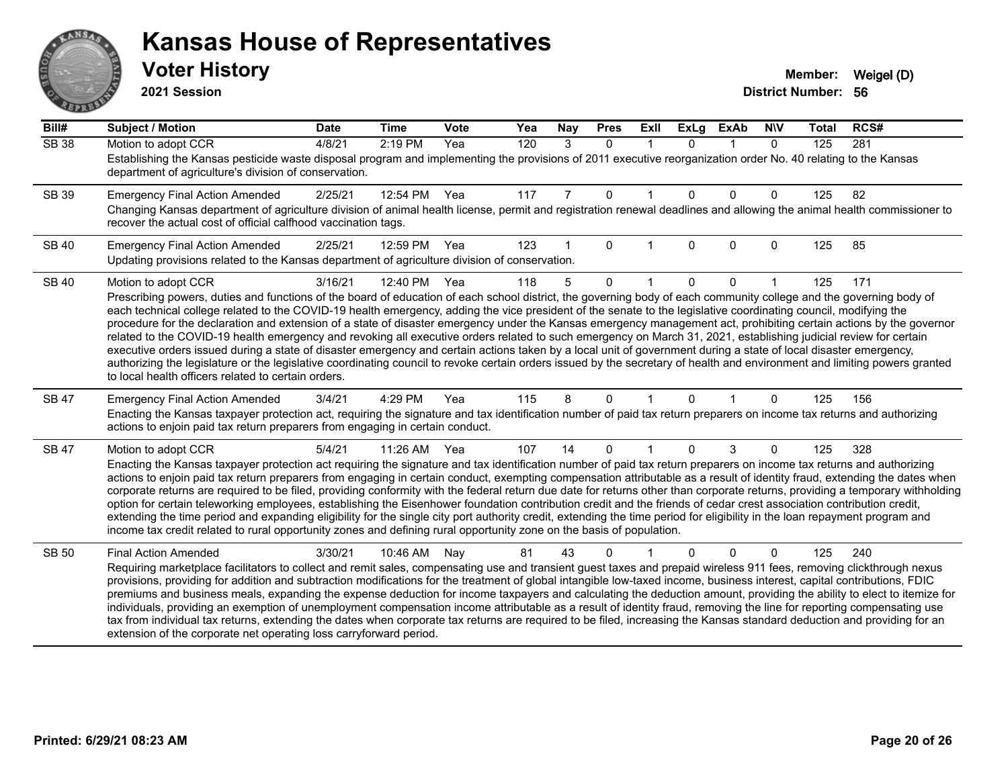# AN. **PARTIE**

#### **Kansas House of Representatives**

**2021 Session**

| Bill#        | <b>Subject / Motion</b>                                                                                                                                                                                                                                                                                                                                                                                                                                                                                                                                                                                                                                                                                                                                                                                                                                                                                                                                                                                                                                                                                          | <b>Date</b> | <b>Time</b> | Vote | Yea | Nay | <b>Pres</b>  | ExII | <b>ExLg</b> | <b>ExAb</b> | <b>NIV</b>   | <b>Total</b> | RCS# |
|--------------|------------------------------------------------------------------------------------------------------------------------------------------------------------------------------------------------------------------------------------------------------------------------------------------------------------------------------------------------------------------------------------------------------------------------------------------------------------------------------------------------------------------------------------------------------------------------------------------------------------------------------------------------------------------------------------------------------------------------------------------------------------------------------------------------------------------------------------------------------------------------------------------------------------------------------------------------------------------------------------------------------------------------------------------------------------------------------------------------------------------|-------------|-------------|------|-----|-----|--------------|------|-------------|-------------|--------------|--------------|------|
| <b>SB 38</b> | Motion to adopt CCR<br>Establishing the Kansas pesticide waste disposal program and implementing the provisions of 2011 executive reorganization order No. 40 relating to the Kansas<br>department of agriculture's division of conservation.                                                                                                                                                                                                                                                                                                                                                                                                                                                                                                                                                                                                                                                                                                                                                                                                                                                                    | 4/8/21      | 2:19 PM     | Yea  | 120 | 3   | $\mathbf{0}$ |      | $\Omega$    | $\mathbf 1$ | $\mathbf{0}$ | 125          | 281  |
| <b>SB 39</b> | <b>Emergency Final Action Amended</b><br>Changing Kansas department of agriculture division of animal health license, permit and registration renewal deadlines and allowing the animal health commissioner to<br>recover the actual cost of official calfhood vaccination tags.                                                                                                                                                                                                                                                                                                                                                                                                                                                                                                                                                                                                                                                                                                                                                                                                                                 | 2/25/21     | 12:54 PM    | Yea  | 117 | 7   | $\Omega$     | -1   | $\Omega$    | $\Omega$    | 0            | 125          | 82   |
| <b>SB 40</b> | <b>Emergency Final Action Amended</b><br>Updating provisions related to the Kansas department of agriculture division of conservation.                                                                                                                                                                                                                                                                                                                                                                                                                                                                                                                                                                                                                                                                                                                                                                                                                                                                                                                                                                           | 2/25/21     | 12:59 PM    | Yea  | 123 |     | 0            |      | 0           | $\Omega$    | 0            | 125          | 85   |
| <b>SB 40</b> | Motion to adopt CCR<br>Prescribing powers, duties and functions of the board of education of each school district, the governing body of each community college and the governing body of<br>each technical college related to the COVID-19 health emergency, adding the vice president of the senate to the legislative coordinating council, modifying the<br>procedure for the declaration and extension of a state of disaster emergency under the Kansas emergency management act, prohibiting certain actions by the governor<br>related to the COVID-19 health emergency and revoking all executive orders related to such emergency on March 31, 2021, establishing judicial review for certain<br>executive orders issued during a state of disaster emergency and certain actions taken by a local unit of government during a state of local disaster emergency,<br>authorizing the legislature or the legislative coordinating council to revoke certain orders issued by the secretary of health and environment and limiting powers granted<br>to local health officers related to certain orders. | 3/16/21     | 12:40 PM    | Yea  | 118 | 5   | $\Omega$     |      | $\Omega$    | $\Omega$    |              | 125          | 171  |
| <b>SB 47</b> | <b>Emergency Final Action Amended</b><br>Enacting the Kansas taxpayer protection act, requiring the signature and tax identification number of paid tax return preparers on income tax returns and authorizing<br>actions to enjoin paid tax return preparers from engaging in certain conduct.                                                                                                                                                                                                                                                                                                                                                                                                                                                                                                                                                                                                                                                                                                                                                                                                                  | 3/4/21      | 4:29 PM     | Yea  | 115 | 8   | 0            |      | $\Omega$    |             | 0            | 125          | 156  |
| SB 47        | Motion to adopt CCR<br>Enacting the Kansas taxpayer protection act requiring the signature and tax identification number of paid tax return preparers on income tax returns and authorizing<br>actions to enjoin paid tax return preparers from engaging in certain conduct, exempting compensation attributable as a result of identity fraud, extending the dates when<br>corporate returns are required to be filed, providing conformity with the federal return due date for returns other than corporate returns, providing a temporary withholding<br>option for certain teleworking employees, establishing the Eisenhower foundation contribution credit and the friends of cedar crest association contribution credit,<br>extending the time period and expanding eligibility for the single city port authority credit, extending the time period for eligibility in the loan repayment program and<br>income tax credit related to rural opportunity zones and defining rural opportunity zone on the basis of population.                                                                          | 5/4/21      | 11:26 AM    | Yea  | 107 | 14  | $\Omega$     | -1   | $\Omega$    | 3           | 0            | 125          | 328  |
| <b>SB 50</b> | <b>Final Action Amended</b><br>Requiring marketplace facilitators to collect and remit sales, compensating use and transient guest taxes and prepaid wireless 911 fees, removing clickthrough nexus<br>provisions, providing for addition and subtraction modifications for the treatment of global intangible low-taxed income, business interest, capital contributions, FDIC<br>premiums and business meals, expanding the expense deduction for income taxpayers and calculating the deduction amount, providing the ability to elect to itemize for<br>individuals, providing an exemption of unemployment compensation income attributable as a result of identity fraud, removing the line for reporting compensating use<br>tax from individual tax returns, extending the dates when corporate tax returns are required to be filed, increasing the Kansas standard deduction and providing for an<br>extension of the corporate net operating loss carryforward period.                                                                                                                                | 3/30/21     | 10:46 AM    | Nav  | 81  | 43  | 0            |      | O.          | $\Omega$    | 0            | 125          | 240  |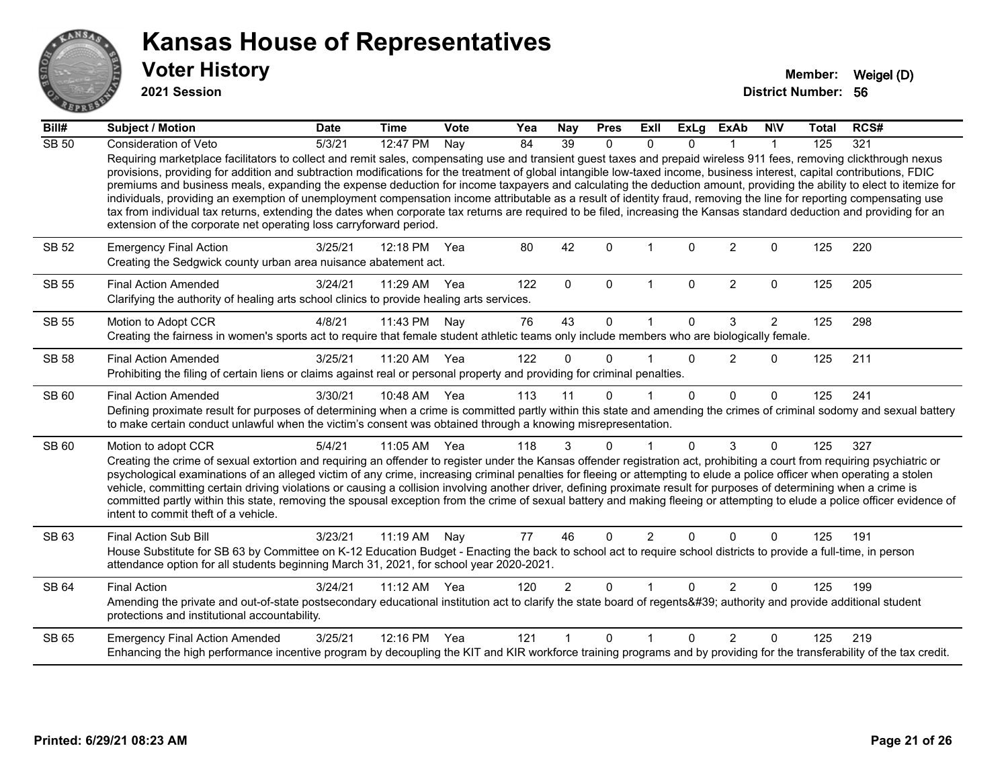

**2021 Session**

| Bill#        | <b>Subject / Motion</b>                                                                                                                                                                                                                                                                                                                                                                                                                                                                                                                                                                                                                                                                                                                                                                                                                                                                                                                            | <b>Date</b> | <b>Time</b>  | <b>Vote</b> | Yea | Nay             | <b>Pres</b>  | Exll           | ExLg     | <b>ExAb</b>    | <b>NIV</b>     | <b>Total</b> | RCS# |
|--------------|----------------------------------------------------------------------------------------------------------------------------------------------------------------------------------------------------------------------------------------------------------------------------------------------------------------------------------------------------------------------------------------------------------------------------------------------------------------------------------------------------------------------------------------------------------------------------------------------------------------------------------------------------------------------------------------------------------------------------------------------------------------------------------------------------------------------------------------------------------------------------------------------------------------------------------------------------|-------------|--------------|-------------|-----|-----------------|--------------|----------------|----------|----------------|----------------|--------------|------|
| <b>SB 50</b> | Consideration of Veto                                                                                                                                                                                                                                                                                                                                                                                                                                                                                                                                                                                                                                                                                                                                                                                                                                                                                                                              | 5/3/21      | 12:47 PM     | Nay         | 84  | $\overline{39}$ | $\Omega$     | $\Omega$       | U        |                |                | 125          | 321  |
|              | Requiring marketplace facilitators to collect and remit sales, compensating use and transient guest taxes and prepaid wireless 911 fees, removing clickthrough nexus<br>provisions, providing for addition and subtraction modifications for the treatment of global intangible low-taxed income, business interest, capital contributions, FDIC<br>premiums and business meals, expanding the expense deduction for income taxpayers and calculating the deduction amount, providing the ability to elect to itemize for<br>individuals, providing an exemption of unemployment compensation income attributable as a result of identity fraud, removing the line for reporting compensating use<br>tax from individual tax returns, extending the dates when corporate tax returns are required to be filed, increasing the Kansas standard deduction and providing for an<br>extension of the corporate net operating loss carryforward period. |             |              |             |     |                 |              |                |          |                |                |              |      |
| SB 52        | <b>Emergency Final Action</b><br>Creating the Sedgwick county urban area nuisance abatement act.                                                                                                                                                                                                                                                                                                                                                                                                                                                                                                                                                                                                                                                                                                                                                                                                                                                   | 3/25/21     | 12:18 PM     | Yea         | 80  | 42              | $\Omega$     |                | $\Omega$ | $\overline{2}$ | $\Omega$       | 125          | 220  |
| <b>SB 55</b> | <b>Final Action Amended</b><br>Clarifying the authority of healing arts school clinics to provide healing arts services.                                                                                                                                                                                                                                                                                                                                                                                                                                                                                                                                                                                                                                                                                                                                                                                                                           | 3/24/21     | 11:29 AM     | Yea         | 122 | $\mathbf{0}$    | $\mathbf{0}$ | 1              | $\Omega$ | $\overline{2}$ | $\mathbf 0$    | 125          | 205  |
| <b>SB 55</b> | Motion to Adopt CCR                                                                                                                                                                                                                                                                                                                                                                                                                                                                                                                                                                                                                                                                                                                                                                                                                                                                                                                                | 4/8/21      | 11:43 PM     | Nay         | 76  | 43              | $\Omega$     |                | $\Omega$ | 3              | $\overline{2}$ | 125          | 298  |
|              | Creating the fairness in women's sports act to require that female student athletic teams only include members who are biologically female.                                                                                                                                                                                                                                                                                                                                                                                                                                                                                                                                                                                                                                                                                                                                                                                                        |             |              |             |     |                 |              |                |          |                |                |              |      |
| <b>SB 58</b> | <b>Final Action Amended</b><br>Prohibiting the filing of certain liens or claims against real or personal property and providing for criminal penalties.                                                                                                                                                                                                                                                                                                                                                                                                                                                                                                                                                                                                                                                                                                                                                                                           | 3/25/21     | 11:20 AM     | Yea         | 122 | $\Omega$        | $\Omega$     |                | $\Omega$ | 2              | $\Omega$       | 125          | 211  |
| SB 60        | <b>Final Action Amended</b><br>Defining proximate result for purposes of determining when a crime is committed partly within this state and amending the crimes of criminal sodomy and sexual battery<br>to make certain conduct unlawful when the victim's consent was obtained through a knowing misrepresentation.                                                                                                                                                                                                                                                                                                                                                                                                                                                                                                                                                                                                                              | 3/30/21     | 10:48 AM Yea |             | 113 | 11              | $\Omega$     |                | $\Omega$ | $\Omega$       | $\Omega$       | 125          | 241  |
| <b>SB 60</b> | Motion to adopt CCR                                                                                                                                                                                                                                                                                                                                                                                                                                                                                                                                                                                                                                                                                                                                                                                                                                                                                                                                | 5/4/21      | 11:05 AM Yea |             | 118 | 3               | $\Omega$     |                | $\Omega$ | 3              | $\Omega$       | 125          | 327  |
|              | Creating the crime of sexual extortion and requiring an offender to register under the Kansas offender registration act, prohibiting a court from requiring psychiatric or<br>psychological examinations of an alleged victim of any crime, increasing criminal penalties for fleeing or attempting to elude a police officer when operating a stolen<br>vehicle, committing certain driving violations or causing a collision involving another driver, defining proximate result for purposes of determining when a crime is<br>committed partly within this state, removing the spousal exception from the crime of sexual battery and making fleeing or attempting to elude a police officer evidence of<br>intent to commit theft of a vehicle.                                                                                                                                                                                               |             |              |             |     |                 |              |                |          |                |                |              |      |
| SB 63        | <b>Final Action Sub Bill</b>                                                                                                                                                                                                                                                                                                                                                                                                                                                                                                                                                                                                                                                                                                                                                                                                                                                                                                                       | 3/23/21     | 11:19 AM Nay |             | 77  | 46              | $\Omega$     | $\overline{2}$ | $\Omega$ | $\Omega$       | $\Omega$       | 125          | 191  |
|              | House Substitute for SB 63 by Committee on K-12 Education Budget - Enacting the back to school act to require school districts to provide a full-time, in person<br>attendance option for all students beginning March 31, 2021, for school year 2020-2021.                                                                                                                                                                                                                                                                                                                                                                                                                                                                                                                                                                                                                                                                                        |             |              |             |     |                 |              |                |          |                |                |              |      |
| <b>SB 64</b> | <b>Final Action</b>                                                                                                                                                                                                                                                                                                                                                                                                                                                                                                                                                                                                                                                                                                                                                                                                                                                                                                                                | 3/24/21     | 11:12 AM     | Yea         | 120 | $\overline{2}$  | $\Omega$     |                | $\Omega$ | $\overline{2}$ | $\Omega$       | 125          | 199  |
|              | Amending the private and out-of-state postsecondary educational institution act to clarify the state board of regents' authority and provide additional student<br>protections and institutional accountability.                                                                                                                                                                                                                                                                                                                                                                                                                                                                                                                                                                                                                                                                                                                                   |             |              |             |     |                 |              |                |          |                |                |              |      |
| SB 65        | <b>Emergency Final Action Amended</b>                                                                                                                                                                                                                                                                                                                                                                                                                                                                                                                                                                                                                                                                                                                                                                                                                                                                                                              | 3/25/21     | 12:16 PM     | Yea         | 121 |                 | $\Omega$     | 1              | $\Omega$ | $\mathcal{P}$  | $\Omega$       | 125          | 219  |
|              | Enhancing the high performance incentive program by decoupling the KIT and KIR workforce training programs and by providing for the transferability of the tax credit.                                                                                                                                                                                                                                                                                                                                                                                                                                                                                                                                                                                                                                                                                                                                                                             |             |              |             |     |                 |              |                |          |                |                |              |      |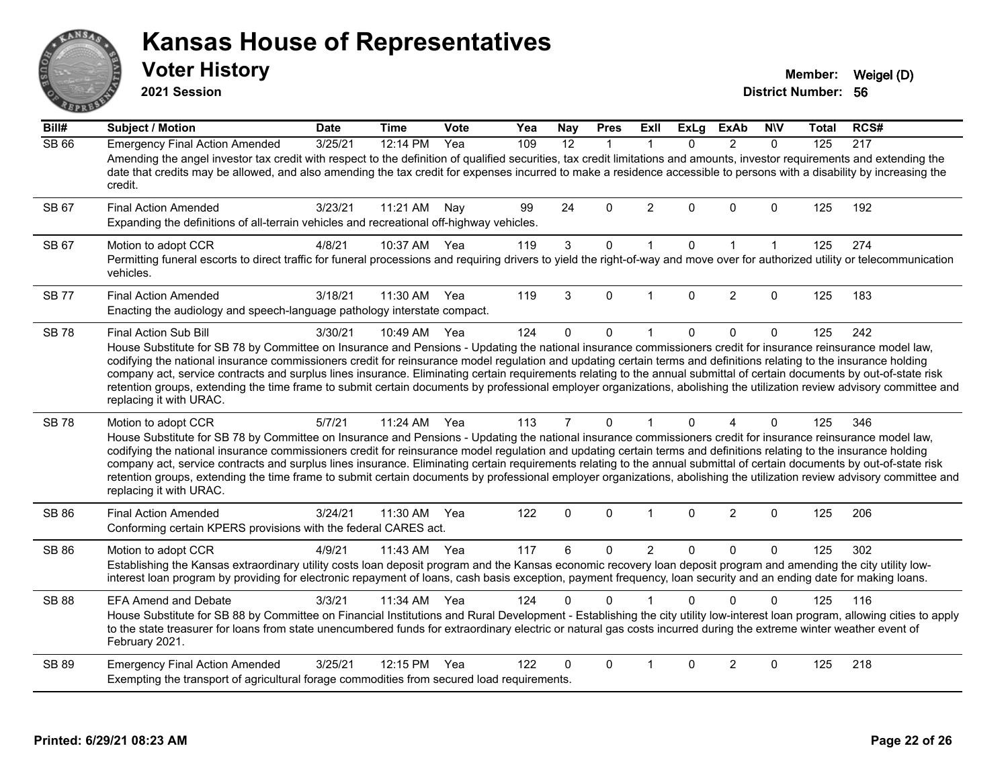|              | <b>Voter History</b><br>2021 Session                                                                                                                                                                                                                                                                                                                                                                                                                                                                                                                                                                                                                                                                                                           |             |              |             |     |            |             |             |             |               |              | Member:<br><b>District Number: 56</b> | Weigel (D) |
|--------------|------------------------------------------------------------------------------------------------------------------------------------------------------------------------------------------------------------------------------------------------------------------------------------------------------------------------------------------------------------------------------------------------------------------------------------------------------------------------------------------------------------------------------------------------------------------------------------------------------------------------------------------------------------------------------------------------------------------------------------------------|-------------|--------------|-------------|-----|------------|-------------|-------------|-------------|---------------|--------------|---------------------------------------|------------|
| Bill#        | <b>Subject / Motion</b>                                                                                                                                                                                                                                                                                                                                                                                                                                                                                                                                                                                                                                                                                                                        | <b>Date</b> | <b>Time</b>  | <b>Vote</b> | Yea | <b>Nay</b> | <b>Pres</b> | <b>Exll</b> | <b>ExLg</b> | <b>ExAb</b>   | <b>NIV</b>   | Total                                 | RCS#       |
| SB 66        | <b>Emergency Final Action Amended</b><br>Amending the angel investor tax credit with respect to the definition of qualified securities, tax credit limitations and amounts, investor requirements and extending the<br>date that credits may be allowed, and also amending the tax credit for expenses incurred to make a residence accessible to persons with a disability by increasing the<br>credit.                                                                                                                                                                                                                                                                                                                                       | 3/25/21     | 12:14 PM     | Yea         | 109 | 12         |             |             | $\Omega$    | $\mathcal{P}$ | $\mathbf{0}$ | 125                                   | 217        |
| SB 67        | <b>Final Action Amended</b><br>Expanding the definitions of all-terrain vehicles and recreational off-highway vehicles.                                                                                                                                                                                                                                                                                                                                                                                                                                                                                                                                                                                                                        | 3/23/21     | 11:21 AM     | Nay         | 99  | 24         | $\Omega$    | 2           | $\Omega$    | $\Omega$      | $\Omega$     | 125                                   | 192        |
| SB 67        | Motion to adopt CCR<br>Permitting funeral escorts to direct traffic for funeral processions and requiring drivers to yield the right-of-way and move over for authorized utility or telecommunication<br>vehicles.                                                                                                                                                                                                                                                                                                                                                                                                                                                                                                                             | 4/8/21      | 10:37 AM Yea |             | 119 | 3          | $\Omega$    |             | $\Omega$    |               |              | 125                                   | 274        |
| <b>SB77</b>  | <b>Final Action Amended</b><br>Enacting the audiology and speech-language pathology interstate compact.                                                                                                                                                                                                                                                                                                                                                                                                                                                                                                                                                                                                                                        | 3/18/21     | 11:30 AM     | Yea         | 119 | 3          | $\Omega$    |             | $\Omega$    | $\mathcal{P}$ | $\Omega$     | 125                                   | 183        |
| <b>SB 78</b> | Final Action Sub Bill<br>House Substitute for SB 78 by Committee on Insurance and Pensions - Updating the national insurance commissioners credit for insurance reinsurance model law,<br>codifying the national insurance commissioners credit for reinsurance model regulation and updating certain terms and definitions relating to the insurance holding<br>company act, service contracts and surplus lines insurance. Eliminating certain requirements relating to the annual submittal of certain documents by out-of-state risk<br>retention groups, extending the time frame to submit certain documents by professional employer organizations, abolishing the utilization review advisory committee and<br>replacing it with URAC. | 3/30/21     | 10:49 AM Yea |             | 124 | $\Omega$   | $\Omega$    |             | $\Omega$    | $\Omega$      | $\Omega$     | 125                                   | 242        |
| <b>SB78</b>  | Motion to adopt CCR<br>House Substitute for SB 78 by Committee on Insurance and Pensions - Updating the national insurance commissioners credit for insurance reinsurance model law,<br>codifying the national insurance commissioners credit for reinsurance model regulation and updating certain terms and definitions relating to the insurance holding<br>company act, service contracts and surplus lines insurance. Eliminating certain requirements relating to the annual submittal of certain documents by out-of-state risk<br>retention groups, extending the time frame to submit certain documents by professional employer organizations, abolishing the utilization review advisory committee and<br>replacing it with URAC.   | 5/7/21      | 11:24 AM Yea |             | 113 |            | $\Omega$    |             | $\Omega$    |               | $\Omega$     | 125                                   | 346        |

SB 86 Motion to adopt CCR 4/9/21 11:43 AM Yea 117 6 0 2 0 0 0 125 302 Establishing the Kansas extraordinary utility costs loan deposit program and the Kansas economic recovery loan deposit program and amending the city utility lowinterest loan program by providing for electronic repayment of loans, cash basis exception, payment frequency, loan security and an ending date for making loans. SB 88 EFA Amend and Debate 3/3/21 11:34 AM Yea 124 0 0 1 0 0 0 0 125 116 House Substitute for SB 88 by Committee on Financial Institutions and Rural Development - Establishing the city utility low-interest loan program, allowing cities to apply to the state treasurer for loans from state unencumbered funds for extraordinary electric or natural gas costs incurred during the extreme winter weather event of February 2021.

SB 86 Final Action Amended 3/24/21 11:30 AM Yea 122 0 0 1 0 2 0 125 206

Conforming certain KPERS provisions with the federal CARES act.

SB 89 Emergency Final Action Amended 3/25/21 12:15 PM Yea 122 0 0 1 0 2 0 125 218 Exempting the transport of agricultural forage commodities from secured load requirements.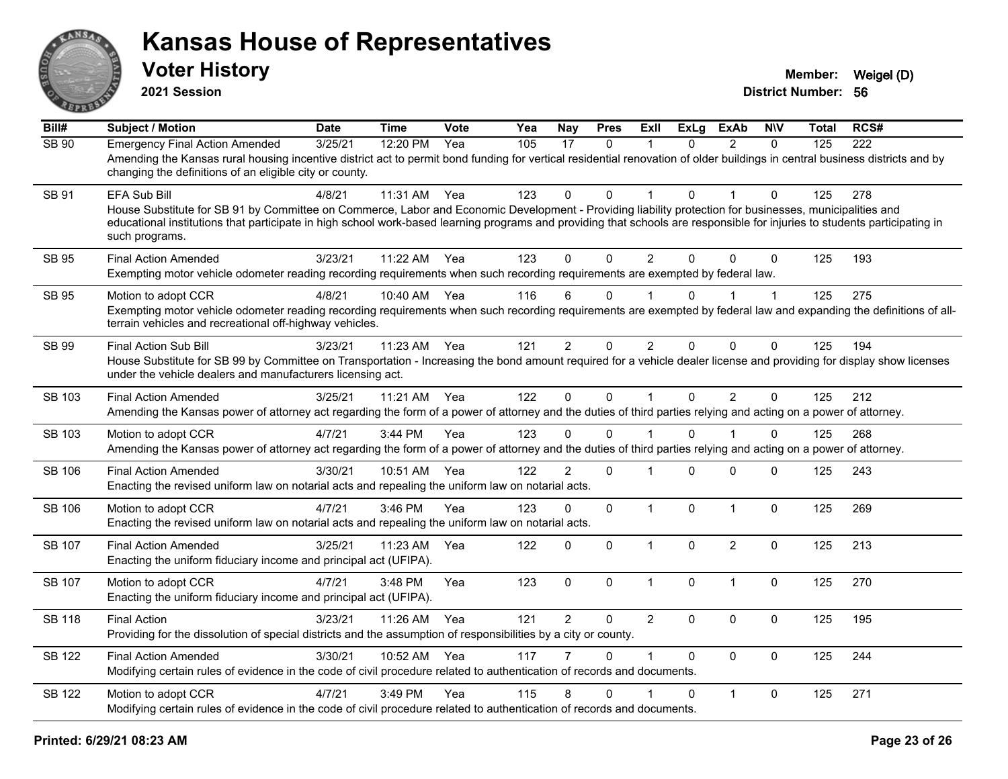

**2021 Session**

| Bill#         | <b>Subject / Motion</b>                                                                                                                                                                                                                                                                                                                                                 | <b>Date</b> | <b>Time</b> | Vote | Yea | Nay            | <b>Pres</b>  | <b>ExII</b>    | <b>ExLg</b> | <b>ExAb</b>    | <b>NIV</b>   | Total | RCS# |
|---------------|-------------------------------------------------------------------------------------------------------------------------------------------------------------------------------------------------------------------------------------------------------------------------------------------------------------------------------------------------------------------------|-------------|-------------|------|-----|----------------|--------------|----------------|-------------|----------------|--------------|-------|------|
| <b>SB 90</b>  | <b>Emergency Final Action Amended</b><br>Amending the Kansas rural housing incentive district act to permit bond funding for vertical residential renovation of older buildings in central business districts and by<br>changing the definitions of an eligible city or county.                                                                                         | 3/25/21     | 12:20 PM    | Yea  | 105 | 17             | $\mathbf{0}$ | 1              | $\Omega$    | $\overline{2}$ | $\mathbf{0}$ | 125   | 222  |
| SB 91         | EFA Sub Bill<br>House Substitute for SB 91 by Committee on Commerce, Labor and Economic Development - Providing liability protection for businesses, municipalities and<br>educational institutions that participate in high school work-based learning programs and providing that schools are responsible for injuries to students participating in<br>such programs. | 4/8/21      | 11:31 AM    | Yea  | 123 | 0              | $\Omega$     | $\mathbf 1$    | $\Omega$    |                | $\mathbf{0}$ | 125   | 278  |
| <b>SB 95</b>  | <b>Final Action Amended</b><br>Exempting motor vehicle odometer reading recording requirements when such recording requirements are exempted by federal law.                                                                                                                                                                                                            | 3/23/21     | $11:22$ AM  | Yea  | 123 | $\Omega$       | $\mathbf{0}$ | $\overline{c}$ | $\Omega$    | $\Omega$       | $\mathbf{0}$ | 125   | 193  |
| SB 95         | Motion to adopt CCR<br>Exempting motor vehicle odometer reading recording requirements when such recording requirements are exempted by federal law and expanding the definitions of all-<br>terrain vehicles and recreational off-highway vehicles.                                                                                                                    | 4/8/21      | 10:40 AM    | Yea  | 116 | 6              | $\Omega$     |                | 0           |                | 1            | 125   | 275  |
| SB 99         | <b>Final Action Sub Bill</b><br>House Substitute for SB 99 by Committee on Transportation - Increasing the bond amount required for a vehicle dealer license and providing for display show licenses<br>under the vehicle dealers and manufacturers licensing act.                                                                                                      | 3/23/21     | 11:23 AM    | Yea  | 121 | $\overline{2}$ | $\Omega$     | $\overline{2}$ | $\Omega$    | $\mathbf{0}$   | $\mathbf{0}$ | 125   | 194  |
| SB 103        | <b>Final Action Amended</b><br>Amending the Kansas power of attorney act regarding the form of a power of attorney and the duties of third parties relying and acting on a power of attorney.                                                                                                                                                                           | 3/25/21     | 11:21 AM    | Yea  | 122 | $\mathbf 0$    | $\mathbf 0$  | $\mathbf{1}$   | $\mathbf 0$ | $\overline{2}$ | $\mathbf 0$  | 125   | 212  |
| SB 103        | Motion to adopt CCR<br>Amending the Kansas power of attorney act regarding the form of a power of attorney and the duties of third parties relying and acting on a power of attorney.                                                                                                                                                                                   | 4/7/21      | 3:44 PM     | Yea  | 123 | 0              | $\Omega$     | 1              | $\Omega$    |                | 0            | 125   | 268  |
| <b>SB 106</b> | <b>Final Action Amended</b><br>Enacting the revised uniform law on notarial acts and repealing the uniform law on notarial acts.                                                                                                                                                                                                                                        | 3/30/21     | 10:51 AM    | Yea  | 122 | $\overline{2}$ | $\mathbf 0$  | $\mathbf 1$    | $\Omega$    | $\mathbf 0$    | 0            | 125   | 243  |
| <b>SB 106</b> | Motion to adopt CCR<br>Enacting the revised uniform law on notarial acts and repealing the uniform law on notarial acts.                                                                                                                                                                                                                                                | 4/7/21      | 3:46 PM     | Yea  | 123 | $\Omega$       | $\mathbf 0$  | $\mathbf{1}$   | $\Omega$    | $\overline{1}$ | 0            | 125   | 269  |
| <b>SB 107</b> | <b>Final Action Amended</b><br>Enacting the uniform fiduciary income and principal act (UFIPA).                                                                                                                                                                                                                                                                         | 3/25/21     | 11:23 AM    | Yea  | 122 | $\mathbf{0}$   | $\mathbf 0$  | $\mathbf{1}$   | $\Omega$    | 2              | $\mathbf 0$  | 125   | 213  |
| <b>SB 107</b> | Motion to adopt CCR<br>Enacting the uniform fiduciary income and principal act (UFIPA).                                                                                                                                                                                                                                                                                 | 4/7/21      | 3:48 PM     | Yea  | 123 | $\mathbf 0$    | $\mathbf 0$  | $\mathbf{1}$   | 0           | $\overline{1}$ | $\mathbf 0$  | 125   | 270  |
| <b>SB 118</b> | <b>Final Action</b><br>Providing for the dissolution of special districts and the assumption of responsibilities by a city or county.                                                                                                                                                                                                                                   | 3/23/21     | 11:26 AM    | Yea  | 121 | $\overline{2}$ | 0            | $\overline{2}$ | $\Omega$    | $\mathbf 0$    | $\mathbf 0$  | 125   | 195  |
| <b>SB 122</b> | <b>Final Action Amended</b><br>Modifying certain rules of evidence in the code of civil procedure related to authentication of records and documents.                                                                                                                                                                                                                   | 3/30/21     | 10:52 AM    | Yea  | 117 | $\overline{7}$ | $\Omega$     | $\mathbf{1}$   | $\Omega$    | $\Omega$       | $\mathbf 0$  | 125   | 244  |
| <b>SB 122</b> | Motion to adopt CCR<br>Modifying certain rules of evidence in the code of civil procedure related to authentication of records and documents.                                                                                                                                                                                                                           | 4/7/21      | 3:49 PM     | Yea  | 115 | 8              | $\mathbf{0}$ |                | $\Omega$    | $\mathbf{1}$   | $\mathbf 0$  | 125   | 271  |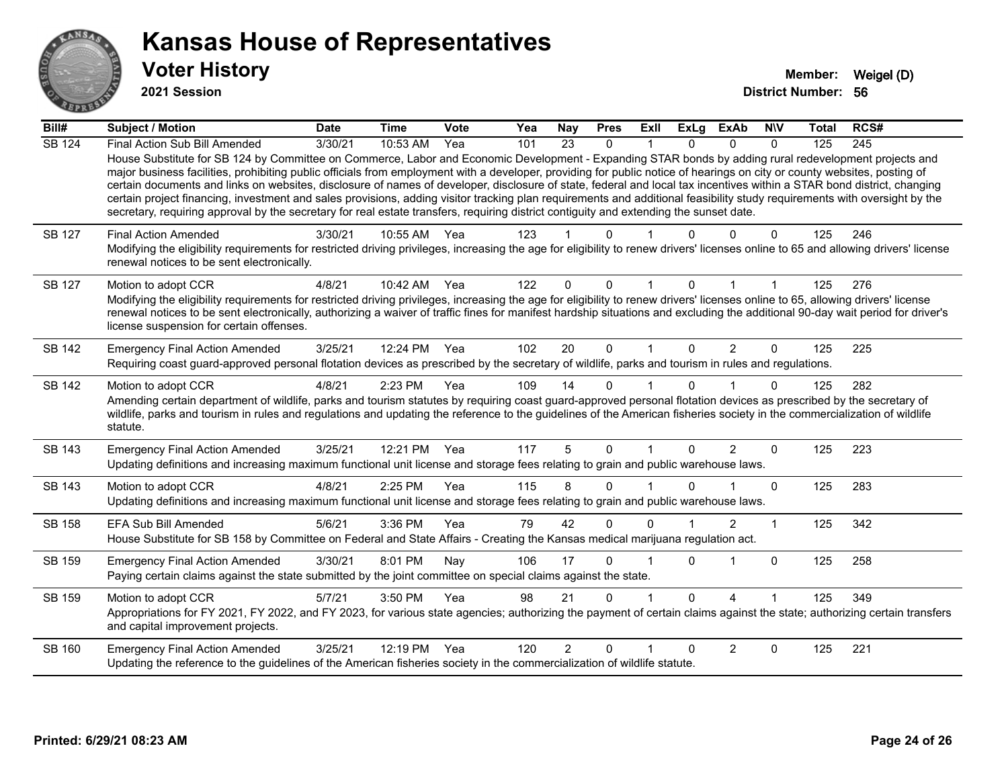

**2021 Session**

| Bill#         | Subject / Motion                                                                                                                                                                                                                                                                                                                                                                                                                                                                                                                                                                                                                                                                                                                                                                                                                                                     | <b>Date</b> | <b>Time</b> | Vote | Yea | <b>Nay</b>     | <b>Pres</b>  | Exll        | <b>ExLg</b>  | <b>ExAb</b>            | <b>NIV</b>   | <b>Total</b> | RCS# |
|---------------|----------------------------------------------------------------------------------------------------------------------------------------------------------------------------------------------------------------------------------------------------------------------------------------------------------------------------------------------------------------------------------------------------------------------------------------------------------------------------------------------------------------------------------------------------------------------------------------------------------------------------------------------------------------------------------------------------------------------------------------------------------------------------------------------------------------------------------------------------------------------|-------------|-------------|------|-----|----------------|--------------|-------------|--------------|------------------------|--------------|--------------|------|
| <b>SB 124</b> | Final Action Sub Bill Amended<br>House Substitute for SB 124 by Committee on Commerce, Labor and Economic Development - Expanding STAR bonds by adding rural redevelopment projects and<br>major business facilities, prohibiting public officials from employment with a developer, providing for public notice of hearings on city or county websites, posting of<br>certain documents and links on websites, disclosure of names of developer, disclosure of state, federal and local tax incentives within a STAR bond district, changing<br>certain project financing, investment and sales provisions, adding visitor tracking plan requirements and additional feasibility study requirements with oversight by the<br>secretary, requiring approval by the secretary for real estate transfers, requiring district contiguity and extending the sunset date. | 3/30/21     | 10:53 AM    | Yea  | 101 | 23             | $\mathbf{0}$ |             |              | $\Omega$               | $\mathbf{0}$ | 125          | 245  |
| SB 127        | <b>Final Action Amended</b><br>Modifying the eligibility requirements for restricted driving privileges, increasing the age for eligibility to renew drivers' licenses online to 65 and allowing drivers' license<br>renewal notices to be sent electronically.                                                                                                                                                                                                                                                                                                                                                                                                                                                                                                                                                                                                      | 3/30/21     | 10:55 AM    | Yea  | 123 |                | U            |             |              |                        | 0            | 125          | 246  |
| SB 127        | Motion to adopt CCR<br>Modifying the eligibility requirements for restricted driving privileges, increasing the age for eligibility to renew drivers' licenses online to 65, allowing drivers' license<br>renewal notices to be sent electronically, authorizing a waiver of traffic fines for manifest hardship situations and excluding the additional 90-day wait period for driver's<br>license suspension for certain offenses.                                                                                                                                                                                                                                                                                                                                                                                                                                 | 4/8/21      | 10:42 AM    | Yea  | 122 | $\Omega$       | $\Omega$     |             | $\Omega$     |                        |              | 125          | 276  |
| SB 142        | <b>Emergency Final Action Amended</b><br>Requiring coast guard-approved personal flotation devices as prescribed by the secretary of wildlife, parks and tourism in rules and regulations.                                                                                                                                                                                                                                                                                                                                                                                                                                                                                                                                                                                                                                                                           | 3/25/21     | 12:24 PM    | Yea  | 102 | 20             | $\mathbf{0}$ | $\mathbf 1$ | $\Omega$     | $\overline{2}$         | $\Omega$     | 125          | 225  |
| <b>SB 142</b> | Motion to adopt CCR<br>Amending certain department of wildlife, parks and tourism statutes by requiring coast guard-approved personal flotation devices as prescribed by the secretary of<br>wildlife, parks and tourism in rules and regulations and updating the reference to the guidelines of the American fisheries society in the commercialization of wildlife<br>statute.                                                                                                                                                                                                                                                                                                                                                                                                                                                                                    | 4/8/21      | 2:23 PM     | Yea  | 109 | 14             | $\Omega$     |             | 0            |                        | $\Omega$     | 125          | 282  |
| SB 143        | <b>Emergency Final Action Amended</b><br>Updating definitions and increasing maximum functional unit license and storage fees relating to grain and public warehouse laws.                                                                                                                                                                                                                                                                                                                                                                                                                                                                                                                                                                                                                                                                                           | 3/25/21     | 12:21 PM    | Yea  | 117 | 5              | $\Omega$     |             | <sup>n</sup> | $\overline{2}$         | $\Omega$     | 125          | 223  |
| SB 143        | Motion to adopt CCR<br>Updating definitions and increasing maximum functional unit license and storage fees relating to grain and public warehouse laws.                                                                                                                                                                                                                                                                                                                                                                                                                                                                                                                                                                                                                                                                                                             | 4/8/21      | 2:25 PM     | Yea  | 115 | 8              | 0            |             |              |                        | $\Omega$     | 125          | 283  |
| SB 158        | <b>EFA Sub Bill Amended</b><br>House Substitute for SB 158 by Committee on Federal and State Affairs - Creating the Kansas medical marijuana regulation act.                                                                                                                                                                                                                                                                                                                                                                                                                                                                                                                                                                                                                                                                                                         | 5/6/21      | 3:36 PM     | Yea  | 79  | 42             | $\Omega$     | U           |              | $\overline{2}$         | 1            | 125          | 342  |
| SB 159        | <b>Emergency Final Action Amended</b><br>Paying certain claims against the state submitted by the joint committee on special claims against the state.                                                                                                                                                                                                                                                                                                                                                                                                                                                                                                                                                                                                                                                                                                               | 3/30/21     | 8:01 PM     | Nay  | 106 | 17             | $\Omega$     |             | <sup>0</sup> |                        | $\Omega$     | 125          | 258  |
| SB 159        | Motion to adopt CCR<br>Appropriations for FY 2021, FY 2022, and FY 2023, for various state agencies; authorizing the payment of certain claims against the state; authorizing certain transfers<br>and capital improvement projects.                                                                                                                                                                                                                                                                                                                                                                                                                                                                                                                                                                                                                                 | 5/7/21      | 3:50 PM     | Yea  | 98  | 21             | $\Omega$     |             | 0            | $\boldsymbol{\Lambda}$ |              | 125          | 349  |
| SB 160        | <b>Emergency Final Action Amended</b><br>Updating the reference to the guidelines of the American fisheries society in the commercialization of wildlife statute.                                                                                                                                                                                                                                                                                                                                                                                                                                                                                                                                                                                                                                                                                                    | 3/25/21     | 12:19 PM    | Yea  | 120 | $\overline{2}$ | $\Omega$     |             | <sup>0</sup> | 2                      | $\Omega$     | 125          | 221  |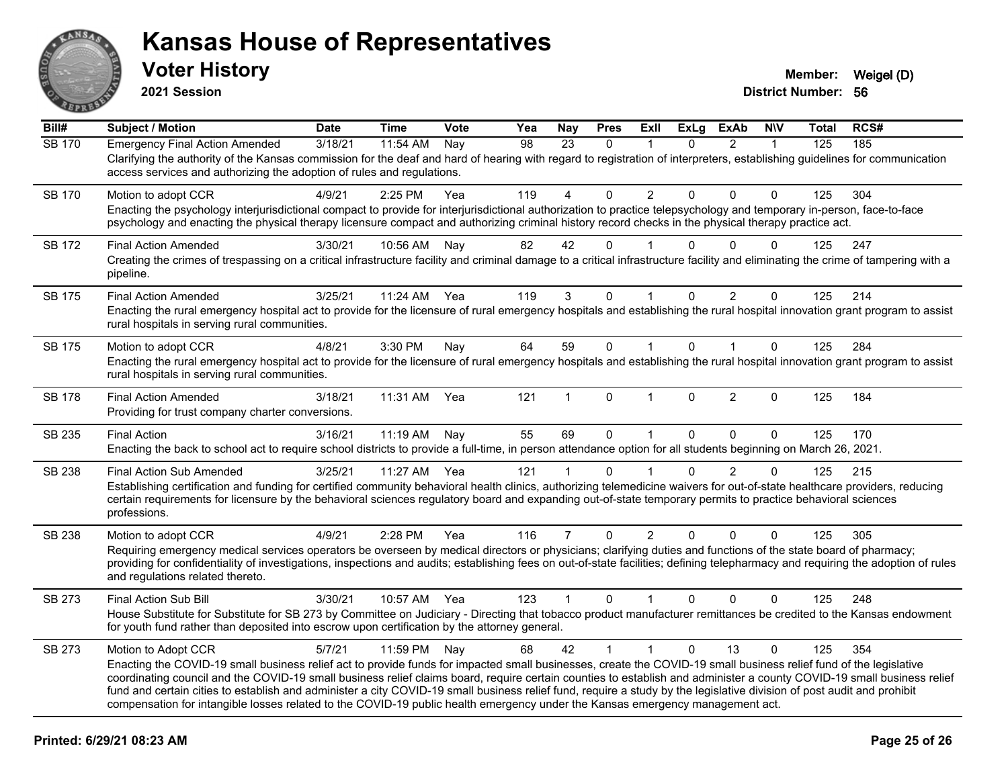

**2021 Session**

| Bill#         | <b>Subject / Motion</b>                                                                                                                                                                                                                                                                                                                                                                                                                                                                                                                                                                                                                                                       | <b>Date</b> | <b>Time</b>  | Vote | Yea | Nay            | <b>Pres</b>  | ExII           | <b>ExLg</b> | <b>ExAb</b>    | <b>NIV</b>   | <b>Total</b> | RCS# |
|---------------|-------------------------------------------------------------------------------------------------------------------------------------------------------------------------------------------------------------------------------------------------------------------------------------------------------------------------------------------------------------------------------------------------------------------------------------------------------------------------------------------------------------------------------------------------------------------------------------------------------------------------------------------------------------------------------|-------------|--------------|------|-----|----------------|--------------|----------------|-------------|----------------|--------------|--------------|------|
| <b>SB 170</b> | <b>Emergency Final Action Amended</b><br>3/18/21<br>11:54 AM<br>98<br>23<br>$\Omega$<br>$\overline{2}$<br>125<br>185<br>Nay<br>0<br>$\mathbf{1}$<br>Clarifying the authority of the Kansas commission for the deaf and hard of hearing with regard to registration of interpreters, establishing guidelines for communication<br>access services and authorizing the adoption of rules and regulations.                                                                                                                                                                                                                                                                       |             |              |      |     |                |              |                |             |                |              |              |      |
| SB 170        | Motion to adopt CCR<br>Enacting the psychology interjurisdictional compact to provide for interjurisdictional authorization to practice telepsychology and temporary in-person, face-to-face<br>psychology and enacting the physical therapy licensure compact and authorizing criminal history record checks in the physical therapy practice act.                                                                                                                                                                                                                                                                                                                           | 4/9/21      | 2:25 PM      | Yea  | 119 | 4              | 0            | $\overline{2}$ | 0           | 0              | $\mathbf 0$  | 125          | 304  |
| SB 172        | <b>Final Action Amended</b><br>Creating the crimes of trespassing on a critical infrastructure facility and criminal damage to a critical infrastructure facility and eliminating the crime of tampering with a<br>pipeline.                                                                                                                                                                                                                                                                                                                                                                                                                                                  | 3/30/21     | 10:56 AM     | Nay  | 82  | 42             | $\Omega$     |                | 0           | 0              | $\Omega$     | 125          | 247  |
| SB 175        | <b>Final Action Amended</b><br>Enacting the rural emergency hospital act to provide for the licensure of rural emergency hospitals and establishing the rural hospital innovation grant program to assist<br>rural hospitals in serving rural communities.                                                                                                                                                                                                                                                                                                                                                                                                                    | 3/25/21     | 11:24 AM     | Yea  | 119 | 3              | 0            |                | 0           | 2              | $\mathbf 0$  | 125          | 214  |
| SB 175        | Motion to adopt CCR<br>Enacting the rural emergency hospital act to provide for the licensure of rural emergency hospitals and establishing the rural hospital innovation grant program to assist<br>rural hospitals in serving rural communities.                                                                                                                                                                                                                                                                                                                                                                                                                            | 4/8/21      | 3:30 PM      | Nay  | 64  | 59             | $\mathbf 0$  | $\mathbf{1}$   | $\Omega$    | $\mathbf{1}$   | $\mathbf{0}$ | 125          | 284  |
| SB 178        | <b>Final Action Amended</b><br>Providing for trust company charter conversions.                                                                                                                                                                                                                                                                                                                                                                                                                                                                                                                                                                                               | 3/18/21     | 11:31 AM     | Yea  | 121 | 1              | $\mathbf{0}$ | $\mathbf{1}$   | $\Omega$    | $\overline{2}$ | $\Omega$     | 125          | 184  |
| SB 235        | <b>Final Action</b><br>Enacting the back to school act to require school districts to provide a full-time, in person attendance option for all students beginning on March 26, 2021.                                                                                                                                                                                                                                                                                                                                                                                                                                                                                          | 3/16/21     | 11:19 AM     | Nav  | 55  | 69             | $\mathbf 0$  | $\overline{1}$ | $\Omega$    | $\Omega$       | $\Omega$     | 125          | 170  |
| <b>SB 238</b> | <b>Final Action Sub Amended</b><br>Establishing certification and funding for certified community behavioral health clinics, authorizing telemedicine waivers for out-of-state healthcare providers, reducing<br>certain requirements for licensure by the behavioral sciences regulatory board and expanding out-of-state temporary permits to practice behavioral sciences<br>professions.                                                                                                                                                                                                                                                                                  | 3/25/21     | 11:27 AM     | Yea  | 121 | 1              | $\Omega$     |                | 0           | $\overline{2}$ | $\Omega$     | 125          | 215  |
| SB 238        | Motion to adopt CCR<br>Requiring emergency medical services operators be overseen by medical directors or physicians; clarifying duties and functions of the state board of pharmacy;<br>providing for confidentiality of investigations, inspections and audits; establishing fees on out-of-state facilities; defining telepharmacy and requiring the adoption of rules<br>and regulations related thereto.                                                                                                                                                                                                                                                                 | 4/9/21      | 2:28 PM      | Yea  | 116 | $\overline{7}$ | $\Omega$     | $\overline{2}$ | $\Omega$    | $\Omega$       | $\mathbf{0}$ | 125          | 305  |
| SB 273        | Final Action Sub Bill<br>House Substitute for Substitute for SB 273 by Committee on Judiciary - Directing that tobacco product manufacturer remittances be credited to the Kansas endowment<br>for youth fund rather than deposited into escrow upon certification by the attorney general.                                                                                                                                                                                                                                                                                                                                                                                   | 3/30/21     | 10:57 AM     | Yea  | 123 | $\mathbf{1}$   | $\Omega$     | $\mathbf{1}$   | $\Omega$    | $\Omega$       | $\mathbf{0}$ | 125          | 248  |
| SB 273        | Motion to Adopt CCR<br>Enacting the COVID-19 small business relief act to provide funds for impacted small businesses, create the COVID-19 small business relief fund of the legislative<br>coordinating council and the COVID-19 small business relief claims board, require certain counties to establish and administer a county COVID-19 small business relief<br>fund and certain cities to establish and administer a city COVID-19 small business relief fund, require a study by the legislative division of post audit and prohibit<br>compensation for intangible losses related to the COVID-19 public health emergency under the Kansas emergency management act. | 5/7/21      | 11:59 PM Nay |      | 68  | 42             | $\mathbf{1}$ | $\mathbf{1}$   | $\Omega$    | 13             | $\Omega$     | 125          | 354  |